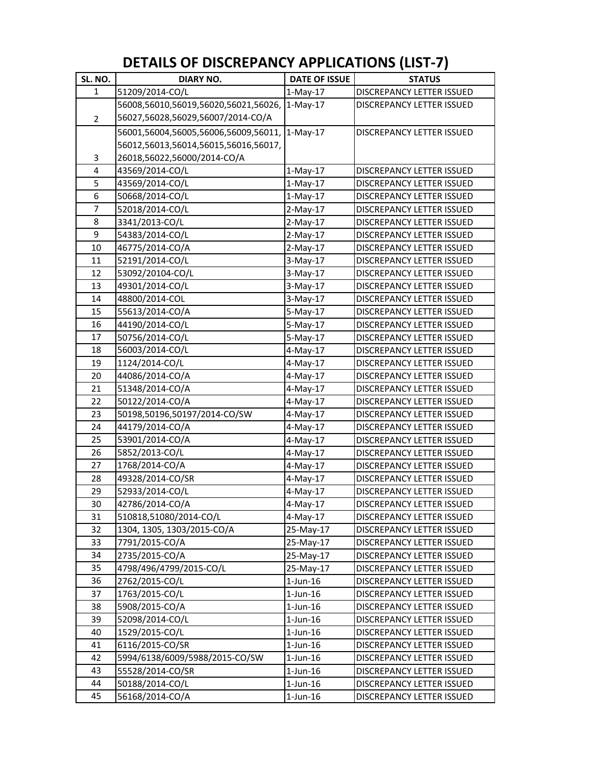## **DETAILS OF DISCREPANCY APPLICATIONS (LIST‐7)**

| SL. NO.        | <b>DIARY NO.</b>                     | <b>DATE OF ISSUE</b> | <b>STATUS</b>                    |
|----------------|--------------------------------------|----------------------|----------------------------------|
| $\mathbf{1}$   | 51209/2014-CO/L                      | $1-May-17$           | DISCREPANCY LETTER ISSUED        |
|                | 56008,56010,56019,56020,56021,56026, | $1-May-17$           | DISCREPANCY LETTER ISSUED        |
| $\overline{2}$ | 56027,56028,56029,56007/2014-CO/A    |                      |                                  |
|                | 56001,56004,56005,56006,56009,56011, | $1-May-17$           | DISCREPANCY LETTER ISSUED        |
|                | 56012,56013,56014,56015,56016,56017, |                      |                                  |
| 3              | 26018,56022,56000/2014-CO/A          |                      |                                  |
| 4              | 43569/2014-CO/L                      | $1-May-17$           | DISCREPANCY LETTER ISSUED        |
| 5              | 43569/2014-CO/L                      | $1-May-17$           | <b>DISCREPANCY LETTER ISSUED</b> |
| 6              | 50668/2014-CO/L                      | $1-May-17$           | DISCREPANCY LETTER ISSUED        |
| 7              | 52018/2014-CO/L                      | $2-May-17$           | DISCREPANCY LETTER ISSUED        |
| 8              | 3341/2013-CO/L                       | $2-May-17$           | DISCREPANCY LETTER ISSUED        |
| 9              | 54383/2014-CO/L                      | $2-May-17$           | <b>DISCREPANCY LETTER ISSUED</b> |
| 10             | 46775/2014-CO/A                      | $2-May-17$           | DISCREPANCY LETTER ISSUED        |
| 11             | 52191/2014-CO/L                      | $3-May-17$           | DISCREPANCY LETTER ISSUED        |
| 12             | 53092/20104-CO/L                     | $3-May-17$           | <b>DISCREPANCY LETTER ISSUED</b> |
| 13             | 49301/2014-CO/L                      | $3-May-17$           | DISCREPANCY LETTER ISSUED        |
| 14             | 48800/2014-COL                       | $3-May-17$           | <b>DISCREPANCY LETTER ISSUED</b> |
| 15             | 55613/2014-CO/A                      | 5-May-17             | <b>DISCREPANCY LETTER ISSUED</b> |
| 16             | 44190/2014-CO/L                      | 5-May-17             | DISCREPANCY LETTER ISSUED        |
| 17             | 50756/2014-CO/L                      | $5-May-17$           | <b>DISCREPANCY LETTER ISSUED</b> |
| 18             | 56003/2014-CO/L                      | $4-May-17$           | DISCREPANCY LETTER ISSUED        |
| 19             | 1124/2014-CO/L                       | 4-May-17             | <b>DISCREPANCY LETTER ISSUED</b> |
| 20             | 44086/2014-CO/A                      | 4-May-17             | DISCREPANCY LETTER ISSUED        |
| 21             | 51348/2014-CO/A                      | 4-May-17             | DISCREPANCY LETTER ISSUED        |
| 22             | 50122/2014-CO/A                      | 4-May-17             | <b>DISCREPANCY LETTER ISSUED</b> |
| 23             | 50198,50196,50197/2014-CO/SW         | $4$ -May-17          | <b>DISCREPANCY LETTER ISSUED</b> |
| 24             | 44179/2014-CO/A                      | $4$ -May-17          | DISCREPANCY LETTER ISSUED        |
| 25             | 53901/2014-CO/A                      | 4-May-17             | DISCREPANCY LETTER ISSUED        |
| 26             | 5852/2013-CO/L                       | 4-May-17             | DISCREPANCY LETTER ISSUED        |
| 27             | 1768/2014-CO/A                       | $4-May-17$           | DISCREPANCY LETTER ISSUED        |
| 28             | 49328/2014-CO/SR                     | $4$ -May-17          | <b>DISCREPANCY LETTER ISSUED</b> |
| 29             | 52933/2014-CO/L                      | $4-May-17$           | DISCREPANCY LETTER ISSUED        |
| $30\,$         | 42786/2014-CO/A                      | 4-May-17             | DISCREPANCY LETTER ISSUED        |
| 31             | 510818,51080/2014-CO/L               | 4-May-17             | DISCREPANCY LETTER ISSUED        |
| 32             | 1304, 1305, 1303/2015-CO/A           | 25-May-17            | DISCREPANCY LETTER ISSUED        |
| 33             | 7791/2015-CO/A                       | 25-May-17            | DISCREPANCY LETTER ISSUED        |
| 34             | 2735/2015-CO/A                       | 25-May-17            | DISCREPANCY LETTER ISSUED        |
| 35             | 4798/496/4799/2015-CO/L              | 25-May-17            | <b>DISCREPANCY LETTER ISSUED</b> |
| 36             | 2762/2015-CO/L                       | $1$ -Jun- $16$       | <b>DISCREPANCY LETTER ISSUED</b> |
| 37             | 1763/2015-CO/L                       | $1$ -Jun- $16$       | <b>DISCREPANCY LETTER ISSUED</b> |
| 38             | 5908/2015-CO/A                       | $1$ -Jun- $16$       | <b>DISCREPANCY LETTER ISSUED</b> |
| 39             | 52098/2014-CO/L                      | $1$ -Jun- $16$       | DISCREPANCY LETTER ISSUED        |
| 40             | 1529/2015-CO/L                       | $1$ -Jun- $16$       | <b>DISCREPANCY LETTER ISSUED</b> |
| 41             | 6116/2015-CO/SR                      | $1$ -Jun- $16$       | <b>DISCREPANCY LETTER ISSUED</b> |
| 42             | 5994/6138/6009/5988/2015-CO/SW       | $1$ -Jun- $16$       | DISCREPANCY LETTER ISSUED        |
| 43             | 55528/2014-CO/SR                     | $1$ -Jun- $16$       | DISCREPANCY LETTER ISSUED        |
| 44             | 50188/2014-CO/L                      | $1$ -Jun- $16$       | DISCREPANCY LETTER ISSUED        |
| 45             | 56168/2014-CO/A                      | $1$ -Jun- $16$       | DISCREPANCY LETTER ISSUED        |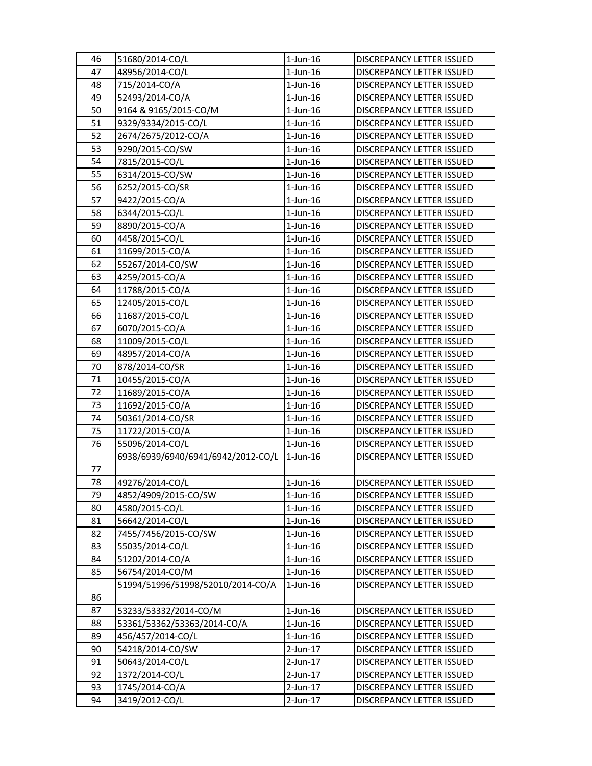| 46 | 51680/2014-CO/L                    | $1$ -Jun- $16$ | DISCREPANCY LETTER ISSUED        |
|----|------------------------------------|----------------|----------------------------------|
| 47 | 48956/2014-CO/L                    | $1$ -Jun- $16$ | <b>DISCREPANCY LETTER ISSUED</b> |
| 48 | 715/2014-CO/A                      | $1$ -Jun- $16$ | DISCREPANCY LETTER ISSUED        |
| 49 | 52493/2014-CO/A                    | $1$ -Jun- $16$ | DISCREPANCY LETTER ISSUED        |
| 50 | 9164 & 9165/2015-CO/M              | $1$ -Jun- $16$ | DISCREPANCY LETTER ISSUED        |
| 51 | 9329/9334/2015-CO/L                | $1$ -Jun- $16$ | DISCREPANCY LETTER ISSUED        |
| 52 | 2674/2675/2012-CO/A                | $1$ -Jun- $16$ | DISCREPANCY LETTER ISSUED        |
| 53 | 9290/2015-CO/SW                    | $1$ -Jun- $16$ | DISCREPANCY LETTER ISSUED        |
| 54 | 7815/2015-CO/L                     | $1$ -Jun- $16$ | DISCREPANCY LETTER ISSUED        |
| 55 | 6314/2015-CO/SW                    | $1$ -Jun- $16$ | DISCREPANCY LETTER ISSUED        |
| 56 | 6252/2015-CO/SR                    | $1$ -Jun- $16$ | DISCREPANCY LETTER ISSUED        |
| 57 | 9422/2015-CO/A                     | $1$ -Jun- $16$ | DISCREPANCY LETTER ISSUED        |
| 58 | 6344/2015-CO/L                     | $1$ -Jun- $16$ | DISCREPANCY LETTER ISSUED        |
| 59 | 8890/2015-CO/A                     | $1$ -Jun- $16$ | DISCREPANCY LETTER ISSUED        |
| 60 | 4458/2015-CO/L                     | $1$ -Jun- $16$ | DISCREPANCY LETTER ISSUED        |
| 61 | 11699/2015-CO/A                    | $1$ -Jun- $16$ | <b>DISCREPANCY LETTER ISSUED</b> |
| 62 | 55267/2014-CO/SW                   | $1$ -Jun- $16$ | DISCREPANCY LETTER ISSUED        |
| 63 | 4259/2015-CO/A                     | $1$ -Jun- $16$ | DISCREPANCY LETTER ISSUED        |
| 64 | 11788/2015-CO/A                    | $1$ -Jun- $16$ | DISCREPANCY LETTER ISSUED        |
| 65 | 12405/2015-CO/L                    | $1$ -Jun- $16$ | DISCREPANCY LETTER ISSUED        |
| 66 | 11687/2015-CO/L                    | $1$ -Jun- $16$ | DISCREPANCY LETTER ISSUED        |
| 67 | 6070/2015-CO/A                     | $1$ -Jun- $16$ | DISCREPANCY LETTER ISSUED        |
| 68 | 11009/2015-CO/L                    | $1$ -Jun- $16$ | DISCREPANCY LETTER ISSUED        |
| 69 | 48957/2014-CO/A                    | $1$ -Jun- $16$ | DISCREPANCY LETTER ISSUED        |
| 70 | 878/2014-CO/SR                     | $1$ -Jun- $16$ | DISCREPANCY LETTER ISSUED        |
| 71 | 10455/2015-CO/A                    | $1$ -Jun- $16$ | DISCREPANCY LETTER ISSUED        |
| 72 | 11689/2015-CO/A                    | $1$ -Jun- $16$ | DISCREPANCY LETTER ISSUED        |
| 73 | 11692/2015-CO/A                    | $1$ -Jun- $16$ | DISCREPANCY LETTER ISSUED        |
| 74 | 50361/2014-CO/SR                   | $1$ -Jun- $16$ | DISCREPANCY LETTER ISSUED        |
| 75 | 11722/2015-CO/A                    | $1$ -Jun- $16$ | DISCREPANCY LETTER ISSUED        |
| 76 | 55096/2014-CO/L                    | $1$ -Jun- $16$ | DISCREPANCY LETTER ISSUED        |
|    | 6938/6939/6940/6941/6942/2012-CO/L | $1$ -Jun- $16$ | DISCREPANCY LETTER ISSUED        |
| 77 |                                    |                |                                  |
| 78 | 49276/2014-CO/L                    | $1$ -Jun-16    | <b>DISCREPANCY LETTER ISSUED</b> |
| 79 | 4852/4909/2015-CO/SW               | $1$ -Jun- $16$ | DISCREPANCY LETTER ISSUED        |
| 80 | 4580/2015-CO/L                     | $1$ -Jun- $16$ | DISCREPANCY LETTER ISSUED        |
| 81 | 56642/2014-CO/L                    | $1$ -Jun- $16$ | DISCREPANCY LETTER ISSUED        |
| 82 | 7455/7456/2015-CO/SW               | $1$ -Jun- $16$ | DISCREPANCY LETTER ISSUED        |
| 83 | 55035/2014-CO/L                    | $1$ -Jun- $16$ | DISCREPANCY LETTER ISSUED        |
| 84 | 51202/2014-CO/A                    | $1$ -Jun- $16$ | DISCREPANCY LETTER ISSUED        |
| 85 | 56754/2014-CO/M                    | $1$ -Jun- $16$ | DISCREPANCY LETTER ISSUED        |
|    | 51994/51996/51998/52010/2014-CO/A  | $1$ -Jun- $16$ | DISCREPANCY LETTER ISSUED        |
| 86 |                                    |                |                                  |
| 87 | 53233/53332/2014-CO/M              | $1$ -Jun- $16$ | DISCREPANCY LETTER ISSUED        |
| 88 | 53361/53362/53363/2014-CO/A        | $1$ -Jun- $16$ | DISCREPANCY LETTER ISSUED        |
| 89 | 456/457/2014-CO/L                  | $1$ -Jun- $16$ | DISCREPANCY LETTER ISSUED        |
| 90 | 54218/2014-CO/SW                   | $2$ -Jun-17    | DISCREPANCY LETTER ISSUED        |
| 91 | 50643/2014-CO/L                    | $2$ -Jun-17    | DISCREPANCY LETTER ISSUED        |
| 92 | 1372/2014-CO/L                     | $2$ -Jun-17    | DISCREPANCY LETTER ISSUED        |
| 93 | 1745/2014-CO/A                     | $2$ -Jun-17    | DISCREPANCY LETTER ISSUED        |
| 94 | 3419/2012-CO/L                     | $2$ -Jun-17    | DISCREPANCY LETTER ISSUED        |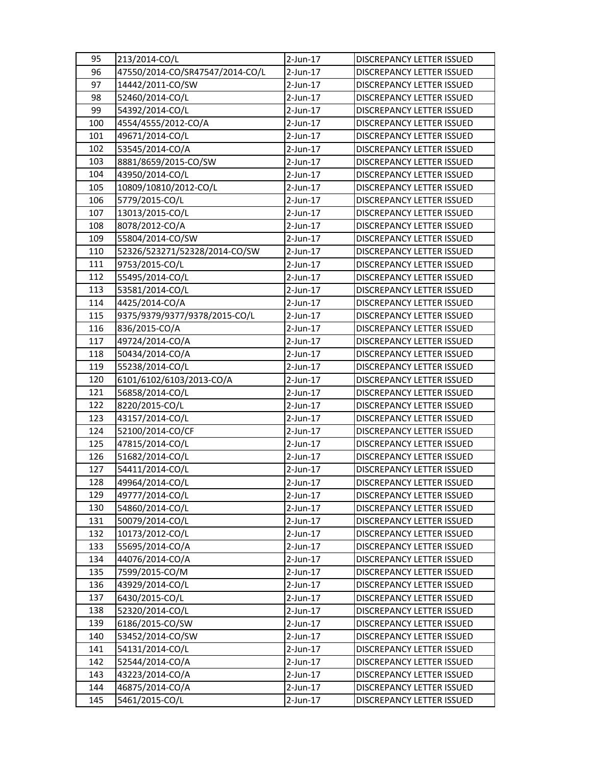| 95  | 213/2014-CO/L                   | 2-Jun-17    | DISCREPANCY LETTER ISSUED        |
|-----|---------------------------------|-------------|----------------------------------|
| 96  | 47550/2014-CO/SR47547/2014-CO/L | $2$ -Jun-17 | <b>DISCREPANCY LETTER ISSUED</b> |
| 97  | 14442/2011-CO/SW                | $2$ -Jun-17 | <b>DISCREPANCY LETTER ISSUED</b> |
| 98  | 52460/2014-CO/L                 | $2$ -Jun-17 | DISCREPANCY LETTER ISSUED        |
| 99  | 54392/2014-CO/L                 | $2$ -Jun-17 | DISCREPANCY LETTER ISSUED        |
| 100 | 4554/4555/2012-CO/A             | $2$ -Jun-17 | DISCREPANCY LETTER ISSUED        |
| 101 | 49671/2014-CO/L                 | 2-Jun-17    | DISCREPANCY LETTER ISSUED        |
| 102 | 53545/2014-CO/A                 | $2$ -Jun-17 | DISCREPANCY LETTER ISSUED        |
| 103 | 8881/8659/2015-CO/SW            | $2$ -Jun-17 | DISCREPANCY LETTER ISSUED        |
| 104 | 43950/2014-CO/L                 | 2-Jun-17    | DISCREPANCY LETTER ISSUED        |
| 105 | 10809/10810/2012-CO/L           | $2$ -Jun-17 | DISCREPANCY LETTER ISSUED        |
| 106 | 5779/2015-CO/L                  | 2-Jun-17    | <b>DISCREPANCY LETTER ISSUED</b> |
| 107 | 13013/2015-CO/L                 | $2$ -Jun-17 | DISCREPANCY LETTER ISSUED        |
| 108 | 8078/2012-CO/A                  | $2$ -Jun-17 | DISCREPANCY LETTER ISSUED        |
| 109 | 55804/2014-CO/SW                | 2-Jun-17    | DISCREPANCY LETTER ISSUED        |
| 110 | 52326/523271/52328/2014-CO/SW   | 2-Jun-17    | DISCREPANCY LETTER ISSUED        |
| 111 | 9753/2015-CO/L                  | 2-Jun-17    | DISCREPANCY LETTER ISSUED        |
| 112 | 55495/2014-CO/L                 | $2$ -Jun-17 | DISCREPANCY LETTER ISSUED        |
| 113 | 53581/2014-CO/L                 | $2$ -Jun-17 | DISCREPANCY LETTER ISSUED        |
| 114 | 4425/2014-CO/A                  | $2$ -Jun-17 | DISCREPANCY LETTER ISSUED        |
| 115 | 9375/9379/9377/9378/2015-CO/L   | 2-Jun-17    | <b>DISCREPANCY LETTER ISSUED</b> |
| 116 | 836/2015-CO/A                   | $2$ -Jun-17 | DISCREPANCY LETTER ISSUED        |
| 117 | 49724/2014-CO/A                 | $2$ -Jun-17 | DISCREPANCY LETTER ISSUED        |
| 118 | 50434/2014-CO/A                 | 2-Jun-17    | DISCREPANCY LETTER ISSUED        |
| 119 | 55238/2014-CO/L                 | $2$ -Jun-17 | DISCREPANCY LETTER ISSUED        |
| 120 | 6101/6102/6103/2013-CO/A        | 2-Jun-17    | DISCREPANCY LETTER ISSUED        |
| 121 | 56858/2014-CO/L                 | 2-Jun-17    | DISCREPANCY LETTER ISSUED        |
| 122 | 8220/2015-CO/L                  | $2$ -Jun-17 | DISCREPANCY LETTER ISSUED        |
| 123 | 43157/2014-CO/L                 | $2$ -Jun-17 | DISCREPANCY LETTER ISSUED        |
| 124 | 52100/2014-CO/CF                | 2-Jun-17    | DISCREPANCY LETTER ISSUED        |
| 125 | 47815/2014-CO/L                 | 2-Jun-17    | <b>DISCREPANCY LETTER ISSUED</b> |
| 126 | 51682/2014-CO/L                 | $2$ -Jun-17 | DISCREPANCY LETTER ISSUED        |
| 127 | 54411/2014-CO/L                 | $2$ -Jun-17 | DISCREPANCY LETTER ISSUED        |
| 128 | 49964/2014-CO/L                 | 2-Jun-17    | <b>DISCREPANCY LETTER ISSUED</b> |
| 129 | 49777/2014-CO/L                 | $2$ -Jun-17 | DISCREPANCY LETTER ISSUED        |
| 130 | 54860/2014-CO/L                 | $2$ -Jun-17 | DISCREPANCY LETTER ISSUED        |
| 131 | 50079/2014-CO/L                 | $2$ -Jun-17 | DISCREPANCY LETTER ISSUED        |
| 132 | 10173/2012-CO/L                 | $2$ -Jun-17 | DISCREPANCY LETTER ISSUED        |
| 133 | 55695/2014-CO/A                 | $2$ -Jun-17 | DISCREPANCY LETTER ISSUED        |
| 134 | 44076/2014-CO/A                 | $2$ -Jun-17 | DISCREPANCY LETTER ISSUED        |
| 135 | 7599/2015-CO/M                  | 2-Jun-17    | DISCREPANCY LETTER ISSUED        |
| 136 | 43929/2014-CO/L                 | $2$ -Jun-17 | DISCREPANCY LETTER ISSUED        |
| 137 | 6430/2015-CO/L                  | 2-Jun-17    | DISCREPANCY LETTER ISSUED        |
| 138 | 52320/2014-CO/L                 | $2$ -Jun-17 | DISCREPANCY LETTER ISSUED        |
| 139 | 6186/2015-CO/SW                 | 2-Jun-17    | DISCREPANCY LETTER ISSUED        |
| 140 | 53452/2014-CO/SW                | 2-Jun-17    | DISCREPANCY LETTER ISSUED        |
| 141 | 54131/2014-CO/L                 | $2$ -Jun-17 | DISCREPANCY LETTER ISSUED        |
| 142 | 52544/2014-CO/A                 | $2$ -Jun-17 | DISCREPANCY LETTER ISSUED        |
| 143 | 43223/2014-CO/A                 | $2$ -Jun-17 | DISCREPANCY LETTER ISSUED        |
| 144 | 46875/2014-CO/A                 | $2$ -Jun-17 | DISCREPANCY LETTER ISSUED        |
| 145 | 5461/2015-CO/L                  | $2$ -Jun-17 | DISCREPANCY LETTER ISSUED        |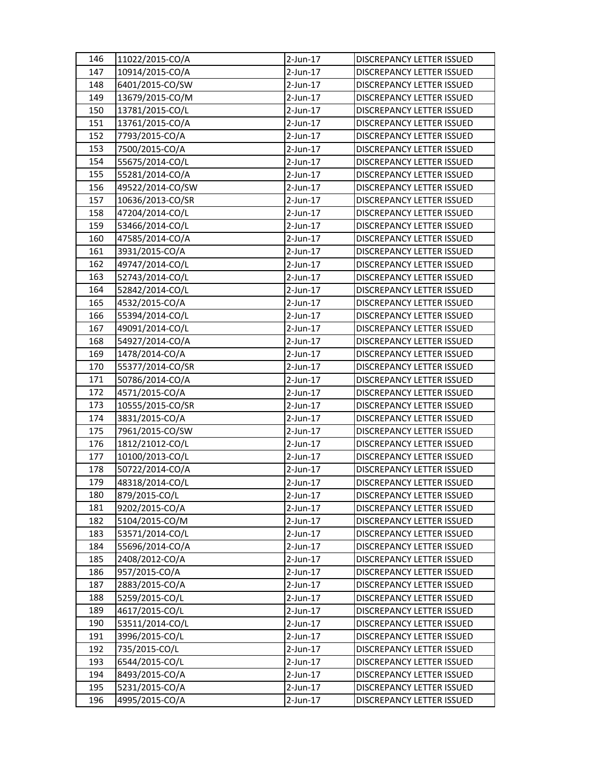| 146 | 11022/2015-CO/A  | $2$ -Jun-17 | DISCREPANCY LETTER ISSUED        |
|-----|------------------|-------------|----------------------------------|
| 147 | 10914/2015-CO/A  | $2$ -Jun-17 | <b>DISCREPANCY LETTER ISSUED</b> |
| 148 | 6401/2015-CO/SW  | $2$ -Jun-17 | DISCREPANCY LETTER ISSUED        |
| 149 | 13679/2015-CO/M  | $2$ -Jun-17 | DISCREPANCY LETTER ISSUED        |
| 150 | 13781/2015-CO/L  | $2$ -Jun-17 | DISCREPANCY LETTER ISSUED        |
| 151 | 13761/2015-CO/A  | $2$ -Jun-17 | DISCREPANCY LETTER ISSUED        |
| 152 | 7793/2015-CO/A   | $2$ -Jun-17 | DISCREPANCY LETTER ISSUED        |
| 153 | 7500/2015-CO/A   | $2$ -Jun-17 | DISCREPANCY LETTER ISSUED        |
| 154 | 55675/2014-CO/L  | $2$ -Jun-17 | DISCREPANCY LETTER ISSUED        |
| 155 | 55281/2014-CO/A  | $2$ -Jun-17 | DISCREPANCY LETTER ISSUED        |
| 156 | 49522/2014-CO/SW | $2$ -Jun-17 | DISCREPANCY LETTER ISSUED        |
| 157 | 10636/2013-CO/SR | $2$ -Jun-17 | <b>DISCREPANCY LETTER ISSUED</b> |
| 158 | 47204/2014-CO/L  | $2$ -Jun-17 | DISCREPANCY LETTER ISSUED        |
| 159 | 53466/2014-CO/L  | $2$ -Jun-17 | DISCREPANCY LETTER ISSUED        |
| 160 | 47585/2014-CO/A  | $2$ -Jun-17 | DISCREPANCY LETTER ISSUED        |
| 161 | 3931/2015-CO/A   | $2$ -Jun-17 | <b>DISCREPANCY LETTER ISSUED</b> |
| 162 | 49747/2014-CO/L  | 2-Jun-17    | DISCREPANCY LETTER ISSUED        |
| 163 | 52743/2014-CO/L  | $2$ -Jun-17 | DISCREPANCY LETTER ISSUED        |
| 164 | 52842/2014-CO/L  | $2$ -Jun-17 | DISCREPANCY LETTER ISSUED        |
| 165 | 4532/2015-CO/A   | $2$ -Jun-17 | DISCREPANCY LETTER ISSUED        |
| 166 | 55394/2014-CO/L  | 2-Jun-17    | DISCREPANCY LETTER ISSUED        |
| 167 | 49091/2014-CO/L  | $2$ -Jun-17 | DISCREPANCY LETTER ISSUED        |
| 168 | 54927/2014-CO/A  | $2$ -Jun-17 | DISCREPANCY LETTER ISSUED        |
| 169 | 1478/2014-CO/A   | $2$ -Jun-17 | DISCREPANCY LETTER ISSUED        |
| 170 | 55377/2014-CO/SR | $2$ -Jun-17 | DISCREPANCY LETTER ISSUED        |
| 171 | 50786/2014-CO/A  | $2$ -Jun-17 | DISCREPANCY LETTER ISSUED        |
| 172 | 4571/2015-CO/A   | 2-Jun-17    | DISCREPANCY LETTER ISSUED        |
| 173 | 10555/2015-CO/SR | $2$ -Jun-17 | DISCREPANCY LETTER ISSUED        |
| 174 | 3831/2015-CO/A   | 2-Jun-17    | DISCREPANCY LETTER ISSUED        |
| 175 | 7961/2015-CO/SW  | $2$ -Jun-17 | DISCREPANCY LETTER ISSUED        |
| 176 | 1812/21012-CO/L  | $2$ -Jun-17 | DISCREPANCY LETTER ISSUED        |
| 177 | 10100/2013-CO/L  | $2$ -Jun-17 | DISCREPANCY LETTER ISSUED        |
| 178 | 50722/2014-CO/A  | $2$ -Jun-17 | DISCREPANCY LETTER ISSUED        |
| 179 | 48318/2014-CO/L  | $2$ -Jun-17 | <b>DISCREPANCY LETTER ISSUED</b> |
| 180 | 879/2015-CO/L    | $2$ -Jun-17 | DISCREPANCY LETTER ISSUED        |
| 181 | 9202/2015-CO/A   | $2$ -Jun-17 | DISCREPANCY LETTER ISSUED        |
| 182 | 5104/2015-CO/M   | $2$ -Jun-17 | DISCREPANCY LETTER ISSUED        |
| 183 | 53571/2014-CO/L  | $2$ -Jun-17 | DISCREPANCY LETTER ISSUED        |
| 184 | 55696/2014-CO/A  | $2$ -Jun-17 | DISCREPANCY LETTER ISSUED        |
| 185 | 2408/2012-CO/A   | $2$ -Jun-17 | DISCREPANCY LETTER ISSUED        |
| 186 | 957/2015-CO/A    | $2$ -Jun-17 | DISCREPANCY LETTER ISSUED        |
| 187 | 2883/2015-CO/A   | $2$ -Jun-17 | DISCREPANCY LETTER ISSUED        |
| 188 | 5259/2015-CO/L   | $2$ -Jun-17 | DISCREPANCY LETTER ISSUED        |
| 189 | 4617/2015-CO/L   | $2$ -Jun-17 | DISCREPANCY LETTER ISSUED        |
| 190 | 53511/2014-CO/L  | $2$ -Jun-17 | DISCREPANCY LETTER ISSUED        |
| 191 | 3996/2015-CO/L   | $2$ -Jun-17 | DISCREPANCY LETTER ISSUED        |
| 192 | 735/2015-CO/L    | $2$ -Jun-17 | DISCREPANCY LETTER ISSUED        |
| 193 | 6544/2015-CO/L   | $2$ -Jun-17 | DISCREPANCY LETTER ISSUED        |
| 194 | 8493/2015-CO/A   | 2-Jun-17    | DISCREPANCY LETTER ISSUED        |
| 195 | 5231/2015-CO/A   | $2$ -Jun-17 | DISCREPANCY LETTER ISSUED        |
| 196 | 4995/2015-CO/A   | $2$ -Jun-17 | DISCREPANCY LETTER ISSUED        |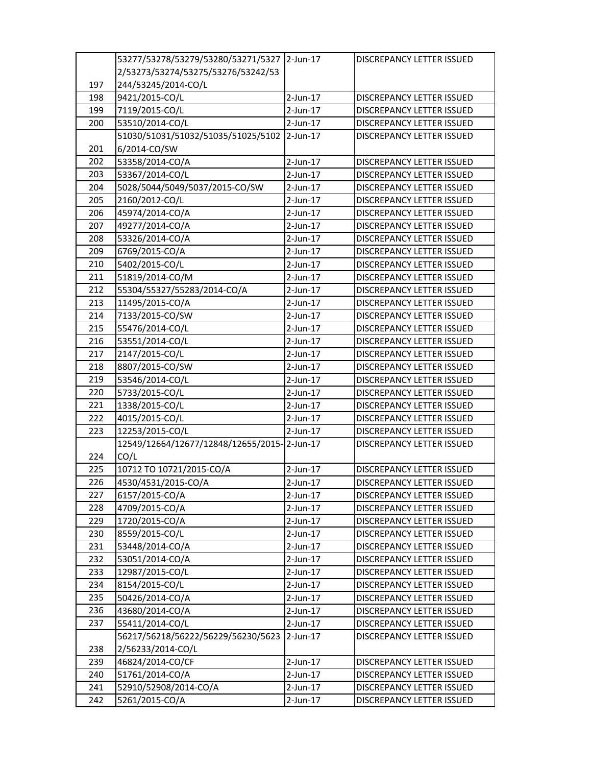|     | 53277/53278/53279/53280/53271/5327 2-Jun-17 |             | <b>DISCREPANCY LETTER ISSUED</b>                              |
|-----|---------------------------------------------|-------------|---------------------------------------------------------------|
|     | 2/53273/53274/53275/53276/53242/53          |             |                                                               |
| 197 | 244/53245/2014-CO/L                         |             |                                                               |
| 198 | 9421/2015-CO/L                              | $2$ -Jun-17 | DISCREPANCY LETTER ISSUED                                     |
| 199 | 7119/2015-CO/L                              | $2$ -Jun-17 | DISCREPANCY LETTER ISSUED                                     |
| 200 | 53510/2014-CO/L                             | 2-Jun-17    | <b>DISCREPANCY LETTER ISSUED</b>                              |
|     | 51030/51031/51032/51035/51025/5102 2-Jun-17 |             | DISCREPANCY LETTER ISSUED                                     |
| 201 | 6/2014-CO/SW                                |             |                                                               |
| 202 | 53358/2014-CO/A                             | $2$ -Jun-17 | <b>DISCREPANCY LETTER ISSUED</b>                              |
| 203 | 53367/2014-CO/L                             | $2$ -Jun-17 | DISCREPANCY LETTER ISSUED                                     |
| 204 | 5028/5044/5049/5037/2015-CO/SW              | 2-Jun-17    | DISCREPANCY LETTER ISSUED                                     |
| 205 | 2160/2012-CO/L                              | $2$ -Jun-17 | DISCREPANCY LETTER ISSUED                                     |
| 206 | 45974/2014-CO/A                             | 2-Jun-17    | DISCREPANCY LETTER ISSUED                                     |
| 207 | 49277/2014-CO/A                             | $2$ -Jun-17 | DISCREPANCY LETTER ISSUED                                     |
| 208 | 53326/2014-CO/A                             | 2-Jun-17    | DISCREPANCY LETTER ISSUED                                     |
| 209 | 6769/2015-CO/A                              | 2-Jun-17    | DISCREPANCY LETTER ISSUED                                     |
| 210 | 5402/2015-CO/L                              | $2$ -Jun-17 | DISCREPANCY LETTER ISSUED                                     |
| 211 | 51819/2014-CO/M                             | 2-Jun-17    | DISCREPANCY LETTER ISSUED                                     |
| 212 | 55304/55327/55283/2014-CO/A                 | 2-Jun-17    | DISCREPANCY LETTER ISSUED                                     |
| 213 | 11495/2015-CO/A                             | 2-Jun-17    |                                                               |
| 214 | 7133/2015-CO/SW                             | 2-Jun-17    | DISCREPANCY LETTER ISSUED<br><b>DISCREPANCY LETTER ISSUED</b> |
| 215 |                                             |             |                                                               |
|     | 55476/2014-CO/L                             | $2$ -Jun-17 | <b>DISCREPANCY LETTER ISSUED</b>                              |
| 216 | 53551/2014-CO/L                             | 2-Jun-17    | DISCREPANCY LETTER ISSUED                                     |
| 217 | 2147/2015-CO/L                              | $2$ -Jun-17 | DISCREPANCY LETTER ISSUED                                     |
| 218 | 8807/2015-CO/SW                             | 2-Jun-17    | DISCREPANCY LETTER ISSUED                                     |
| 219 | 53546/2014-CO/L                             | $2$ -Jun-17 | DISCREPANCY LETTER ISSUED                                     |
| 220 | 5733/2015-CO/L                              | $2$ -Jun-17 | DISCREPANCY LETTER ISSUED                                     |
| 221 | 1338/2015-CO/L                              | 2-Jun-17    | DISCREPANCY LETTER ISSUED                                     |
| 222 | 4015/2015-CO/L                              | $2$ -Jun-17 | DISCREPANCY LETTER ISSUED                                     |
| 223 | 12253/2015-CO/L                             | $2$ -Jun-17 | DISCREPANCY LETTER ISSUED                                     |
|     | 12549/12664/12677/12848/12655/2015-2-Jun-17 |             | DISCREPANCY LETTER ISSUED                                     |
| 224 | CO/L                                        |             |                                                               |
| 225 | 10712 TO 10721/2015-CO/A                    | $2$ -Jun-17 | DISCREPANCY LETTER ISSUED                                     |
| 226 | 4530/4531/2015-CO/A                         | 2-Jun-17    | DISCREPANCY LETTER ISSUED                                     |
| 227 | 6157/2015-CO/A                              | 2-Jun-17    | DISCREPANCY LETTER ISSUED                                     |
| 228 | 4709/2015-CO/A                              | $2$ -Jun-17 | DISCREPANCY LETTER ISSUED                                     |
| 229 | 1720/2015-CO/A                              | $2$ -Jun-17 | DISCREPANCY LETTER ISSUED                                     |
| 230 | 8559/2015-CO/L                              | 2-Jun-17    | DISCREPANCY LETTER ISSUED                                     |
| 231 | 53448/2014-CO/A                             | 2-Jun-17    | <b>DISCREPANCY LETTER ISSUED</b>                              |
| 232 | 53051/2014-CO/A                             | $2$ -Jun-17 | DISCREPANCY LETTER ISSUED                                     |
| 233 | 12987/2015-CO/L                             | $2$ -Jun-17 | <b>DISCREPANCY LETTER ISSUED</b>                              |
| 234 | 8154/2015-CO/L                              | $2$ -Jun-17 | DISCREPANCY LETTER ISSUED                                     |
| 235 | 50426/2014-CO/A                             | $2$ -Jun-17 | DISCREPANCY LETTER ISSUED                                     |
| 236 | 43680/2014-CO/A                             | 2-Jun-17    | DISCREPANCY LETTER ISSUED                                     |
| 237 | 55411/2014-CO/L                             | $2$ -Jun-17 | DISCREPANCY LETTER ISSUED                                     |
|     | 56217/56218/56222/56229/56230/5623          | $2$ -Jun-17 | DISCREPANCY LETTER ISSUED                                     |
| 238 | 2/56233/2014-CO/L                           |             |                                                               |
| 239 | 46824/2014-CO/CF                            | $2$ -Jun-17 | DISCREPANCY LETTER ISSUED                                     |
| 240 | 51761/2014-CO/A                             | $2$ -Jun-17 | DISCREPANCY LETTER ISSUED                                     |
| 241 | 52910/52908/2014-CO/A                       | $2$ -Jun-17 | DISCREPANCY LETTER ISSUED                                     |
| 242 | 5261/2015-CO/A                              | $2$ -Jun-17 | DISCREPANCY LETTER ISSUED                                     |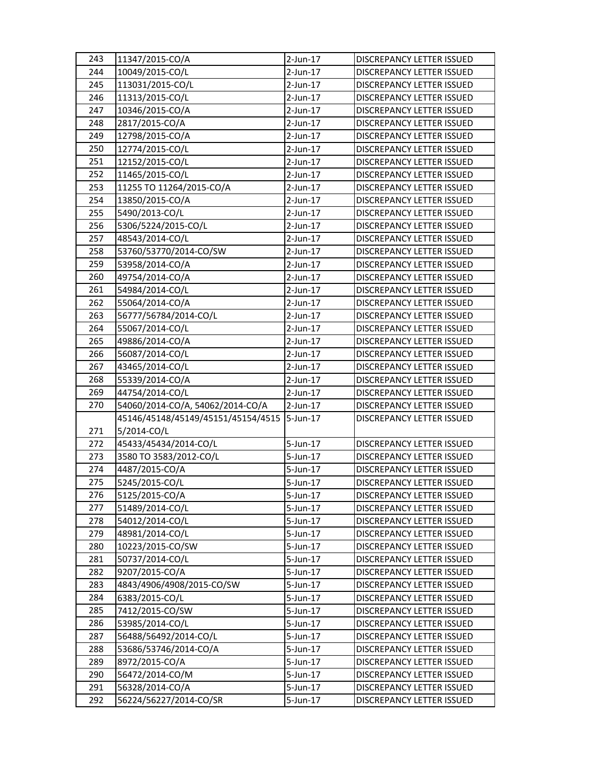| 243 | 11347/2015-CO/A                    | 2-Jun-17    | DISCREPANCY LETTER ISSUED        |
|-----|------------------------------------|-------------|----------------------------------|
| 244 | 10049/2015-CO/L                    | 2-Jun-17    | <b>DISCREPANCY LETTER ISSUED</b> |
| 245 | 113031/2015-CO/L                   | $2$ -Jun-17 | DISCREPANCY LETTER ISSUED        |
| 246 | 11313/2015-CO/L                    | $2$ -Jun-17 | DISCREPANCY LETTER ISSUED        |
| 247 | 10346/2015-CO/A                    | $2$ -Jun-17 | DISCREPANCY LETTER ISSUED        |
| 248 | 2817/2015-CO/A                     | 2-Jun-17    | DISCREPANCY LETTER ISSUED        |
| 249 | 12798/2015-CO/A                    | $2$ -Jun-17 | DISCREPANCY LETTER ISSUED        |
| 250 | 12774/2015-CO/L                    | $2$ -Jun-17 | DISCREPANCY LETTER ISSUED        |
| 251 | 12152/2015-CO/L                    | $2$ -Jun-17 | DISCREPANCY LETTER ISSUED        |
| 252 | 11465/2015-CO/L                    | $2$ -Jun-17 | DISCREPANCY LETTER ISSUED        |
| 253 | 11255 TO 11264/2015-CO/A           | 2-Jun-17    | DISCREPANCY LETTER ISSUED        |
| 254 | 13850/2015-CO/A                    | $2$ -Jun-17 | <b>DISCREPANCY LETTER ISSUED</b> |
| 255 | 5490/2013-CO/L                     | 2-Jun-17    | DISCREPANCY LETTER ISSUED        |
| 256 | 5306/5224/2015-CO/L                | 2-Jun-17    | DISCREPANCY LETTER ISSUED        |
| 257 | 48543/2014-CO/L                    | 2-Jun-17    | DISCREPANCY LETTER ISSUED        |
| 258 | 53760/53770/2014-CO/SW             | 2-Jun-17    | DISCREPANCY LETTER ISSUED        |
| 259 | 53958/2014-CO/A                    | 2-Jun-17    | DISCREPANCY LETTER ISSUED        |
| 260 | 49754/2014-CO/A                    | $2$ -Jun-17 | DISCREPANCY LETTER ISSUED        |
| 261 | 54984/2014-CO/L                    | $2$ -Jun-17 | DISCREPANCY LETTER ISSUED        |
| 262 | 55064/2014-CO/A                    | 2-Jun-17    | DISCREPANCY LETTER ISSUED        |
| 263 | 56777/56784/2014-CO/L              | $2$ -Jun-17 | DISCREPANCY LETTER ISSUED        |
| 264 | 55067/2014-CO/L                    | $2$ -Jun-17 | DISCREPANCY LETTER ISSUED        |
| 265 | 49886/2014-CO/A                    | $2$ -Jun-17 | DISCREPANCY LETTER ISSUED        |
| 266 | 56087/2014-CO/L                    | $2$ -Jun-17 | DISCREPANCY LETTER ISSUED        |
| 267 | 43465/2014-CO/L                    | 2-Jun-17    | DISCREPANCY LETTER ISSUED        |
| 268 | 55339/2014-CO/A                    | $2$ -Jun-17 | DISCREPANCY LETTER ISSUED        |
| 269 | 44754/2014-CO/L                    | $2$ -Jun-17 | DISCREPANCY LETTER ISSUED        |
| 270 | 54060/2014-CO/A, 54062/2014-CO/A   | $2$ -Jun-17 | DISCREPANCY LETTER ISSUED        |
|     | 45146/45148/45149/45151/45154/4515 | 5-Jun-17    | DISCREPANCY LETTER ISSUED        |
| 271 | 5/2014-CO/L                        |             |                                  |
| 272 | 45433/45434/2014-CO/L              | 5-Jun-17    | <b>DISCREPANCY LETTER ISSUED</b> |
| 273 | 3580 TO 3583/2012-CO/L             | 5-Jun-17    | DISCREPANCY LETTER ISSUED        |
| 274 | 4487/2015-CO/A                     | 5-Jun-17    | DISCREPANCY LETTER ISSUED        |
| 275 | 5245/2015-CO/L                     | 5-Jun-17    | <b>DISCREPANCY LETTER ISSUED</b> |
| 276 | 5125/2015-CO/A                     | 5-Jun-17    | DISCREPANCY LETTER ISSUED        |
| 277 | 51489/2014-CO/L                    | 5-Jun-17    | <b>DISCREPANCY LETTER ISSUED</b> |
| 278 | 54012/2014-CO/L                    | $5$ -Jun-17 | DISCREPANCY LETTER ISSUED        |
| 279 | 48981/2014-CO/L                    | 5-Jun-17    | DISCREPANCY LETTER ISSUED        |
| 280 | 10223/2015-CO/SW                   | 5-Jun-17    | DISCREPANCY LETTER ISSUED        |
| 281 | 50737/2014-CO/L                    | 5-Jun-17    | DISCREPANCY LETTER ISSUED        |
| 282 | 9207/2015-CO/A                     | 5-Jun-17    | DISCREPANCY LETTER ISSUED        |
| 283 | 4843/4906/4908/2015-CO/SW          | 5-Jun-17    | DISCREPANCY LETTER ISSUED        |
| 284 | 6383/2015-CO/L                     | 5-Jun-17    | DISCREPANCY LETTER ISSUED        |
| 285 | 7412/2015-CO/SW                    | 5-Jun-17    | DISCREPANCY LETTER ISSUED        |
| 286 | 53985/2014-CO/L                    | 5-Jun-17    | DISCREPANCY LETTER ISSUED        |
| 287 | 56488/56492/2014-CO/L              | 5-Jun-17    | DISCREPANCY LETTER ISSUED        |
| 288 | 53686/53746/2014-CO/A              | 5-Jun-17    | DISCREPANCY LETTER ISSUED        |
| 289 | 8972/2015-CO/A                     | 5-Jun-17    | DISCREPANCY LETTER ISSUED        |
| 290 | 56472/2014-CO/M                    | 5-Jun-17    | DISCREPANCY LETTER ISSUED        |
| 291 | 56328/2014-CO/A                    | 5-Jun-17    | DISCREPANCY LETTER ISSUED        |
| 292 | 56224/56227/2014-CO/SR             | 5-Jun-17    | DISCREPANCY LETTER ISSUED        |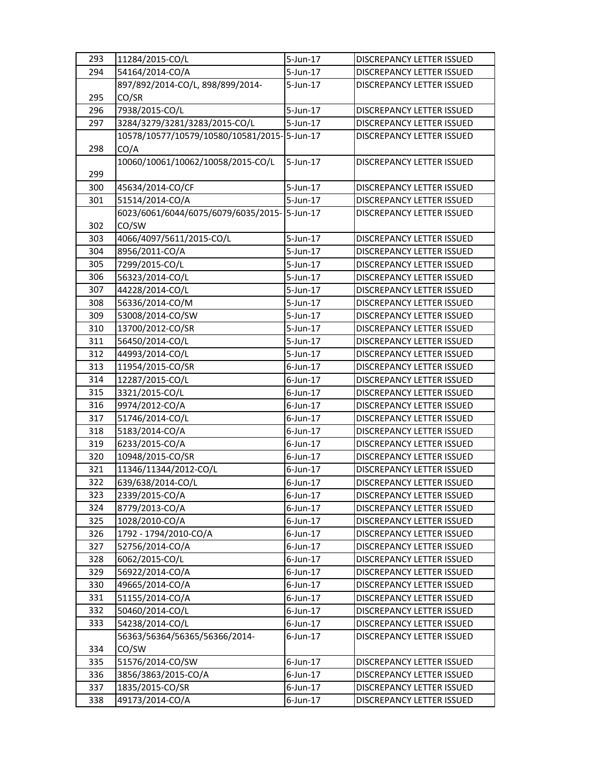| 293 | 11284/2015-CO/L                              | 5-Jun-17    | <b>DISCREPANCY LETTER ISSUED</b> |
|-----|----------------------------------------------|-------------|----------------------------------|
| 294 | 54164/2014-CO/A                              | 5-Jun-17    | <b>DISCREPANCY LETTER ISSUED</b> |
|     | 897/892/2014-CO/L, 898/899/2014-             | $5$ -Jun-17 | DISCREPANCY LETTER ISSUED        |
| 295 | CO/SR                                        |             |                                  |
| 296 | 7938/2015-CO/L                               | 5-Jun-17    | DISCREPANCY LETTER ISSUED        |
| 297 | 3284/3279/3281/3283/2015-CO/L                | 5-Jun-17    | DISCREPANCY LETTER ISSUED        |
|     | 10578/10577/10579/10580/10581/2015-15-Jun-17 |             | DISCREPANCY LETTER ISSUED        |
| 298 | CO/A                                         |             |                                  |
|     | 10060/10061/10062/10058/2015-CO/L            | $5$ -Jun-17 | DISCREPANCY LETTER ISSUED        |
| 299 |                                              |             |                                  |
| 300 | 45634/2014-CO/CF                             | 5-Jun-17    | <b>DISCREPANCY LETTER ISSUED</b> |
| 301 | 51514/2014-CO/A                              | 5-Jun-17    | DISCREPANCY LETTER ISSUED        |
|     | 6023/6061/6044/6075/6079/6035/2015-5-Jun-17  |             | DISCREPANCY LETTER ISSUED        |
| 302 | CO/SW                                        |             |                                  |
| 303 | 4066/4097/5611/2015-CO/L                     | 5-Jun-17    | DISCREPANCY LETTER ISSUED        |
| 304 | 8956/2011-CO/A                               | $5$ -Jun-17 | <b>DISCREPANCY LETTER ISSUED</b> |
| 305 | 7299/2015-CO/L                               | $5$ -Jun-17 | DISCREPANCY LETTER ISSUED        |
| 306 | 56323/2014-CO/L                              | 5-Jun-17    | DISCREPANCY LETTER ISSUED        |
| 307 | 44228/2014-CO/L                              | 5-Jun-17    | DISCREPANCY LETTER ISSUED        |
| 308 | 56336/2014-CO/M                              | 5-Jun-17    | DISCREPANCY LETTER ISSUED        |
| 309 | 53008/2014-CO/SW                             | 5-Jun-17    | DISCREPANCY LETTER ISSUED        |
| 310 | 13700/2012-CO/SR                             | $5$ -Jun-17 | <b>DISCREPANCY LETTER ISSUED</b> |
| 311 | 56450/2014-CO/L                              | $5$ -Jun-17 | DISCREPANCY LETTER ISSUED        |
| 312 | 44993/2014-CO/L                              | 5-Jun-17    | DISCREPANCY LETTER ISSUED        |
| 313 | 11954/2015-CO/SR                             | $6$ -Jun-17 | DISCREPANCY LETTER ISSUED        |
| 314 | 12287/2015-CO/L                              | $6$ -Jun-17 | DISCREPANCY LETTER ISSUED        |
| 315 | 3321/2015-CO/L                               | $6$ -Jun-17 | DISCREPANCY LETTER ISSUED        |
| 316 | 9974/2012-CO/A                               | 6-Jun-17    | DISCREPANCY LETTER ISSUED        |
| 317 | 51746/2014-CO/L                              | $6$ -Jun-17 | DISCREPANCY LETTER ISSUED        |
| 318 | 5183/2014-CO/A                               | 6-Jun-17    | DISCREPANCY LETTER ISSUED        |
| 319 | 6233/2015-CO/A                               | $6$ -Jun-17 | DISCREPANCY LETTER ISSUED        |
| 320 | 10948/2015-CO/SR                             | $6$ -Jun-17 | <b>DISCREPANCY LETTER ISSUED</b> |
| 321 | 11346/11344/2012-CO/L                        | 6-Jun-17    | DISCREPANCY LETTER ISSUED        |
| 322 | 639/638/2014-CO/L                            | $6$ -Jun-17 | <b>DISCREPANCY LETTER ISSUED</b> |
| 323 | 2339/2015-CO/A                               | $6$ -Jun-17 | DISCREPANCY LETTER ISSUED        |
| 324 | 8779/2013-CO/A                               | $6$ -Jun-17 | DISCREPANCY LETTER ISSUED        |
| 325 | 1028/2010-CO/A                               | $6$ -Jun-17 | DISCREPANCY LETTER ISSUED        |
| 326 | 1792 - 1794/2010-CO/A                        | $6$ -Jun-17 | DISCREPANCY LETTER ISSUED        |
| 327 | 52756/2014-CO/A                              | $6$ -Jun-17 | DISCREPANCY LETTER ISSUED        |
| 328 | 6062/2015-CO/L                               | $6$ -Jun-17 | DISCREPANCY LETTER ISSUED        |
| 329 | 56922/2014-CO/A                              | $6$ -Jun-17 | DISCREPANCY LETTER ISSUED        |
| 330 | 49665/2014-CO/A                              | $6$ -Jun-17 | DISCREPANCY LETTER ISSUED        |
| 331 | 51155/2014-CO/A                              | $6$ -Jun-17 | DISCREPANCY LETTER ISSUED        |
| 332 | 50460/2014-CO/L                              | $6$ -Jun-17 | DISCREPANCY LETTER ISSUED        |
| 333 | 54238/2014-CO/L                              | $6$ -Jun-17 | DISCREPANCY LETTER ISSUED        |
|     | 56363/56364/56365/56366/2014-                | $6$ -Jun-17 | DISCREPANCY LETTER ISSUED        |
| 334 | CO/SW                                        |             |                                  |
| 335 | 51576/2014-CO/SW                             | $6$ -Jun-17 | DISCREPANCY LETTER ISSUED        |
| 336 | 3856/3863/2015-CO/A                          | $6$ -Jun-17 | DISCREPANCY LETTER ISSUED        |
| 337 | 1835/2015-CO/SR                              | $6$ -Jun-17 | DISCREPANCY LETTER ISSUED        |
| 338 | 49173/2014-CO/A                              | $6$ -Jun-17 | DISCREPANCY LETTER ISSUED        |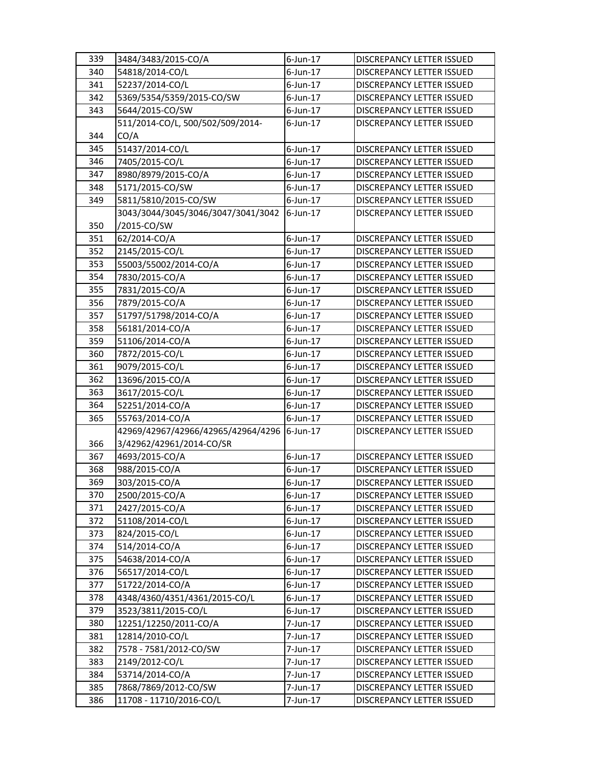| 339 | 3484/3483/2015-CO/A                | $6$ -Jun-17 | <b>DISCREPANCY LETTER ISSUED</b> |
|-----|------------------------------------|-------------|----------------------------------|
| 340 | 54818/2014-CO/L                    | $6$ -Jun-17 | <b>DISCREPANCY LETTER ISSUED</b> |
| 341 | 52237/2014-CO/L                    | $6$ -Jun-17 | DISCREPANCY LETTER ISSUED        |
| 342 | 5369/5354/5359/2015-CO/SW          | $6$ -Jun-17 | DISCREPANCY LETTER ISSUED        |
| 343 | 5644/2015-CO/SW                    | $6$ -Jun-17 | DISCREPANCY LETTER ISSUED        |
|     | 511/2014-CO/L, 500/502/509/2014-   | $6$ -Jun-17 | DISCREPANCY LETTER ISSUED        |
| 344 | CO/A                               |             |                                  |
| 345 | 51437/2014-CO/L                    | $6$ -Jun-17 | <b>DISCREPANCY LETTER ISSUED</b> |
| 346 | 7405/2015-CO/L                     | $6$ -Jun-17 | DISCREPANCY LETTER ISSUED        |
| 347 | 8980/8979/2015-CO/A                | 6-Jun-17    | DISCREPANCY LETTER ISSUED        |
| 348 | 5171/2015-CO/SW                    | 6-Jun-17    | DISCREPANCY LETTER ISSUED        |
| 349 | 5811/5810/2015-CO/SW               | 6-Jun-17    | DISCREPANCY LETTER ISSUED        |
|     | 3043/3044/3045/3046/3047/3041/3042 | 6-Jun-17    | DISCREPANCY LETTER ISSUED        |
| 350 | /2015-CO/SW                        |             |                                  |
| 351 | 62/2014-CO/A                       | $6$ -Jun-17 | DISCREPANCY LETTER ISSUED        |
| 352 | 2145/2015-CO/L                     | $6$ -Jun-17 | <b>DISCREPANCY LETTER ISSUED</b> |
| 353 | 55003/55002/2014-CO/A              | $6$ -Jun-17 | DISCREPANCY LETTER ISSUED        |
| 354 | 7830/2015-CO/A                     | $6$ -Jun-17 | DISCREPANCY LETTER ISSUED        |
| 355 | 7831/2015-CO/A                     | $6$ -Jun-17 | DISCREPANCY LETTER ISSUED        |
| 356 | 7879/2015-CO/A                     | $6$ -Jun-17 | DISCREPANCY LETTER ISSUED        |
| 357 | 51797/51798/2014-CO/A              | $6$ -Jun-17 | DISCREPANCY LETTER ISSUED        |
| 358 | 56181/2014-CO/A                    | $6$ -Jun-17 | DISCREPANCY LETTER ISSUED        |
| 359 | 51106/2014-CO/A                    | $6$ -Jun-17 | DISCREPANCY LETTER ISSUED        |
| 360 | 7872/2015-CO/L                     | $6$ -Jun-17 | DISCREPANCY LETTER ISSUED        |
| 361 | 9079/2015-CO/L                     | $6$ -Jun-17 | DISCREPANCY LETTER ISSUED        |
| 362 | 13696/2015-CO/A                    | $6$ -Jun-17 | DISCREPANCY LETTER ISSUED        |
| 363 | 3617/2015-CO/L                     | $6$ -Jun-17 | DISCREPANCY LETTER ISSUED        |
| 364 | 52251/2014-CO/A                    | $6$ -Jun-17 | DISCREPANCY LETTER ISSUED        |
| 365 | 55763/2014-CO/A                    | 6-Jun-17    | DISCREPANCY LETTER ISSUED        |
|     | 42969/42967/42966/42965/42964/4296 | 6-Jun-17    | <b>DISCREPANCY LETTER ISSUED</b> |
| 366 | 3/42962/42961/2014-CO/SR           |             |                                  |
| 367 | 4693/2015-CO/A                     | $6$ -Jun-17 | <b>DISCREPANCY LETTER ISSUED</b> |
| 368 | 988/2015-CO/A                      | $6$ -Jun-17 | DISCREPANCY LETTER ISSUED        |
| 369 | 303/2015-CO/A                      | $6$ -Jun-17 | <b>DISCREPANCY LETTER ISSUED</b> |
| 370 | 2500/2015-CO/A                     | $6$ -Jun-17 | DISCREPANCY LETTER ISSUED        |
| 371 | 2427/2015-CO/A                     | $6$ -Jun-17 | <b>DISCREPANCY LETTER ISSUED</b> |
| 372 | 51108/2014-CO/L                    | $6$ -Jun-17 | DISCREPANCY LETTER ISSUED        |
| 373 | 824/2015-CO/L                      | $6$ -Jun-17 | DISCREPANCY LETTER ISSUED        |
| 374 | 514/2014-CO/A                      | $6$ -Jun-17 | DISCREPANCY LETTER ISSUED        |
| 375 | 54638/2014-CO/A                    | $6$ -Jun-17 | DISCREPANCY LETTER ISSUED        |
| 376 | 56517/2014-CO/L                    | $6$ -Jun-17 | DISCREPANCY LETTER ISSUED        |
| 377 | 51722/2014-CO/A                    | $6$ -Jun-17 | DISCREPANCY LETTER ISSUED        |
| 378 | 4348/4360/4351/4361/2015-CO/L      | $6$ -Jun-17 | DISCREPANCY LETTER ISSUED        |
| 379 | 3523/3811/2015-CO/L                | $6$ -Jun-17 | DISCREPANCY LETTER ISSUED        |
| 380 | 12251/12250/2011-CO/A              | 7-Jun-17    | DISCREPANCY LETTER ISSUED        |
| 381 | 12814/2010-CO/L                    | 7-Jun-17    | DISCREPANCY LETTER ISSUED        |
| 382 | 7578 - 7581/2012-CO/SW             | 7-Jun-17    | DISCREPANCY LETTER ISSUED        |
| 383 | 2149/2012-CO/L                     | 7-Jun-17    | DISCREPANCY LETTER ISSUED        |
| 384 | 53714/2014-CO/A                    | 7-Jun-17    | DISCREPANCY LETTER ISSUED        |
| 385 | 7868/7869/2012-CO/SW               | 7-Jun-17    | DISCREPANCY LETTER ISSUED        |
| 386 | 11708 - 11710/2016-CO/L            | 7-Jun-17    | DISCREPANCY LETTER ISSUED        |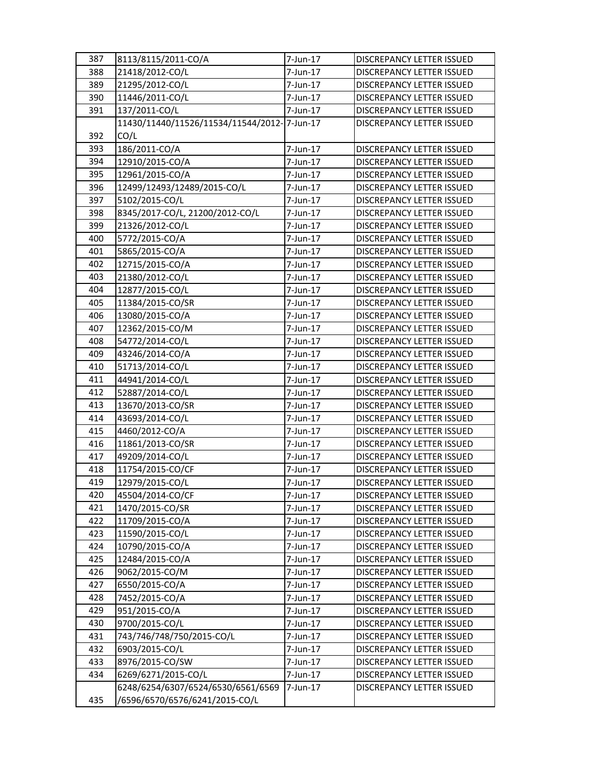| 387 | 8113/8115/2011-CO/A                         | 7-Jun-17 | DISCREPANCY LETTER ISSUED        |
|-----|---------------------------------------------|----------|----------------------------------|
| 388 | 21418/2012-CO/L                             | 7-Jun-17 | <b>DISCREPANCY LETTER ISSUED</b> |
| 389 | 21295/2012-CO/L                             | 7-Jun-17 | DISCREPANCY LETTER ISSUED        |
| 390 | 11446/2011-CO/L                             | 7-Jun-17 | DISCREPANCY LETTER ISSUED        |
| 391 | 137/2011-CO/L                               | 7-Jun-17 | DISCREPANCY LETTER ISSUED        |
|     | 11430/11440/11526/11534/11544/2012-7-Jun-17 |          | DISCREPANCY LETTER ISSUED        |
| 392 | CO/L                                        |          |                                  |
| 393 | 186/2011-CO/A                               | 7-Jun-17 | <b>DISCREPANCY LETTER ISSUED</b> |
| 394 | 12910/2015-CO/A                             | 7-Jun-17 | DISCREPANCY LETTER ISSUED        |
| 395 | 12961/2015-CO/A                             | 7-Jun-17 | DISCREPANCY LETTER ISSUED        |
| 396 | 12499/12493/12489/2015-CO/L                 | 7-Jun-17 | DISCREPANCY LETTER ISSUED        |
| 397 | 5102/2015-CO/L                              | 7-Jun-17 | DISCREPANCY LETTER ISSUED        |
| 398 | 8345/2017-CO/L, 21200/2012-CO/L             | 7-Jun-17 | DISCREPANCY LETTER ISSUED        |
| 399 | 21326/2012-CO/L                             | 7-Jun-17 | DISCREPANCY LETTER ISSUED        |
| 400 | 5772/2015-CO/A                              | 7-Jun-17 | DISCREPANCY LETTER ISSUED        |
| 401 | 5865/2015-CO/A                              | 7-Jun-17 | DISCREPANCY LETTER ISSUED        |
| 402 | 12715/2015-CO/A                             | 7-Jun-17 | DISCREPANCY LETTER ISSUED        |
| 403 | 21380/2012-CO/L                             | 7-Jun-17 | DISCREPANCY LETTER ISSUED        |
| 404 | 12877/2015-CO/L                             | 7-Jun-17 | DISCREPANCY LETTER ISSUED        |
| 405 | 11384/2015-CO/SR                            | 7-Jun-17 | DISCREPANCY LETTER ISSUED        |
| 406 | 13080/2015-CO/A                             | 7-Jun-17 | DISCREPANCY LETTER ISSUED        |
| 407 | 12362/2015-CO/M                             | 7-Jun-17 | DISCREPANCY LETTER ISSUED        |
| 408 | 54772/2014-CO/L                             | 7-Jun-17 | DISCREPANCY LETTER ISSUED        |
| 409 | 43246/2014-CO/A                             | 7-Jun-17 | DISCREPANCY LETTER ISSUED        |
| 410 | 51713/2014-CO/L                             | 7-Jun-17 | DISCREPANCY LETTER ISSUED        |
| 411 | 44941/2014-CO/L                             | 7-Jun-17 | DISCREPANCY LETTER ISSUED        |
| 412 | 52887/2014-CO/L                             | 7-Jun-17 | DISCREPANCY LETTER ISSUED        |
| 413 | 13670/2013-CO/SR                            | 7-Jun-17 | DISCREPANCY LETTER ISSUED        |
| 414 | 43693/2014-CO/L                             | 7-Jun-17 | DISCREPANCY LETTER ISSUED        |
| 415 | 4460/2012-CO/A                              | 7-Jun-17 | DISCREPANCY LETTER ISSUED        |
| 416 | 11861/2013-CO/SR                            | 7-Jun-17 | <b>DISCREPANCY LETTER ISSUED</b> |
| 417 | 49209/2014-CO/L                             | 7-Jun-17 | DISCREPANCY LETTER ISSUED        |
| 418 | 11754/2015-CO/CF                            | 7-Jun-17 | DISCREPANCY LETTER ISSUED        |
| 419 | 12979/2015-CO/L                             | 7-Jun-17 | <b>DISCREPANCY LETTER ISSUED</b> |
| 420 | 45504/2014-CO/CF                            | 7-Jun-17 | DISCREPANCY LETTER ISSUED        |
| 421 | 1470/2015-CO/SR                             | 7-Jun-17 | DISCREPANCY LETTER ISSUED        |
| 422 | 11709/2015-CO/A                             | 7-Jun-17 | DISCREPANCY LETTER ISSUED        |
| 423 | 11590/2015-CO/L                             | 7-Jun-17 | DISCREPANCY LETTER ISSUED        |
| 424 | 10790/2015-CO/A                             | 7-Jun-17 | DISCREPANCY LETTER ISSUED        |
| 425 | 12484/2015-CO/A                             | 7-Jun-17 | DISCREPANCY LETTER ISSUED        |
| 426 | 9062/2015-CO/M                              | 7-Jun-17 | DISCREPANCY LETTER ISSUED        |
| 427 | 6550/2015-CO/A                              | 7-Jun-17 | DISCREPANCY LETTER ISSUED        |
| 428 | 7452/2015-CO/A                              | 7-Jun-17 | DISCREPANCY LETTER ISSUED        |
| 429 | 951/2015-CO/A                               | 7-Jun-17 | DISCREPANCY LETTER ISSUED        |
| 430 | 9700/2015-CO/L                              | 7-Jun-17 | DISCREPANCY LETTER ISSUED        |
| 431 | 743/746/748/750/2015-CO/L                   | 7-Jun-17 | DISCREPANCY LETTER ISSUED        |
| 432 | 6903/2015-CO/L                              | 7-Jun-17 | DISCREPANCY LETTER ISSUED        |
| 433 | 8976/2015-CO/SW                             | 7-Jun-17 | DISCREPANCY LETTER ISSUED        |
| 434 | 6269/6271/2015-CO/L                         | 7-Jun-17 | DISCREPANCY LETTER ISSUED        |
|     | 6248/6254/6307/6524/6530/6561/6569          | 7-Jun-17 | DISCREPANCY LETTER ISSUED        |
|     |                                             |          |                                  |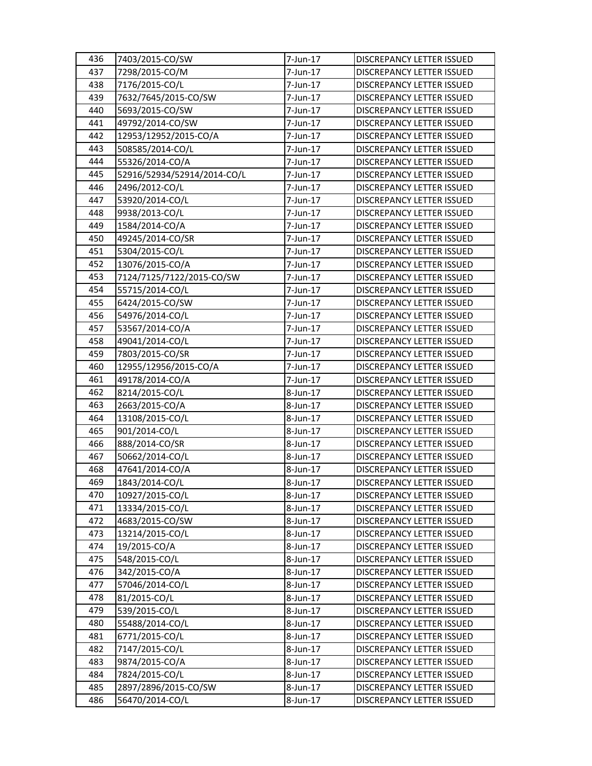| 436 | 7403/2015-CO/SW             | 7-Jun-17 | DISCREPANCY LETTER ISSUED        |
|-----|-----------------------------|----------|----------------------------------|
| 437 | 7298/2015-CO/M              | 7-Jun-17 | DISCREPANCY LETTER ISSUED        |
| 438 | 7176/2015-CO/L              | 7-Jun-17 | DISCREPANCY LETTER ISSUED        |
| 439 | 7632/7645/2015-CO/SW        | 7-Jun-17 | DISCREPANCY LETTER ISSUED        |
| 440 | 5693/2015-CO/SW             | 7-Jun-17 | DISCREPANCY LETTER ISSUED        |
| 441 | 49792/2014-CO/SW            | 7-Jun-17 | DISCREPANCY LETTER ISSUED        |
| 442 | 12953/12952/2015-CO/A       | 7-Jun-17 | DISCREPANCY LETTER ISSUED        |
| 443 | 508585/2014-CO/L            | 7-Jun-17 | DISCREPANCY LETTER ISSUED        |
| 444 | 55326/2014-CO/A             | 7-Jun-17 | DISCREPANCY LETTER ISSUED        |
| 445 | 52916/52934/52914/2014-CO/L | 7-Jun-17 | DISCREPANCY LETTER ISSUED        |
| 446 | 2496/2012-CO/L              | 7-Jun-17 | DISCREPANCY LETTER ISSUED        |
| 447 | 53920/2014-CO/L             | 7-Jun-17 | <b>DISCREPANCY LETTER ISSUED</b> |
| 448 | 9938/2013-CO/L              | 7-Jun-17 | DISCREPANCY LETTER ISSUED        |
| 449 | 1584/2014-CO/A              | 7-Jun-17 | DISCREPANCY LETTER ISSUED        |
| 450 | 49245/2014-CO/SR            | 7-Jun-17 | DISCREPANCY LETTER ISSUED        |
| 451 | 5304/2015-CO/L              | 7-Jun-17 | <b>DISCREPANCY LETTER ISSUED</b> |
| 452 | 13076/2015-CO/A             | 7-Jun-17 | DISCREPANCY LETTER ISSUED        |
| 453 | 7124/7125/7122/2015-CO/SW   | 7-Jun-17 | DISCREPANCY LETTER ISSUED        |
| 454 | 55715/2014-CO/L             | 7-Jun-17 | DISCREPANCY LETTER ISSUED        |
| 455 | 6424/2015-CO/SW             | 7-Jun-17 | DISCREPANCY LETTER ISSUED        |
| 456 | 54976/2014-CO/L             | 7-Jun-17 | DISCREPANCY LETTER ISSUED        |
| 457 | 53567/2014-CO/A             | 7-Jun-17 | DISCREPANCY LETTER ISSUED        |
| 458 | 49041/2014-CO/L             | 7-Jun-17 | DISCREPANCY LETTER ISSUED        |
| 459 | 7803/2015-CO/SR             | 7-Jun-17 | DISCREPANCY LETTER ISSUED        |
| 460 | 12955/12956/2015-CO/A       | 7-Jun-17 | DISCREPANCY LETTER ISSUED        |
| 461 | 49178/2014-CO/A             | 7-Jun-17 | DISCREPANCY LETTER ISSUED        |
| 462 | 8214/2015-CO/L              | 8-Jun-17 | DISCREPANCY LETTER ISSUED        |
| 463 | 2663/2015-CO/A              | 8-Jun-17 | DISCREPANCY LETTER ISSUED        |
| 464 | 13108/2015-CO/L             | 8-Jun-17 | DISCREPANCY LETTER ISSUED        |
| 465 | 901/2014-CO/L               | 8-Jun-17 | DISCREPANCY LETTER ISSUED        |
| 466 | 888/2014-CO/SR              | 8-Jun-17 | DISCREPANCY LETTER ISSUED        |
| 467 | 50662/2014-CO/L             | 8-Jun-17 | DISCREPANCY LETTER ISSUED        |
| 468 | 47641/2014-CO/A             | 8-Jun-17 | DISCREPANCY LETTER ISSUED        |
| 469 | 1843/2014-CO/L              | 8-Jun-17 | <b>DISCREPANCY LETTER ISSUED</b> |
| 470 | 10927/2015-CO/L             | 8-Jun-17 | DISCREPANCY LETTER ISSUED        |
| 471 | 13334/2015-CO/L             | 8-Jun-17 | DISCREPANCY LETTER ISSUED        |
| 472 | 4683/2015-CO/SW             | 8-Jun-17 | DISCREPANCY LETTER ISSUED        |
| 473 | 13214/2015-CO/L             | 8-Jun-17 | DISCREPANCY LETTER ISSUED        |
| 474 | 19/2015-CO/A                | 8-Jun-17 | DISCREPANCY LETTER ISSUED        |
| 475 | 548/2015-CO/L               | 8-Jun-17 | DISCREPANCY LETTER ISSUED        |
| 476 | 342/2015-CO/A               | 8-Jun-17 | DISCREPANCY LETTER ISSUED        |
| 477 | 57046/2014-CO/L             | 8-Jun-17 | DISCREPANCY LETTER ISSUED        |
| 478 | 81/2015-CO/L                | 8-Jun-17 | DISCREPANCY LETTER ISSUED        |
| 479 | 539/2015-CO/L               | 8-Jun-17 | DISCREPANCY LETTER ISSUED        |
| 480 | 55488/2014-CO/L             | 8-Jun-17 | DISCREPANCY LETTER ISSUED        |
| 481 | 6771/2015-CO/L              | 8-Jun-17 | DISCREPANCY LETTER ISSUED        |
| 482 | 7147/2015-CO/L              | 8-Jun-17 | DISCREPANCY LETTER ISSUED        |
| 483 | 9874/2015-CO/A              | 8-Jun-17 | DISCREPANCY LETTER ISSUED        |
| 484 | 7824/2015-CO/L              | 8-Jun-17 | DISCREPANCY LETTER ISSUED        |
| 485 | 2897/2896/2015-CO/SW        | 8-Jun-17 | DISCREPANCY LETTER ISSUED        |
| 486 | 56470/2014-CO/L             | 8-Jun-17 | DISCREPANCY LETTER ISSUED        |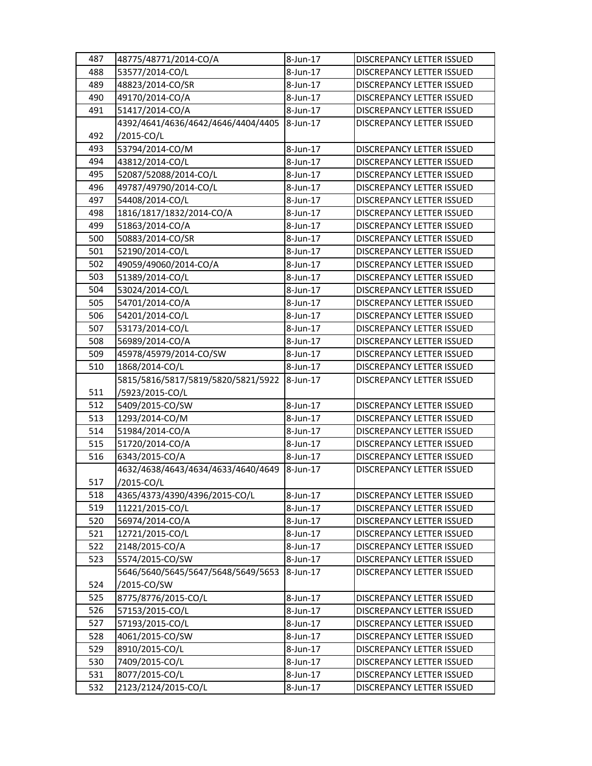| 487 | 48775/48771/2014-CO/A              | 8-Jun-17 | DISCREPANCY LETTER ISSUED        |
|-----|------------------------------------|----------|----------------------------------|
| 488 | 53577/2014-CO/L                    | 8-Jun-17 | <b>DISCREPANCY LETTER ISSUED</b> |
| 489 | 48823/2014-CO/SR                   | 8-Jun-17 | <b>DISCREPANCY LETTER ISSUED</b> |
| 490 | 49170/2014-CO/A                    | 8-Jun-17 | DISCREPANCY LETTER ISSUED        |
| 491 | 51417/2014-CO/A                    | 8-Jun-17 | DISCREPANCY LETTER ISSUED        |
|     | 4392/4641/4636/4642/4646/4404/4405 | 8-Jun-17 | <b>DISCREPANCY LETTER ISSUED</b> |
| 492 | /2015-CO/L                         |          |                                  |
| 493 | 53794/2014-CO/M                    | 8-Jun-17 | <b>DISCREPANCY LETTER ISSUED</b> |
| 494 | 43812/2014-CO/L                    | 8-Jun-17 | DISCREPANCY LETTER ISSUED        |
| 495 | 52087/52088/2014-CO/L              | 8-Jun-17 | DISCREPANCY LETTER ISSUED        |
| 496 | 49787/49790/2014-CO/L              | 8-Jun-17 | DISCREPANCY LETTER ISSUED        |
| 497 | 54408/2014-CO/L                    | 8-Jun-17 | <b>DISCREPANCY LETTER ISSUED</b> |
| 498 | 1816/1817/1832/2014-CO/A           | 8-Jun-17 | DISCREPANCY LETTER ISSUED        |
| 499 | 51863/2014-CO/A                    | 8-Jun-17 | DISCREPANCY LETTER ISSUED        |
| 500 | 50883/2014-CO/SR                   | 8-Jun-17 | DISCREPANCY LETTER ISSUED        |
| 501 | 52190/2014-CO/L                    | 8-Jun-17 | DISCREPANCY LETTER ISSUED        |
| 502 | 49059/49060/2014-CO/A              | 8-Jun-17 | DISCREPANCY LETTER ISSUED        |
| 503 | 51389/2014-CO/L                    | 8-Jun-17 | DISCREPANCY LETTER ISSUED        |
| 504 | 53024/2014-CO/L                    | 8-Jun-17 | <b>DISCREPANCY LETTER ISSUED</b> |
| 505 | 54701/2014-CO/A                    | 8-Jun-17 | DISCREPANCY LETTER ISSUED        |
| 506 | 54201/2014-CO/L                    | 8-Jun-17 | <b>DISCREPANCY LETTER ISSUED</b> |
| 507 | 53173/2014-CO/L                    | 8-Jun-17 | DISCREPANCY LETTER ISSUED        |
| 508 | 56989/2014-CO/A                    | 8-Jun-17 | DISCREPANCY LETTER ISSUED        |
| 509 | 45978/45979/2014-CO/SW             | 8-Jun-17 | DISCREPANCY LETTER ISSUED        |
| 510 | 1868/2014-CO/L                     | 8-Jun-17 | DISCREPANCY LETTER ISSUED        |
|     | 5815/5816/5817/5819/5820/5821/5922 | 8-Jun-17 | DISCREPANCY LETTER ISSUED        |
| 511 | /5923/2015-CO/L                    |          |                                  |
| 512 | 5409/2015-CO/SW                    | 8-Jun-17 | DISCREPANCY LETTER ISSUED        |
| 513 | 1293/2014-CO/M                     | 8-Jun-17 | <b>DISCREPANCY LETTER ISSUED</b> |
| 514 | 51984/2014-CO/A                    | 8-Jun-17 | <b>DISCREPANCY LETTER ISSUED</b> |
| 515 | 51720/2014-CO/A                    | 8-Jun-17 | <b>DISCREPANCY LETTER ISSUED</b> |
| 516 | 6343/2015-CO/A                     | 8-Jun-17 | DISCREPANCY LETTER ISSUED        |
|     | 4632/4638/4643/4634/4633/4640/4649 | 8-Jun-17 | DISCREPANCY LETTER ISSUED        |
| 517 | /2015-CO/L                         |          |                                  |
| 518 | 4365/4373/4390/4396/2015-CO/L      |          |                                  |
| 519 |                                    | 8-Jun-17 | DISCREPANCY LETTER ISSUED        |
|     | 11221/2015-CO/L                    | 8-Jun-17 | DISCREPANCY LETTER ISSUED        |
| 520 | 56974/2014-CO/A                    | 8-Jun-17 | DISCREPANCY LETTER ISSUED        |
| 521 | 12721/2015-CO/L                    | 8-Jun-17 | DISCREPANCY LETTER ISSUED        |
| 522 | 2148/2015-CO/A                     | 8-Jun-17 | DISCREPANCY LETTER ISSUED        |
| 523 | 5574/2015-CO/SW                    | 8-Jun-17 | DISCREPANCY LETTER ISSUED        |
|     | 5646/5640/5645/5647/5648/5649/5653 | 8-Jun-17 | DISCREPANCY LETTER ISSUED        |
| 524 | /2015-CO/SW                        |          |                                  |
| 525 | 8775/8776/2015-CO/L                | 8-Jun-17 | DISCREPANCY LETTER ISSUED        |
| 526 | 57153/2015-CO/L                    | 8-Jun-17 | DISCREPANCY LETTER ISSUED        |
| 527 | 57193/2015-CO/L                    | 8-Jun-17 | DISCREPANCY LETTER ISSUED        |
| 528 | 4061/2015-CO/SW                    | 8-Jun-17 | <b>DISCREPANCY LETTER ISSUED</b> |
| 529 | 8910/2015-CO/L                     | 8-Jun-17 | DISCREPANCY LETTER ISSUED        |
| 530 | 7409/2015-CO/L                     | 8-Jun-17 | DISCREPANCY LETTER ISSUED        |
| 531 | 8077/2015-CO/L                     | 8-Jun-17 | DISCREPANCY LETTER ISSUED        |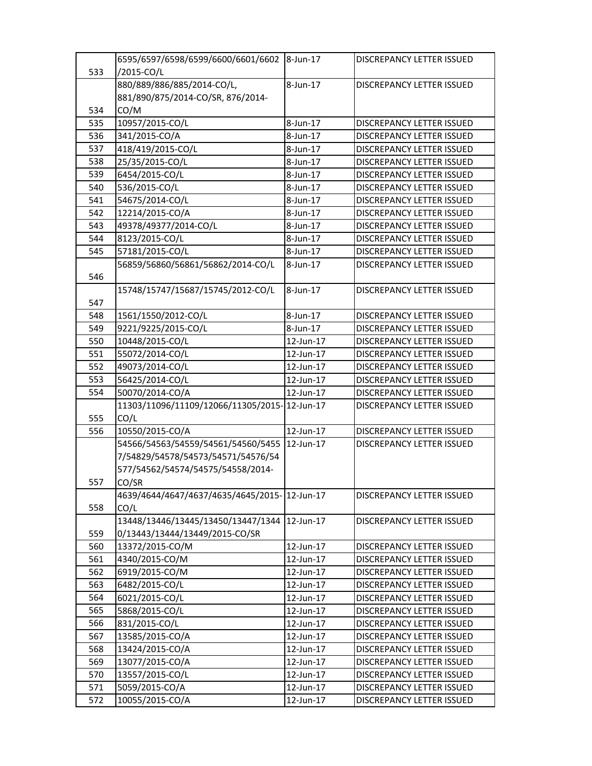|     | 6595/6597/6598/6599/6600/6601/6602 8-Jun-17  |           | <b>DISCREPANCY LETTER ISSUED</b> |
|-----|----------------------------------------------|-----------|----------------------------------|
| 533 | /2015-CO/L                                   |           |                                  |
|     | 880/889/886/885/2014-CO/L,                   | 8-Jun-17  | <b>DISCREPANCY LETTER ISSUED</b> |
|     | 881/890/875/2014-CO/SR, 876/2014-            |           |                                  |
| 534 | CO/M                                         |           |                                  |
| 535 | 10957/2015-CO/L                              | 8-Jun-17  | <b>DISCREPANCY LETTER ISSUED</b> |
| 536 | 341/2015-CO/A                                | 8-Jun-17  | DISCREPANCY LETTER ISSUED        |
| 537 | 418/419/2015-CO/L                            | 8-Jun-17  | DISCREPANCY LETTER ISSUED        |
| 538 | 25/35/2015-CO/L                              | 8-Jun-17  | DISCREPANCY LETTER ISSUED        |
| 539 | 6454/2015-CO/L                               | 8-Jun-17  | DISCREPANCY LETTER ISSUED        |
| 540 | 536/2015-CO/L                                | 8-Jun-17  | <b>DISCREPANCY LETTER ISSUED</b> |
| 541 | 54675/2014-CO/L                              | 8-Jun-17  | DISCREPANCY LETTER ISSUED        |
| 542 | 12214/2015-CO/A                              | 8-Jun-17  | DISCREPANCY LETTER ISSUED        |
| 543 | 49378/49377/2014-CO/L                        | 8-Jun-17  | DISCREPANCY LETTER ISSUED        |
| 544 | 8123/2015-CO/L                               | 8-Jun-17  | DISCREPANCY LETTER ISSUED        |
| 545 | 57181/2015-CO/L                              | 8-Jun-17  | DISCREPANCY LETTER ISSUED        |
|     | 56859/56860/56861/56862/2014-CO/L            | 8-Jun-17  | DISCREPANCY LETTER ISSUED        |
| 546 |                                              |           |                                  |
|     | 15748/15747/15687/15745/2012-CO/L            | 8-Jun-17  | <b>DISCREPANCY LETTER ISSUED</b> |
| 547 |                                              |           |                                  |
| 548 | 1561/1550/2012-CO/L                          | 8-Jun-17  | <b>DISCREPANCY LETTER ISSUED</b> |
| 549 | 9221/9225/2015-CO/L                          | 8-Jun-17  | <b>DISCREPANCY LETTER ISSUED</b> |
| 550 | 10448/2015-CO/L                              | 12-Jun-17 | DISCREPANCY LETTER ISSUED        |
| 551 | 55072/2014-CO/L                              | 12-Jun-17 | DISCREPANCY LETTER ISSUED        |
| 552 | 49073/2014-CO/L                              | 12-Jun-17 | DISCREPANCY LETTER ISSUED        |
| 553 | 56425/2014-CO/L                              | 12-Jun-17 | DISCREPANCY LETTER ISSUED        |
| 554 | 50070/2014-CO/A                              | 12-Jun-17 | DISCREPANCY LETTER ISSUED        |
|     | 11303/11096/11109/12066/11305/2015-12-Jun-17 |           | <b>DISCREPANCY LETTER ISSUED</b> |
| 555 | CO/L                                         |           |                                  |
| 556 | 10550/2015-CO/A                              | 12-Jun-17 | DISCREPANCY LETTER ISSUED        |
|     | 54566/54563/54559/54561/54560/5455           | 12-Jun-17 | <b>DISCREPANCY LETTER ISSUED</b> |
|     | 7/54829/54578/54573/54571/54576/54           |           |                                  |
|     | 577/54562/54574/54575/54558/2014-            |           |                                  |
| 557 | CO/SR                                        |           |                                  |
|     | 4639/4644/4647/4637/4635/4645/2015-12-Jun-17 |           | DISCREPANCY LETTER ISSUED        |
| 558 | CO/L                                         |           |                                  |
|     | 13448/13446/13445/13450/13447/1344           | 12-Jun-17 | <b>DISCREPANCY LETTER ISSUED</b> |
| 559 | 0/13443/13444/13449/2015-CO/SR               |           |                                  |
| 560 | 13372/2015-CO/M                              | 12-Jun-17 | DISCREPANCY LETTER ISSUED        |
| 561 | 4340/2015-CO/M                               | 12-Jun-17 | DISCREPANCY LETTER ISSUED        |
| 562 | 6919/2015-CO/M                               | 12-Jun-17 | DISCREPANCY LETTER ISSUED        |
| 563 | 6482/2015-CO/L                               | 12-Jun-17 | <b>DISCREPANCY LETTER ISSUED</b> |
| 564 | 6021/2015-CO/L                               | 12-Jun-17 | DISCREPANCY LETTER ISSUED        |
| 565 | 5868/2015-CO/L                               | 12-Jun-17 | <b>DISCREPANCY LETTER ISSUED</b> |
| 566 | 831/2015-CO/L                                | 12-Jun-17 | DISCREPANCY LETTER ISSUED        |
| 567 | 13585/2015-CO/A                              | 12-Jun-17 | DISCREPANCY LETTER ISSUED        |
| 568 | 13424/2015-CO/A                              | 12-Jun-17 | DISCREPANCY LETTER ISSUED        |
| 569 | 13077/2015-CO/A                              | 12-Jun-17 | DISCREPANCY LETTER ISSUED        |
| 570 | 13557/2015-CO/L                              | 12-Jun-17 | DISCREPANCY LETTER ISSUED        |
| 571 | 5059/2015-CO/A                               | 12-Jun-17 | DISCREPANCY LETTER ISSUED        |
| 572 | 10055/2015-CO/A                              | 12-Jun-17 | DISCREPANCY LETTER ISSUED        |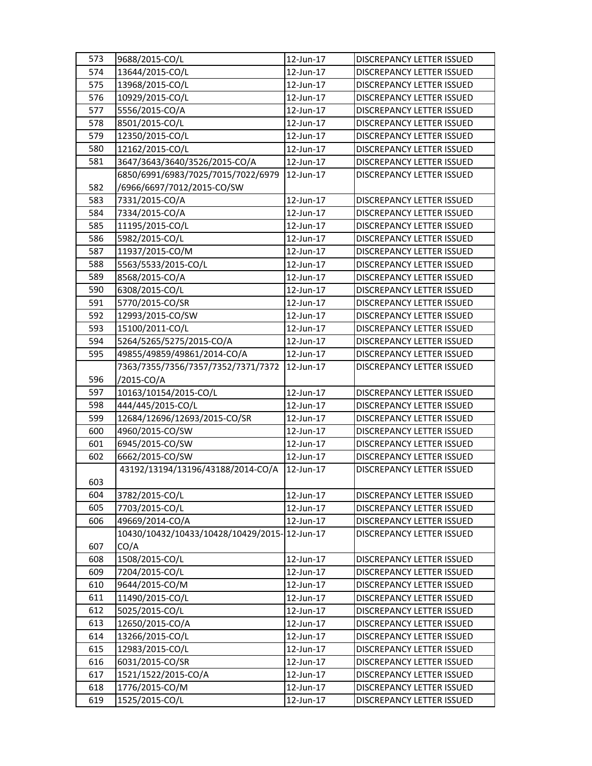| 573 | 9688/2015-CO/L                               | 12-Jun-17 | <b>DISCREPANCY LETTER ISSUED</b> |
|-----|----------------------------------------------|-----------|----------------------------------|
| 574 | 13644/2015-CO/L                              | 12-Jun-17 | DISCREPANCY LETTER ISSUED        |
| 575 | 13968/2015-CO/L                              | 12-Jun-17 | DISCREPANCY LETTER ISSUED        |
| 576 | 10929/2015-CO/L                              | 12-Jun-17 | DISCREPANCY LETTER ISSUED        |
| 577 | 5556/2015-CO/A                               | 12-Jun-17 | DISCREPANCY LETTER ISSUED        |
| 578 | 8501/2015-CO/L                               | 12-Jun-17 | DISCREPANCY LETTER ISSUED        |
| 579 | 12350/2015-CO/L                              | 12-Jun-17 | DISCREPANCY LETTER ISSUED        |
| 580 | 12162/2015-CO/L                              | 12-Jun-17 | DISCREPANCY LETTER ISSUED        |
| 581 | 3647/3643/3640/3526/2015-CO/A                | 12-Jun-17 | DISCREPANCY LETTER ISSUED        |
|     | 6850/6991/6983/7025/7015/7022/6979           | 12-Jun-17 | DISCREPANCY LETTER ISSUED        |
| 582 | /6966/6697/7012/2015-CO/SW                   |           |                                  |
| 583 | 7331/2015-CO/A                               | 12-Jun-17 | DISCREPANCY LETTER ISSUED        |
| 584 | 7334/2015-CO/A                               | 12-Jun-17 | DISCREPANCY LETTER ISSUED        |
| 585 | 11195/2015-CO/L                              | 12-Jun-17 | DISCREPANCY LETTER ISSUED        |
| 586 | 5982/2015-CO/L                               | 12-Jun-17 | DISCREPANCY LETTER ISSUED        |
| 587 | 11937/2015-CO/M                              | 12-Jun-17 | <b>DISCREPANCY LETTER ISSUED</b> |
| 588 | 5563/5533/2015-CO/L                          | 12-Jun-17 | DISCREPANCY LETTER ISSUED        |
| 589 | 8568/2015-CO/A                               | 12-Jun-17 | DISCREPANCY LETTER ISSUED        |
| 590 | 6308/2015-CO/L                               | 12-Jun-17 | DISCREPANCY LETTER ISSUED        |
| 591 | 5770/2015-CO/SR                              | 12-Jun-17 | DISCREPANCY LETTER ISSUED        |
| 592 | 12993/2015-CO/SW                             | 12-Jun-17 | DISCREPANCY LETTER ISSUED        |
| 593 | 15100/2011-CO/L                              | 12-Jun-17 | DISCREPANCY LETTER ISSUED        |
| 594 | 5264/5265/5275/2015-CO/A                     | 12-Jun-17 | DISCREPANCY LETTER ISSUED        |
| 595 | 49855/49859/49861/2014-CO/A                  | 12-Jun-17 | DISCREPANCY LETTER ISSUED        |
|     | 7363/7355/7356/7357/7352/7371/7372           | 12-Jun-17 | DISCREPANCY LETTER ISSUED        |
| 596 | /2015-CO/A                                   |           |                                  |
| 597 | 10163/10154/2015-CO/L                        | 12-Jun-17 | DISCREPANCY LETTER ISSUED        |
| 598 | 444/445/2015-CO/L                            | 12-Jun-17 | DISCREPANCY LETTER ISSUED        |
| 599 | 12684/12696/12693/2015-CO/SR                 | 12-Jun-17 | DISCREPANCY LETTER ISSUED        |
| 600 | 4960/2015-CO/SW                              | 12-Jun-17 | DISCREPANCY LETTER ISSUED        |
| 601 | 6945/2015-CO/SW                              | 12-Jun-17 | <b>DISCREPANCY LETTER ISSUED</b> |
| 602 | 6662/2015-CO/SW                              | 12-Jun-17 | DISCREPANCY LETTER ISSUED        |
|     | 43192/13194/13196/43188/2014-CO/A            | 12-Jun-17 | DISCREPANCY LETTER ISSUED        |
| 603 |                                              |           |                                  |
| 604 | 3782/2015-CO/L                               | 12-Jun-17 | DISCREPANCY LETTER ISSUED        |
| 605 | 7703/2015-CO/L                               | 12-Jun-17 | <b>DISCREPANCY LETTER ISSUED</b> |
| 606 | 49669/2014-CO/A                              | 12-Jun-17 | DISCREPANCY LETTER ISSUED        |
|     | 10430/10432/10433/10428/10429/2015-12-Jun-17 |           | DISCREPANCY LETTER ISSUED        |
| 607 | CO/A                                         |           |                                  |
| 608 | 1508/2015-CO/L                               | 12-Jun-17 | DISCREPANCY LETTER ISSUED        |
| 609 | 7204/2015-CO/L                               | 12-Jun-17 | DISCREPANCY LETTER ISSUED        |
| 610 | 9644/2015-CO/M                               | 12-Jun-17 | DISCREPANCY LETTER ISSUED        |
| 611 | 11490/2015-CO/L                              | 12-Jun-17 | DISCREPANCY LETTER ISSUED        |
| 612 | 5025/2015-CO/L                               | 12-Jun-17 | DISCREPANCY LETTER ISSUED        |
| 613 | 12650/2015-CO/A                              | 12-Jun-17 | DISCREPANCY LETTER ISSUED        |
| 614 | 13266/2015-CO/L                              | 12-Jun-17 | DISCREPANCY LETTER ISSUED        |
| 615 | 12983/2015-CO/L                              | 12-Jun-17 | DISCREPANCY LETTER ISSUED        |
| 616 | 6031/2015-CO/SR                              | 12-Jun-17 | DISCREPANCY LETTER ISSUED        |
| 617 | 1521/1522/2015-CO/A                          | 12-Jun-17 | DISCREPANCY LETTER ISSUED        |
| 618 | 1776/2015-CO/M                               | 12-Jun-17 | DISCREPANCY LETTER ISSUED        |
| 619 | 1525/2015-CO/L                               | 12-Jun-17 | DISCREPANCY LETTER ISSUED        |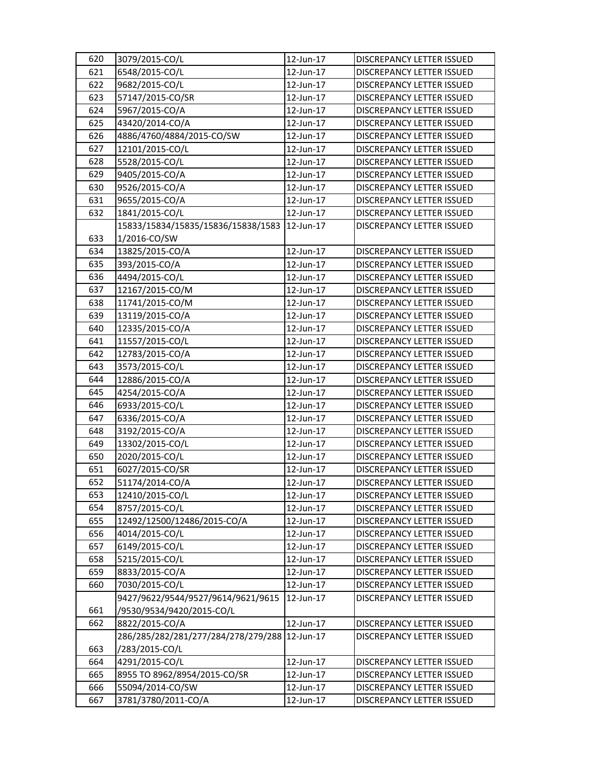| 620 | 3079/2015-CO/L                      | 12-Jun-17 | DISCREPANCY LETTER ISSUED        |
|-----|-------------------------------------|-----------|----------------------------------|
| 621 | 6548/2015-CO/L                      | 12-Jun-17 | DISCREPANCY LETTER ISSUED        |
| 622 | 9682/2015-CO/L                      | 12-Jun-17 | DISCREPANCY LETTER ISSUED        |
| 623 | 57147/2015-CO/SR                    | 12-Jun-17 | DISCREPANCY LETTER ISSUED        |
| 624 | 5967/2015-CO/A                      | 12-Jun-17 | DISCREPANCY LETTER ISSUED        |
| 625 | 43420/2014-CO/A                     | 12-Jun-17 | DISCREPANCY LETTER ISSUED        |
| 626 | 4886/4760/4884/2015-CO/SW           | 12-Jun-17 | DISCREPANCY LETTER ISSUED        |
| 627 | 12101/2015-CO/L                     | 12-Jun-17 | DISCREPANCY LETTER ISSUED        |
| 628 | 5528/2015-CO/L                      | 12-Jun-17 | <b>DISCREPANCY LETTER ISSUED</b> |
| 629 | 9405/2015-CO/A                      | 12-Jun-17 | DISCREPANCY LETTER ISSUED        |
| 630 | 9526/2015-CO/A                      | 12-Jun-17 | DISCREPANCY LETTER ISSUED        |
| 631 | 9655/2015-CO/A                      | 12-Jun-17 | DISCREPANCY LETTER ISSUED        |
| 632 | 1841/2015-CO/L                      | 12-Jun-17 | DISCREPANCY LETTER ISSUED        |
|     | 15833/15834/15835/15836/15838/1583  | 12-Jun-17 | DISCREPANCY LETTER ISSUED        |
| 633 | 1/2016-CO/SW                        |           |                                  |
| 634 | 13825/2015-CO/A                     | 12-Jun-17 | DISCREPANCY LETTER ISSUED        |
| 635 | 393/2015-CO/A                       | 12-Jun-17 | DISCREPANCY LETTER ISSUED        |
| 636 | 4494/2015-CO/L                      | 12-Jun-17 | DISCREPANCY LETTER ISSUED        |
| 637 | 12167/2015-CO/M                     | 12-Jun-17 | DISCREPANCY LETTER ISSUED        |
| 638 | 11741/2015-CO/M                     | 12-Jun-17 | DISCREPANCY LETTER ISSUED        |
| 639 | 13119/2015-CO/A                     | 12-Jun-17 | DISCREPANCY LETTER ISSUED        |
| 640 | 12335/2015-CO/A                     | 12-Jun-17 | DISCREPANCY LETTER ISSUED        |
| 641 | 11557/2015-CO/L                     | 12-Jun-17 | DISCREPANCY LETTER ISSUED        |
| 642 | 12783/2015-CO/A                     | 12-Jun-17 | DISCREPANCY LETTER ISSUED        |
| 643 | 3573/2015-CO/L                      | 12-Jun-17 | DISCREPANCY LETTER ISSUED        |
| 644 | 12886/2015-CO/A                     | 12-Jun-17 | DISCREPANCY LETTER ISSUED        |
| 645 | 4254/2015-CO/A                      | 12-Jun-17 | DISCREPANCY LETTER ISSUED        |
| 646 | 6933/2015-CO/L                      | 12-Jun-17 | DISCREPANCY LETTER ISSUED        |
| 647 | 6336/2015-CO/A                      | 12-Jun-17 | DISCREPANCY LETTER ISSUED        |
| 648 | 3192/2015-CO/A                      | 12-Jun-17 | DISCREPANCY LETTER ISSUED        |
| 649 | 13302/2015-CO/L                     | 12-Jun-17 | DISCREPANCY LETTER ISSUED        |
| 650 | 2020/2015-CO/L                      | 12-Jun-17 | DISCREPANCY LETTER ISSUED        |
| 651 | 6027/2015-CO/SR                     | 12-Jun-17 | <b>DISCREPANCY LETTER ISSUED</b> |
| 652 | 51174/2014-CO/A                     | 12-Jun-17 | <b>DISCREPANCY LETTER ISSUED</b> |
| 653 | 12410/2015-CO/L                     | 12-Jun-17 | DISCREPANCY LETTER ISSUED        |
| 654 | 8757/2015-CO/L                      | 12-Jun-17 | DISCREPANCY LETTER ISSUED        |
| 655 | 12492/12500/12486/2015-CO/A         | 12-Jun-17 | DISCREPANCY LETTER ISSUED        |
| 656 | 4014/2015-CO/L                      | 12-Jun-17 | DISCREPANCY LETTER ISSUED        |
| 657 | 6149/2015-CO/L                      | 12-Jun-17 | DISCREPANCY LETTER ISSUED        |
| 658 | 5215/2015-CO/L                      | 12-Jun-17 | DISCREPANCY LETTER ISSUED        |
| 659 | 8833/2015-CO/A                      | 12-Jun-17 | DISCREPANCY LETTER ISSUED        |
| 660 | 7030/2015-CO/L                      | 12-Jun-17 | <b>DISCREPANCY LETTER ISSUED</b> |
|     | 9427/9622/9544/9527/9614/9621/9615  | 12-Jun-17 | DISCREPANCY LETTER ISSUED        |
| 661 | /9530/9534/9420/2015-CO/L           |           |                                  |
| 662 | 8822/2015-CO/A                      | 12-Jun-17 | DISCREPANCY LETTER ISSUED        |
|     | 286/285/282/281/277/284/278/279/288 | 12-Jun-17 | DISCREPANCY LETTER ISSUED        |
| 663 | /283/2015-CO/L                      |           |                                  |
| 664 | 4291/2015-CO/L                      | 12-Jun-17 | DISCREPANCY LETTER ISSUED        |
| 665 | 8955 TO 8962/8954/2015-CO/SR        | 12-Jun-17 | DISCREPANCY LETTER ISSUED        |
| 666 | 55094/2014-CO/SW                    | 12-Jun-17 | DISCREPANCY LETTER ISSUED        |
| 667 | 3781/3780/2011-CO/A                 | 12-Jun-17 | DISCREPANCY LETTER ISSUED        |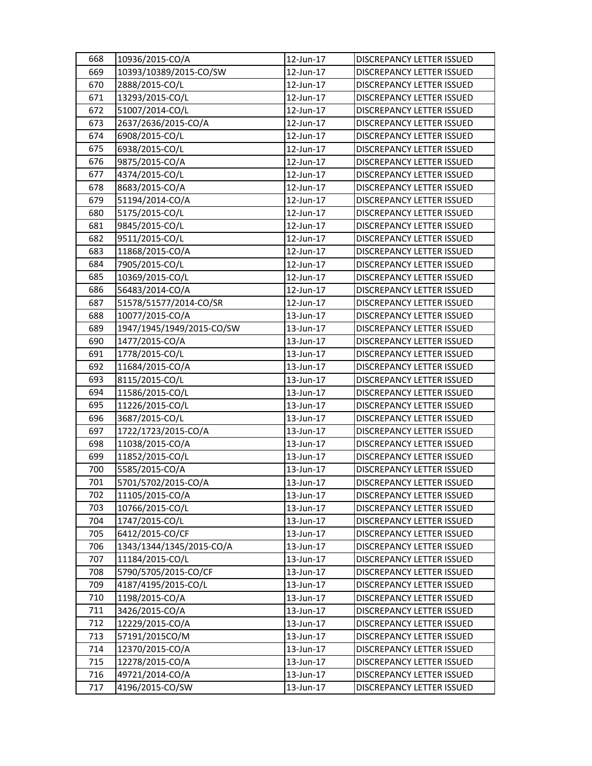| 668 | 10936/2015-CO/A           | 12-Jun-17 | DISCREPANCY LETTER ISSUED        |
|-----|---------------------------|-----------|----------------------------------|
| 669 | 10393/10389/2015-CO/SW    | 12-Jun-17 | DISCREPANCY LETTER ISSUED        |
| 670 | 2888/2015-CO/L            | 12-Jun-17 | DISCREPANCY LETTER ISSUED        |
| 671 | 13293/2015-CO/L           | 12-Jun-17 | DISCREPANCY LETTER ISSUED        |
| 672 | 51007/2014-CO/L           | 12-Jun-17 | DISCREPANCY LETTER ISSUED        |
| 673 | 2637/2636/2015-CO/A       | 12-Jun-17 | DISCREPANCY LETTER ISSUED        |
| 674 | 6908/2015-CO/L            | 12-Jun-17 | DISCREPANCY LETTER ISSUED        |
| 675 | 6938/2015-CO/L            | 12-Jun-17 | DISCREPANCY LETTER ISSUED        |
| 676 | 9875/2015-CO/A            | 12-Jun-17 | DISCREPANCY LETTER ISSUED        |
| 677 | 4374/2015-CO/L            | 12-Jun-17 | DISCREPANCY LETTER ISSUED        |
| 678 | 8683/2015-CO/A            | 12-Jun-17 | DISCREPANCY LETTER ISSUED        |
| 679 | 51194/2014-CO/A           | 12-Jun-17 | DISCREPANCY LETTER ISSUED        |
| 680 | 5175/2015-CO/L            | 12-Jun-17 | DISCREPANCY LETTER ISSUED        |
| 681 | 9845/2015-CO/L            | 12-Jun-17 | DISCREPANCY LETTER ISSUED        |
| 682 | 9511/2015-CO/L            | 12-Jun-17 | DISCREPANCY LETTER ISSUED        |
| 683 | 11868/2015-CO/A           | 12-Jun-17 | DISCREPANCY LETTER ISSUED        |
| 684 | 7905/2015-CO/L            | 12-Jun-17 | DISCREPANCY LETTER ISSUED        |
| 685 | 10369/2015-CO/L           | 12-Jun-17 | <b>DISCREPANCY LETTER ISSUED</b> |
| 686 | 56483/2014-CO/A           | 12-Jun-17 | DISCREPANCY LETTER ISSUED        |
| 687 | 51578/51577/2014-CO/SR    | 12-Jun-17 | DISCREPANCY LETTER ISSUED        |
| 688 | 10077/2015-CO/A           | 13-Jun-17 | DISCREPANCY LETTER ISSUED        |
| 689 | 1947/1945/1949/2015-CO/SW | 13-Jun-17 | DISCREPANCY LETTER ISSUED        |
| 690 | 1477/2015-CO/A            | 13-Jun-17 | DISCREPANCY LETTER ISSUED        |
| 691 | 1778/2015-CO/L            | 13-Jun-17 | DISCREPANCY LETTER ISSUED        |
| 692 | 11684/2015-CO/A           | 13-Jun-17 | DISCREPANCY LETTER ISSUED        |
| 693 | 8115/2015-CO/L            | 13-Jun-17 | DISCREPANCY LETTER ISSUED        |
| 694 | 11586/2015-CO/L           | 13-Jun-17 | DISCREPANCY LETTER ISSUED        |
| 695 | 11226/2015-CO/L           | 13-Jun-17 | DISCREPANCY LETTER ISSUED        |
| 696 | 3687/2015-CO/L            | 13-Jun-17 | DISCREPANCY LETTER ISSUED        |
| 697 | 1722/1723/2015-CO/A       | 13-Jun-17 | DISCREPANCY LETTER ISSUED        |
| 698 | 11038/2015-CO/A           | 13-Jun-17 | <b>DISCREPANCY LETTER ISSUED</b> |
| 699 | 11852/2015-CO/L           | 13-Jun-17 | DISCREPANCY LETTER ISSUED        |
| 700 | 5585/2015-CO/A            | 13-Jun-17 | DISCREPANCY LETTER ISSUED        |
| 701 | 5701/5702/2015-CO/A       | 13-Jun-17 | <b>DISCREPANCY LETTER ISSUED</b> |
| 702 | 11105/2015-CO/A           | 13-Jun-17 | DISCREPANCY LETTER ISSUED        |
| 703 | 10766/2015-CO/L           | 13-Jun-17 | DISCREPANCY LETTER ISSUED        |
| 704 | 1747/2015-CO/L            | 13-Jun-17 | DISCREPANCY LETTER ISSUED        |
| 705 | 6412/2015-CO/CF           | 13-Jun-17 | DISCREPANCY LETTER ISSUED        |
| 706 | 1343/1344/1345/2015-CO/A  | 13-Jun-17 | DISCREPANCY LETTER ISSUED        |
| 707 | 11184/2015-CO/L           | 13-Jun-17 | DISCREPANCY LETTER ISSUED        |
| 708 | 5790/5705/2015-CO/CF      | 13-Jun-17 | DISCREPANCY LETTER ISSUED        |
| 709 | 4187/4195/2015-CO/L       | 13-Jun-17 | DISCREPANCY LETTER ISSUED        |
| 710 | 1198/2015-CO/A            | 13-Jun-17 | DISCREPANCY LETTER ISSUED        |
| 711 | 3426/2015-CO/A            | 13-Jun-17 | DISCREPANCY LETTER ISSUED        |
| 712 | 12229/2015-CO/A           | 13-Jun-17 | DISCREPANCY LETTER ISSUED        |
| 713 | 57191/2015CO/M            | 13-Jun-17 | DISCREPANCY LETTER ISSUED        |
| 714 | 12370/2015-CO/A           | 13-Jun-17 | DISCREPANCY LETTER ISSUED        |
| 715 | 12278/2015-CO/A           | 13-Jun-17 | DISCREPANCY LETTER ISSUED        |
| 716 | 49721/2014-CO/A           | 13-Jun-17 | DISCREPANCY LETTER ISSUED        |
| 717 | 4196/2015-CO/SW           | 13-Jun-17 | DISCREPANCY LETTER ISSUED        |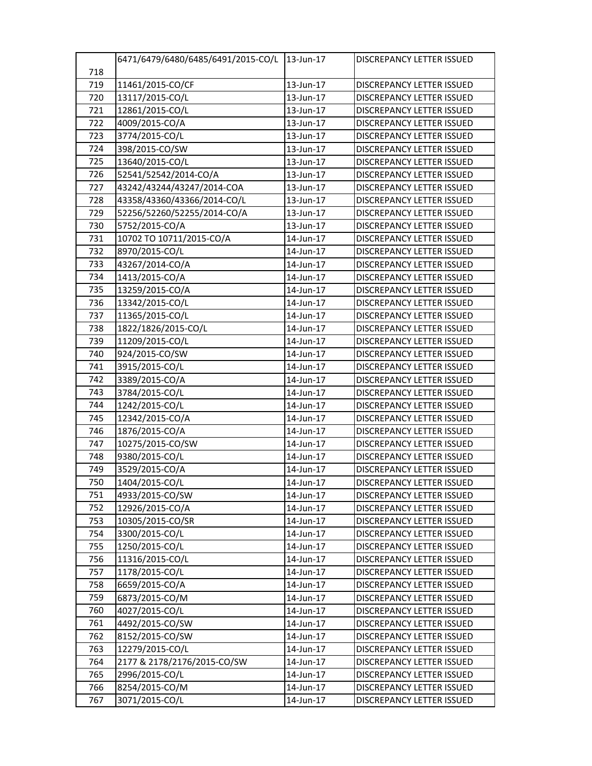|     | 6471/6479/6480/6485/6491/2015-CO/L 13-Jun-17 |           | <b>DISCREPANCY LETTER ISSUED</b> |
|-----|----------------------------------------------|-----------|----------------------------------|
| 718 |                                              |           |                                  |
| 719 | 11461/2015-CO/CF                             | 13-Jun-17 | DISCREPANCY LETTER ISSUED        |
| 720 | 13117/2015-CO/L                              | 13-Jun-17 | DISCREPANCY LETTER ISSUED        |
| 721 | 12861/2015-CO/L                              | 13-Jun-17 | DISCREPANCY LETTER ISSUED        |
| 722 | 4009/2015-CO/A                               | 13-Jun-17 | DISCREPANCY LETTER ISSUED        |
| 723 | 3774/2015-CO/L                               | 13-Jun-17 | <b>DISCREPANCY LETTER ISSUED</b> |
| 724 | 398/2015-CO/SW                               | 13-Jun-17 | DISCREPANCY LETTER ISSUED        |
| 725 | 13640/2015-CO/L                              | 13-Jun-17 | DISCREPANCY LETTER ISSUED        |
| 726 | 52541/52542/2014-CO/A                        | 13-Jun-17 | <b>DISCREPANCY LETTER ISSUED</b> |
| 727 | 43242/43244/43247/2014-COA                   | 13-Jun-17 | <b>DISCREPANCY LETTER ISSUED</b> |
| 728 | 43358/43360/43366/2014-CO/L                  | 13-Jun-17 | <b>DISCREPANCY LETTER ISSUED</b> |
| 729 | 52256/52260/52255/2014-CO/A                  | 13-Jun-17 | DISCREPANCY LETTER ISSUED        |
| 730 | 5752/2015-CO/A                               | 13-Jun-17 | <b>DISCREPANCY LETTER ISSUED</b> |
| 731 | 10702 TO 10711/2015-CO/A                     | 14-Jun-17 | DISCREPANCY LETTER ISSUED        |
| 732 | 8970/2015-CO/L                               | 14-Jun-17 | <b>DISCREPANCY LETTER ISSUED</b> |
| 733 | 43267/2014-CO/A                              | 14-Jun-17 | DISCREPANCY LETTER ISSUED        |
| 734 | 1413/2015-CO/A                               | 14-Jun-17 | DISCREPANCY LETTER ISSUED        |
| 735 | 13259/2015-CO/A                              | 14-Jun-17 | <b>DISCREPANCY LETTER ISSUED</b> |
| 736 | 13342/2015-CO/L                              | 14-Jun-17 | DISCREPANCY LETTER ISSUED        |
| 737 | 11365/2015-CO/L                              | 14-Jun-17 | <b>DISCREPANCY LETTER ISSUED</b> |
| 738 | 1822/1826/2015-CO/L                          | 14-Jun-17 | <b>DISCREPANCY LETTER ISSUED</b> |
| 739 | 11209/2015-CO/L                              | 14-Jun-17 | <b>DISCREPANCY LETTER ISSUED</b> |
| 740 | 924/2015-CO/SW                               | 14-Jun-17 | <b>DISCREPANCY LETTER ISSUED</b> |
| 741 | 3915/2015-CO/L                               | 14-Jun-17 | DISCREPANCY LETTER ISSUED        |
| 742 | 3389/2015-CO/A                               | 14-Jun-17 | <b>DISCREPANCY LETTER ISSUED</b> |
| 743 | 3784/2015-CO/L                               | 14-Jun-17 | DISCREPANCY LETTER ISSUED        |
| 744 | 1242/2015-CO/L                               | 14-Jun-17 | <b>DISCREPANCY LETTER ISSUED</b> |
| 745 | 12342/2015-CO/A                              | 14-Jun-17 | <b>DISCREPANCY LETTER ISSUED</b> |
| 746 | 1876/2015-CO/A                               | 14-Jun-17 | <b>DISCREPANCY LETTER ISSUED</b> |
| 747 | 10275/2015-CO/SW                             | 14-Jun-17 | DISCREPANCY LETTER ISSUED        |
| 748 | 9380/2015-CO/L                               | 14-Jun-17 | DISCREPANCY LETTER ISSUED        |
| 749 | 3529/2015-CO/A                               | 14-Jun-17 | DISCREPANCY LETTER ISSUED        |
| 750 | 1404/2015-CO/L                               | 14-Jun-17 | DISCREPANCY LETTER ISSUED        |
| 751 | 4933/2015-CO/SW                              | 14-Jun-17 | <b>DISCREPANCY LETTER ISSUED</b> |
| 752 | 12926/2015-CO/A                              | 14-Jun-17 | <b>DISCREPANCY LETTER ISSUED</b> |
| 753 | 10305/2015-CO/SR                             | 14-Jun-17 | DISCREPANCY LETTER ISSUED        |
| 754 | 3300/2015-CO/L                               | 14-Jun-17 | DISCREPANCY LETTER ISSUED        |
| 755 | 1250/2015-CO/L                               | 14-Jun-17 | DISCREPANCY LETTER ISSUED        |
| 756 | 11316/2015-CO/L                              | 14-Jun-17 | DISCREPANCY LETTER ISSUED        |
| 757 | 1178/2015-CO/L                               | 14-Jun-17 | DISCREPANCY LETTER ISSUED        |
| 758 | 6659/2015-CO/A                               | 14-Jun-17 | <b>DISCREPANCY LETTER ISSUED</b> |
| 759 | 6873/2015-CO/M                               | 14-Jun-17 | DISCREPANCY LETTER ISSUED        |
| 760 | 4027/2015-CO/L                               | 14-Jun-17 | DISCREPANCY LETTER ISSUED        |
| 761 | 4492/2015-CO/SW                              | 14-Jun-17 | DISCREPANCY LETTER ISSUED        |
| 762 | 8152/2015-CO/SW                              | 14-Jun-17 | DISCREPANCY LETTER ISSUED        |
| 763 | 12279/2015-CO/L                              | 14-Jun-17 | DISCREPANCY LETTER ISSUED        |
| 764 | 2177 & 2178/2176/2015-CO/SW                  | 14-Jun-17 | <b>DISCREPANCY LETTER ISSUED</b> |
| 765 | 2996/2015-CO/L                               | 14-Jun-17 | DISCREPANCY LETTER ISSUED        |
| 766 | 8254/2015-CO/M                               | 14-Jun-17 | DISCREPANCY LETTER ISSUED        |
| 767 | 3071/2015-CO/L                               | 14-Jun-17 | DISCREPANCY LETTER ISSUED        |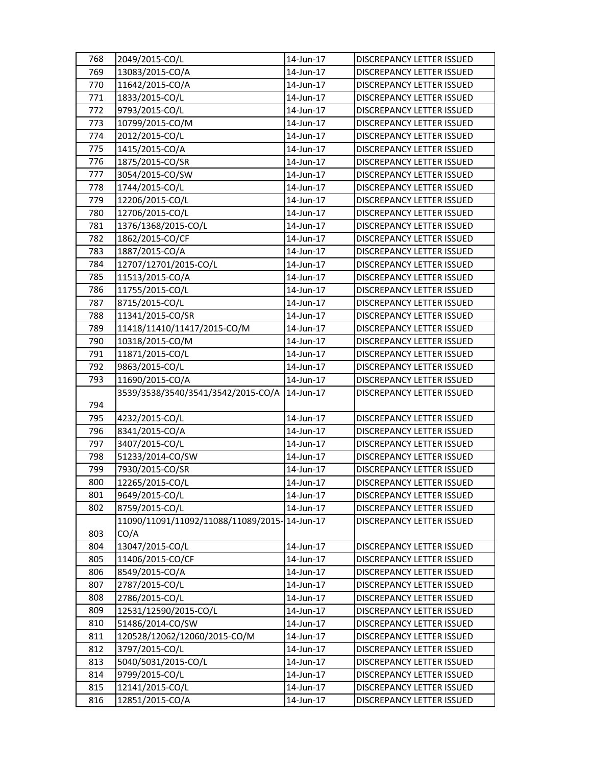| 768 | 2049/2015-CO/L                               | 14-Jun-17 | <b>DISCREPANCY LETTER ISSUED</b> |
|-----|----------------------------------------------|-----------|----------------------------------|
| 769 | 13083/2015-CO/A                              | 14-Jun-17 | <b>DISCREPANCY LETTER ISSUED</b> |
| 770 | 11642/2015-CO/A                              | 14-Jun-17 | <b>DISCREPANCY LETTER ISSUED</b> |
| 771 | 1833/2015-CO/L                               | 14-Jun-17 | DISCREPANCY LETTER ISSUED        |
| 772 | 9793/2015-CO/L                               | 14-Jun-17 | DISCREPANCY LETTER ISSUED        |
| 773 | 10799/2015-CO/M                              | 14-Jun-17 | DISCREPANCY LETTER ISSUED        |
| 774 | 2012/2015-CO/L                               | 14-Jun-17 | DISCREPANCY LETTER ISSUED        |
| 775 | 1415/2015-CO/A                               | 14-Jun-17 | DISCREPANCY LETTER ISSUED        |
| 776 | 1875/2015-CO/SR                              | 14-Jun-17 | DISCREPANCY LETTER ISSUED        |
| 777 | 3054/2015-CO/SW                              | 14-Jun-17 | <b>DISCREPANCY LETTER ISSUED</b> |
| 778 | 1744/2015-CO/L                               | 14-Jun-17 | DISCREPANCY LETTER ISSUED        |
| 779 | 12206/2015-CO/L                              | 14-Jun-17 | <b>DISCREPANCY LETTER ISSUED</b> |
| 780 | 12706/2015-CO/L                              | 14-Jun-17 | DISCREPANCY LETTER ISSUED        |
| 781 | 1376/1368/2015-CO/L                          | 14-Jun-17 | DISCREPANCY LETTER ISSUED        |
| 782 | 1862/2015-CO/CF                              | 14-Jun-17 | DISCREPANCY LETTER ISSUED        |
| 783 | 1887/2015-CO/A                               | 14-Jun-17 | DISCREPANCY LETTER ISSUED        |
| 784 | 12707/12701/2015-CO/L                        | 14-Jun-17 | DISCREPANCY LETTER ISSUED        |
| 785 | 11513/2015-CO/A                              | 14-Jun-17 | DISCREPANCY LETTER ISSUED        |
| 786 | 11755/2015-CO/L                              | 14-Jun-17 | <b>DISCREPANCY LETTER ISSUED</b> |
| 787 | 8715/2015-CO/L                               | 14-Jun-17 | DISCREPANCY LETTER ISSUED        |
| 788 | 11341/2015-CO/SR                             | 14-Jun-17 | <b>DISCREPANCY LETTER ISSUED</b> |
| 789 | 11418/11410/11417/2015-CO/M                  | 14-Jun-17 | <b>DISCREPANCY LETTER ISSUED</b> |
| 790 | 10318/2015-CO/M                              | 14-Jun-17 | DISCREPANCY LETTER ISSUED        |
| 791 | 11871/2015-CO/L                              | 14-Jun-17 | DISCREPANCY LETTER ISSUED        |
| 792 | 9863/2015-CO/L                               | 14-Jun-17 | DISCREPANCY LETTER ISSUED        |
| 793 | 11690/2015-CO/A                              | 14-Jun-17 | DISCREPANCY LETTER ISSUED        |
|     | 3539/3538/3540/3541/3542/2015-CO/A           | 14-Jun-17 | DISCREPANCY LETTER ISSUED        |
| 794 |                                              |           |                                  |
| 795 | 4232/2015-CO/L                               | 14-Jun-17 | DISCREPANCY LETTER ISSUED        |
| 796 | 8341/2015-CO/A                               | 14-Jun-17 | DISCREPANCY LETTER ISSUED        |
| 797 | 3407/2015-CO/L                               | 14-Jun-17 | <b>DISCREPANCY LETTER ISSUED</b> |
| 798 | 51233/2014-CO/SW                             | 14-Jun-17 | DISCREPANCY LETTER ISSUED        |
| 799 | 7930/2015-CO/SR                              | 14-Jun-17 | DISCREPANCY LETTER ISSUED        |
| 800 | 12265/2015-CO/L                              | 14-Jun-17 | <b>DISCREPANCY LETTER ISSUED</b> |
| 801 | 9649/2015-CO/L                               | 14-Jun-17 | DISCREPANCY LETTER ISSUED        |
| 802 | 8759/2015-CO/L                               | 14-Jun-17 | DISCREPANCY LETTER ISSUED        |
|     | 11090/11091/11092/11088/11089/2015-14-Jun-17 |           | DISCREPANCY LETTER ISSUED        |
| 803 | CO/A                                         |           |                                  |
| 804 | 13047/2015-CO/L                              | 14-Jun-17 | DISCREPANCY LETTER ISSUED        |
| 805 | 11406/2015-CO/CF                             | 14-Jun-17 | DISCREPANCY LETTER ISSUED        |
| 806 | 8549/2015-CO/A                               | 14-Jun-17 | DISCREPANCY LETTER ISSUED        |
| 807 | 2787/2015-CO/L                               | 14-Jun-17 | DISCREPANCY LETTER ISSUED        |
| 808 | 2786/2015-CO/L                               | 14-Jun-17 | DISCREPANCY LETTER ISSUED        |
| 809 | 12531/12590/2015-CO/L                        | 14-Jun-17 | DISCREPANCY LETTER ISSUED        |
| 810 | 51486/2014-CO/SW                             | 14-Jun-17 | DISCREPANCY LETTER ISSUED        |
| 811 | 120528/12062/12060/2015-CO/M                 | 14-Jun-17 | DISCREPANCY LETTER ISSUED        |
| 812 | 3797/2015-CO/L                               | 14-Jun-17 | DISCREPANCY LETTER ISSUED        |
| 813 | 5040/5031/2015-CO/L                          | 14-Jun-17 | DISCREPANCY LETTER ISSUED        |
| 814 | 9799/2015-CO/L                               | 14-Jun-17 | DISCREPANCY LETTER ISSUED        |
| 815 | 12141/2015-CO/L                              | 14-Jun-17 | DISCREPANCY LETTER ISSUED        |
| 816 | 12851/2015-CO/A                              | 14-Jun-17 | DISCREPANCY LETTER ISSUED        |
|     |                                              |           |                                  |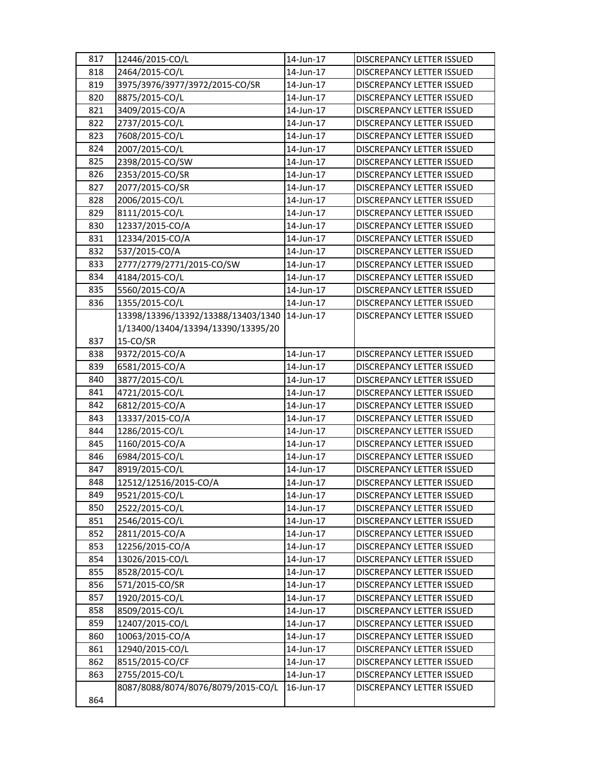| 817 | 12446/2015-CO/L                    | 14-Jun-17 | <b>DISCREPANCY LETTER ISSUED</b> |
|-----|------------------------------------|-----------|----------------------------------|
| 818 | 2464/2015-CO/L                     | 14-Jun-17 | DISCREPANCY LETTER ISSUED        |
| 819 | 3975/3976/3977/3972/2015-CO/SR     | 14-Jun-17 | <b>DISCREPANCY LETTER ISSUED</b> |
| 820 | 8875/2015-CO/L                     | 14-Jun-17 | DISCREPANCY LETTER ISSUED        |
| 821 | 3409/2015-CO/A                     | 14-Jun-17 | DISCREPANCY LETTER ISSUED        |
| 822 | 2737/2015-CO/L                     | 14-Jun-17 | DISCREPANCY LETTER ISSUED        |
| 823 | 7608/2015-CO/L                     | 14-Jun-17 | DISCREPANCY LETTER ISSUED        |
| 824 | 2007/2015-CO/L                     | 14-Jun-17 | DISCREPANCY LETTER ISSUED        |
| 825 | 2398/2015-CO/SW                    | 14-Jun-17 | DISCREPANCY LETTER ISSUED        |
| 826 | 2353/2015-CO/SR                    | 14-Jun-17 | DISCREPANCY LETTER ISSUED        |
| 827 | 2077/2015-CO/SR                    | 14-Jun-17 | DISCREPANCY LETTER ISSUED        |
| 828 | 2006/2015-CO/L                     | 14-Jun-17 | DISCREPANCY LETTER ISSUED        |
| 829 | 8111/2015-CO/L                     | 14-Jun-17 | DISCREPANCY LETTER ISSUED        |
| 830 | 12337/2015-CO/A                    | 14-Jun-17 | DISCREPANCY LETTER ISSUED        |
| 831 | 12334/2015-CO/A                    | 14-Jun-17 | DISCREPANCY LETTER ISSUED        |
| 832 | 537/2015-CO/A                      | 14-Jun-17 | DISCREPANCY LETTER ISSUED        |
| 833 | 2777/2779/2771/2015-CO/SW          | 14-Jun-17 | DISCREPANCY LETTER ISSUED        |
| 834 | 4184/2015-CO/L                     | 14-Jun-17 | <b>DISCREPANCY LETTER ISSUED</b> |
| 835 | 5560/2015-CO/A                     | 14-Jun-17 | <b>DISCREPANCY LETTER ISSUED</b> |
| 836 | 1355/2015-CO/L                     | 14-Jun-17 | DISCREPANCY LETTER ISSUED        |
|     | 13398/13396/13392/13388/13403/1340 | 14-Jun-17 | <b>DISCREPANCY LETTER ISSUED</b> |
|     | 1/13400/13404/13394/13390/13395/20 |           |                                  |
| 837 | 15-CO/SR                           |           |                                  |
| 838 | 9372/2015-CO/A                     | 14-Jun-17 | DISCREPANCY LETTER ISSUED        |
| 839 | 6581/2015-CO/A                     | 14-Jun-17 | DISCREPANCY LETTER ISSUED        |
| 840 | 3877/2015-CO/L                     | 14-Jun-17 | DISCREPANCY LETTER ISSUED        |
| 841 | 4721/2015-CO/L                     | 14-Jun-17 | DISCREPANCY LETTER ISSUED        |
| 842 | 6812/2015-CO/A                     | 14-Jun-17 | DISCREPANCY LETTER ISSUED        |
| 843 | 13337/2015-CO/A                    | 14-Jun-17 | DISCREPANCY LETTER ISSUED        |
| 844 | 1286/2015-CO/L                     | 14-Jun-17 | <b>DISCREPANCY LETTER ISSUED</b> |
| 845 | 1160/2015-CO/A                     | 14-Jun-17 | DISCREPANCY LETTER ISSUED        |
| 846 | 6984/2015-CO/L                     | 14-Jun-17 | DISCREPANCY LETTER ISSUED        |
| 847 | 8919/2015-CO/L                     | 14-Jun-17 | <b>DISCREPANCY LETTER ISSUED</b> |
| 848 | 12512/12516/2015-CO/A              | 14-Jun-17 | DISCREPANCY LETTER ISSUED        |
| 849 | 9521/2015-CO/L                     | 14-Jun-17 | DISCREPANCY LETTER ISSUED        |
| 850 | 2522/2015-CO/L                     | 14-Jun-17 | DISCREPANCY LETTER ISSUED        |
| 851 | 2546/2015-CO/L                     | 14-Jun-17 | DISCREPANCY LETTER ISSUED        |
| 852 | 2811/2015-CO/A                     | 14-Jun-17 | DISCREPANCY LETTER ISSUED        |
| 853 | 12256/2015-CO/A                    | 14-Jun-17 | DISCREPANCY LETTER ISSUED        |
| 854 | 13026/2015-CO/L                    | 14-Jun-17 | DISCREPANCY LETTER ISSUED        |
| 855 | 8528/2015-CO/L                     | 14-Jun-17 | DISCREPANCY LETTER ISSUED        |
| 856 | 571/2015-CO/SR                     | 14-Jun-17 | DISCREPANCY LETTER ISSUED        |
| 857 | 1920/2015-CO/L                     | 14-Jun-17 | DISCREPANCY LETTER ISSUED        |
| 858 | 8509/2015-CO/L                     | 14-Jun-17 | DISCREPANCY LETTER ISSUED        |
| 859 | 12407/2015-CO/L                    | 14-Jun-17 | DISCREPANCY LETTER ISSUED        |
| 860 | 10063/2015-CO/A                    | 14-Jun-17 | DISCREPANCY LETTER ISSUED        |
| 861 | 12940/2015-CO/L                    | 14-Jun-17 | DISCREPANCY LETTER ISSUED        |
| 862 | 8515/2015-CO/CF                    | 14-Jun-17 | DISCREPANCY LETTER ISSUED        |
| 863 | 2755/2015-CO/L                     | 14-Jun-17 | DISCREPANCY LETTER ISSUED        |
|     | 8087/8088/8074/8076/8079/2015-CO/L | 16-Jun-17 | DISCREPANCY LETTER ISSUED        |
| 864 |                                    |           |                                  |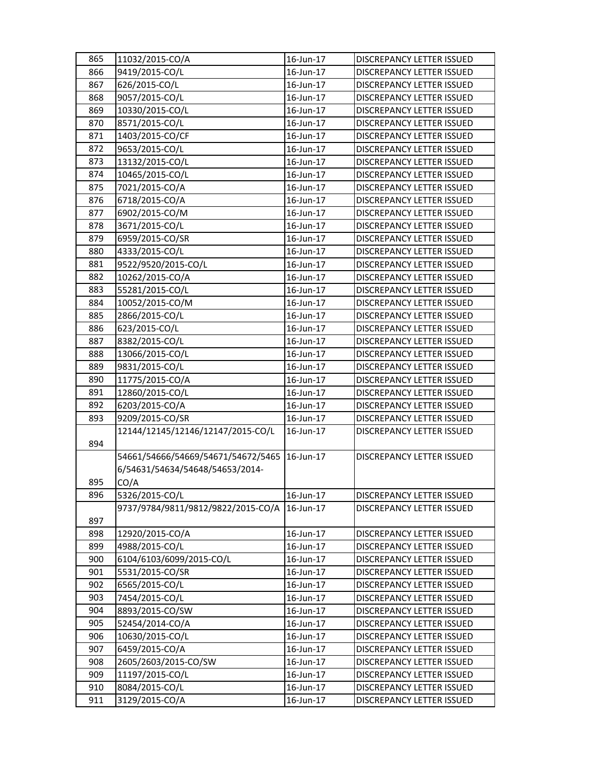| 865 | 11032/2015-CO/A                    | 16-Jun-17              | DISCREPANCY LETTER ISSUED                              |
|-----|------------------------------------|------------------------|--------------------------------------------------------|
| 866 | 9419/2015-CO/L                     | 16-Jun-17              | DISCREPANCY LETTER ISSUED                              |
| 867 | 626/2015-CO/L                      | 16-Jun-17              | DISCREPANCY LETTER ISSUED                              |
| 868 | 9057/2015-CO/L                     | 16-Jun-17              | DISCREPANCY LETTER ISSUED                              |
| 869 | 10330/2015-CO/L                    | 16-Jun-17              | DISCREPANCY LETTER ISSUED                              |
| 870 | 8571/2015-CO/L                     | 16-Jun-17              | <b>DISCREPANCY LETTER ISSUED</b>                       |
| 871 | 1403/2015-CO/CF                    | 16-Jun-17              | DISCREPANCY LETTER ISSUED                              |
| 872 | 9653/2015-CO/L                     | 16-Jun-17              | DISCREPANCY LETTER ISSUED                              |
| 873 | 13132/2015-CO/L                    | 16-Jun-17              | DISCREPANCY LETTER ISSUED                              |
| 874 | 10465/2015-CO/L                    | 16-Jun-17              | DISCREPANCY LETTER ISSUED                              |
| 875 | 7021/2015-CO/A                     | 16-Jun-17              | DISCREPANCY LETTER ISSUED                              |
| 876 | 6718/2015-CO/A                     | 16-Jun-17              | <b>DISCREPANCY LETTER ISSUED</b>                       |
| 877 | 6902/2015-CO/M                     | 16-Jun-17              | DISCREPANCY LETTER ISSUED                              |
| 878 | 3671/2015-CO/L                     | 16-Jun-17              | DISCREPANCY LETTER ISSUED                              |
| 879 | 6959/2015-CO/SR                    | 16-Jun-17              | DISCREPANCY LETTER ISSUED                              |
| 880 | 4333/2015-CO/L                     | 16-Jun-17              | DISCREPANCY LETTER ISSUED                              |
| 881 | 9522/9520/2015-CO/L                | 16-Jun-17              | <b>DISCREPANCY LETTER ISSUED</b>                       |
| 882 | 10262/2015-CO/A                    | 16-Jun-17              | DISCREPANCY LETTER ISSUED                              |
| 883 | 55281/2015-CO/L                    | 16-Jun-17              | DISCREPANCY LETTER ISSUED                              |
| 884 | 10052/2015-CO/M                    | 16-Jun-17              | DISCREPANCY LETTER ISSUED                              |
| 885 | 2866/2015-CO/L                     | 16-Jun-17              | <b>DISCREPANCY LETTER ISSUED</b>                       |
| 886 | 623/2015-CO/L                      | 16-Jun-17              | <b>DISCREPANCY LETTER ISSUED</b>                       |
| 887 | 8382/2015-CO/L                     | 16-Jun-17              | DISCREPANCY LETTER ISSUED                              |
| 888 | 13066/2015-CO/L                    | 16-Jun-17              | DISCREPANCY LETTER ISSUED                              |
| 889 | 9831/2015-CO/L                     | 16-Jun-17              | DISCREPANCY LETTER ISSUED                              |
| 890 | 11775/2015-CO/A                    | 16-Jun-17              | DISCREPANCY LETTER ISSUED                              |
| 891 | 12860/2015-CO/L                    | 16-Jun-17              | DISCREPANCY LETTER ISSUED                              |
| 892 | 6203/2015-CO/A                     | 16-Jun-17              | DISCREPANCY LETTER ISSUED                              |
| 893 | 9209/2015-CO/SR                    | 16-Jun-17              | DISCREPANCY LETTER ISSUED                              |
|     | 12144/12145/12146/12147/2015-CO/L  | 16-Jun-17              | <b>DISCREPANCY LETTER ISSUED</b>                       |
| 894 |                                    |                        |                                                        |
|     | 54661/54666/54669/54671/54672/5465 | 16-Jun-17              | DISCREPANCY LETTER ISSUED                              |
|     | 6/54631/54634/54648/54653/2014-    |                        |                                                        |
| 895 | CO/A                               |                        |                                                        |
| 896 | 5326/2015-CO/L                     | 16-Jun-17              | DISCREPANCY LETTER ISSUED                              |
|     | 9737/9784/9811/9812/9822/2015-CO/A | 16-Jun-17              | DISCREPANCY LETTER ISSUED                              |
| 897 |                                    |                        |                                                        |
| 898 | 12920/2015-CO/A                    | 16-Jun-17              | <b>DISCREPANCY LETTER ISSUED</b>                       |
| 899 | 4988/2015-CO/L                     | 16-Jun-17              | DISCREPANCY LETTER ISSUED                              |
| 900 | 6104/6103/6099/2015-CO/L           | 16-Jun-17              | DISCREPANCY LETTER ISSUED                              |
| 901 | 5531/2015-CO/SR                    | 16-Jun-17              | DISCREPANCY LETTER ISSUED                              |
| 902 | 6565/2015-CO/L                     | 16-Jun-17              | DISCREPANCY LETTER ISSUED                              |
| 903 | 7454/2015-CO/L                     | 16-Jun-17              | DISCREPANCY LETTER ISSUED                              |
| 904 |                                    |                        |                                                        |
| 905 | 8893/2015-CO/SW<br>52454/2014-CO/A | 16-Jun-17<br>16-Jun-17 | DISCREPANCY LETTER ISSUED                              |
| 906 | 10630/2015-CO/L                    | 16-Jun-17              | DISCREPANCY LETTER ISSUED<br>DISCREPANCY LETTER ISSUED |
| 907 | 6459/2015-CO/A                     | 16-Jun-17              |                                                        |
| 908 | 2605/2603/2015-CO/SW               | 16-Jun-17              | DISCREPANCY LETTER ISSUED                              |
| 909 | 11197/2015-CO/L                    | 16-Jun-17              | DISCREPANCY LETTER ISSUED                              |
| 910 |                                    | 16-Jun-17              | DISCREPANCY LETTER ISSUED                              |
| 911 | 8084/2015-CO/L                     | 16-Jun-17              | DISCREPANCY LETTER ISSUED<br>DISCREPANCY LETTER ISSUED |
|     | 3129/2015-CO/A                     |                        |                                                        |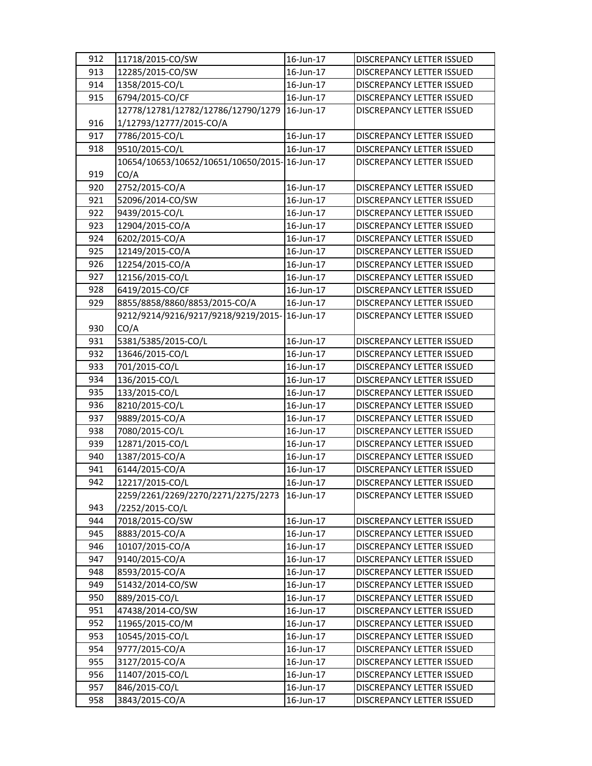| 912 | 11718/2015-CO/SW                             | 16-Jun-17 | <b>DISCREPANCY LETTER ISSUED</b> |
|-----|----------------------------------------------|-----------|----------------------------------|
| 913 | 12285/2015-CO/SW                             | 16-Jun-17 | <b>DISCREPANCY LETTER ISSUED</b> |
| 914 | 1358/2015-CO/L                               | 16-Jun-17 | DISCREPANCY LETTER ISSUED        |
| 915 | 6794/2015-CO/CF                              | 16-Jun-17 | DISCREPANCY LETTER ISSUED        |
|     | 12778/12781/12782/12786/12790/1279           | 16-Jun-17 | <b>DISCREPANCY LETTER ISSUED</b> |
| 916 | 1/12793/12777/2015-CO/A                      |           |                                  |
| 917 | 7786/2015-CO/L                               | 16-Jun-17 | <b>DISCREPANCY LETTER ISSUED</b> |
| 918 | 9510/2015-CO/L                               | 16-Jun-17 | DISCREPANCY LETTER ISSUED        |
|     | 10654/10653/10652/10651/10650/2015-16-Jun-17 |           | DISCREPANCY LETTER ISSUED        |
| 919 | CO/A                                         |           |                                  |
| 920 | 2752/2015-CO/A                               | 16-Jun-17 | DISCREPANCY LETTER ISSUED        |
| 921 | 52096/2014-CO/SW                             | 16-Jun-17 | DISCREPANCY LETTER ISSUED        |
| 922 | 9439/2015-CO/L                               | 16-Jun-17 | DISCREPANCY LETTER ISSUED        |
| 923 | 12904/2015-CO/A                              | 16-Jun-17 | DISCREPANCY LETTER ISSUED        |
| 924 | 6202/2015-CO/A                               | 16-Jun-17 | DISCREPANCY LETTER ISSUED        |
| 925 | 12149/2015-CO/A                              | 16-Jun-17 | <b>DISCREPANCY LETTER ISSUED</b> |
| 926 | 12254/2015-CO/A                              | 16-Jun-17 | DISCREPANCY LETTER ISSUED        |
| 927 | 12156/2015-CO/L                              | 16-Jun-17 | DISCREPANCY LETTER ISSUED        |
| 928 | 6419/2015-CO/CF                              | 16-Jun-17 | <b>DISCREPANCY LETTER ISSUED</b> |
| 929 | 8855/8858/8860/8853/2015-CO/A                | 16-Jun-17 | DISCREPANCY LETTER ISSUED        |
|     | 9212/9214/9216/9217/9218/9219/2015-16-Jun-17 |           | DISCREPANCY LETTER ISSUED        |
| 930 | CO/A                                         |           |                                  |
| 931 | 5381/5385/2015-CO/L                          | 16-Jun-17 | DISCREPANCY LETTER ISSUED        |
| 932 | 13646/2015-CO/L                              | 16-Jun-17 | DISCREPANCY LETTER ISSUED        |
| 933 | 701/2015-CO/L                                | 16-Jun-17 | DISCREPANCY LETTER ISSUED        |
| 934 | 136/2015-CO/L                                | 16-Jun-17 | DISCREPANCY LETTER ISSUED        |
| 935 | 133/2015-CO/L                                | 16-Jun-17 | DISCREPANCY LETTER ISSUED        |
| 936 | 8210/2015-CO/L                               | 16-Jun-17 | DISCREPANCY LETTER ISSUED        |
| 937 | 9889/2015-CO/A                               | 16-Jun-17 | DISCREPANCY LETTER ISSUED        |
| 938 | 7080/2015-CO/L                               | 16-Jun-17 | <b>DISCREPANCY LETTER ISSUED</b> |
| 939 | 12871/2015-CO/L                              | 16-Jun-17 | DISCREPANCY LETTER ISSUED        |
| 940 | 1387/2015-CO/A                               | 16-Jun-17 | <b>DISCREPANCY LETTER ISSUED</b> |
| 941 | 6144/2015-CO/A                               | 16-Jun-17 | DISCREPANCY LETTER ISSUED        |
| 942 | 12217/2015-CO/L                              | 16-Jun-17 | DISCREPANCY LETTER ISSUED        |
|     | 2259/2261/2269/2270/2271/2275/2273           | 16-Jun-17 | DISCREPANCY LETTER ISSUED        |
| 943 | /2252/2015-CO/L                              |           |                                  |
| 944 | 7018/2015-CO/SW                              | 16-Jun-17 | DISCREPANCY LETTER ISSUED        |
| 945 | 8883/2015-CO/A                               | 16-Jun-17 | DISCREPANCY LETTER ISSUED        |
| 946 | 10107/2015-CO/A                              | 16-Jun-17 | DISCREPANCY LETTER ISSUED        |
| 947 | 9140/2015-CO/A                               | 16-Jun-17 | DISCREPANCY LETTER ISSUED        |
| 948 | 8593/2015-CO/A                               | 16-Jun-17 | DISCREPANCY LETTER ISSUED        |
| 949 | 51432/2014-CO/SW                             | 16-Jun-17 | DISCREPANCY LETTER ISSUED        |
| 950 | 889/2015-CO/L                                | 16-Jun-17 | DISCREPANCY LETTER ISSUED        |
| 951 | 47438/2014-CO/SW                             | 16-Jun-17 | DISCREPANCY LETTER ISSUED        |
| 952 | 11965/2015-CO/M                              | 16-Jun-17 | DISCREPANCY LETTER ISSUED        |
| 953 | 10545/2015-CO/L                              | 16-Jun-17 | DISCREPANCY LETTER ISSUED        |
| 954 | 9777/2015-CO/A                               | 16-Jun-17 | DISCREPANCY LETTER ISSUED        |
| 955 | 3127/2015-CO/A                               | 16-Jun-17 | DISCREPANCY LETTER ISSUED        |
| 956 | 11407/2015-CO/L                              | 16-Jun-17 | DISCREPANCY LETTER ISSUED        |
| 957 | 846/2015-CO/L                                | 16-Jun-17 | DISCREPANCY LETTER ISSUED        |
| 958 | 3843/2015-CO/A                               | 16-Jun-17 | DISCREPANCY LETTER ISSUED        |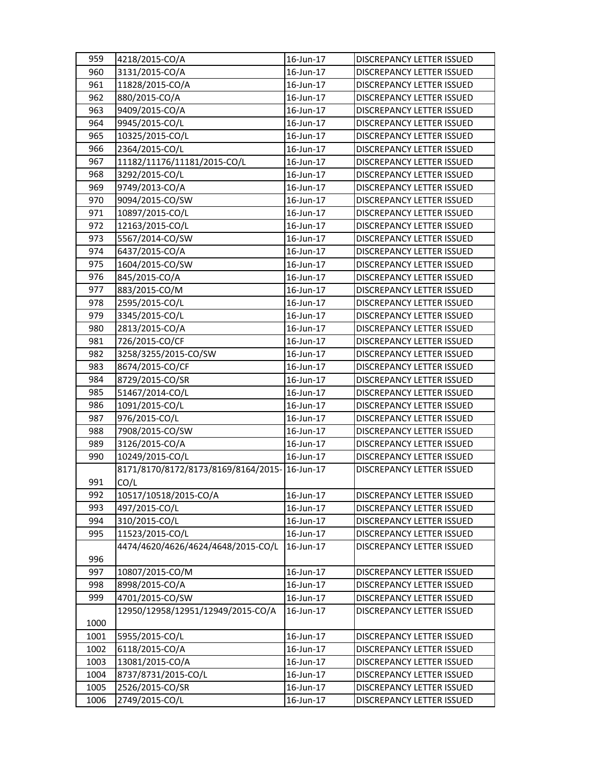| 959  | 4218/2015-CO/A                               | 16-Jun-17 | <b>DISCREPANCY LETTER ISSUED</b> |
|------|----------------------------------------------|-----------|----------------------------------|
| 960  | 3131/2015-CO/A                               | 16-Jun-17 | <b>DISCREPANCY LETTER ISSUED</b> |
| 961  | 11828/2015-CO/A                              | 16-Jun-17 | <b>DISCREPANCY LETTER ISSUED</b> |
| 962  | 880/2015-CO/A                                | 16-Jun-17 | DISCREPANCY LETTER ISSUED        |
| 963  | 9409/2015-CO/A                               | 16-Jun-17 | DISCREPANCY LETTER ISSUED        |
| 964  | 9945/2015-CO/L                               | 16-Jun-17 | DISCREPANCY LETTER ISSUED        |
| 965  | 10325/2015-CO/L                              | 16-Jun-17 | DISCREPANCY LETTER ISSUED        |
| 966  | 2364/2015-CO/L                               | 16-Jun-17 | DISCREPANCY LETTER ISSUED        |
| 967  | 11182/11176/11181/2015-CO/L                  | 16-Jun-17 | DISCREPANCY LETTER ISSUED        |
| 968  | 3292/2015-CO/L                               | 16-Jun-17 | DISCREPANCY LETTER ISSUED        |
| 969  | 9749/2013-CO/A                               | 16-Jun-17 | <b>DISCREPANCY LETTER ISSUED</b> |
| 970  | 9094/2015-CO/SW                              | 16-Jun-17 | DISCREPANCY LETTER ISSUED        |
| 971  | 10897/2015-CO/L                              | 16-Jun-17 | DISCREPANCY LETTER ISSUED        |
| 972  | 12163/2015-CO/L                              | 16-Jun-17 | DISCREPANCY LETTER ISSUED        |
| 973  | 5567/2014-CO/SW                              | 16-Jun-17 | DISCREPANCY LETTER ISSUED        |
| 974  | 6437/2015-CO/A                               | 16-Jun-17 | DISCREPANCY LETTER ISSUED        |
| 975  | 1604/2015-CO/SW                              | 16-Jun-17 | DISCREPANCY LETTER ISSUED        |
| 976  | 845/2015-CO/A                                | 16-Jun-17 | DISCREPANCY LETTER ISSUED        |
| 977  | 883/2015-CO/M                                | 16-Jun-17 | <b>DISCREPANCY LETTER ISSUED</b> |
| 978  | 2595/2015-CO/L                               | 16-Jun-17 | DISCREPANCY LETTER ISSUED        |
| 979  | 3345/2015-CO/L                               | 16-Jun-17 | DISCREPANCY LETTER ISSUED        |
| 980  | 2813/2015-CO/A                               | 16-Jun-17 | DISCREPANCY LETTER ISSUED        |
| 981  | 726/2015-CO/CF                               | 16-Jun-17 | DISCREPANCY LETTER ISSUED        |
| 982  | 3258/3255/2015-CO/SW                         | 16-Jun-17 | DISCREPANCY LETTER ISSUED        |
| 983  | 8674/2015-CO/CF                              | 16-Jun-17 | DISCREPANCY LETTER ISSUED        |
| 984  | 8729/2015-CO/SR                              | 16-Jun-17 | DISCREPANCY LETTER ISSUED        |
| 985  | 51467/2014-CO/L                              | 16-Jun-17 | DISCREPANCY LETTER ISSUED        |
| 986  | 1091/2015-CO/L                               | 16-Jun-17 | DISCREPANCY LETTER ISSUED        |
| 987  | 976/2015-CO/L                                | 16-Jun-17 | DISCREPANCY LETTER ISSUED        |
| 988  | 7908/2015-CO/SW                              | 16-Jun-17 | DISCREPANCY LETTER ISSUED        |
| 989  | 3126/2015-CO/A                               | 16-Jun-17 | DISCREPANCY LETTER ISSUED        |
| 990  | 10249/2015-CO/L                              | 16-Jun-17 | DISCREPANCY LETTER ISSUED        |
|      | 8171/8170/8172/8173/8169/8164/2015-16-Jun-17 |           | DISCREPANCY LETTER ISSUED        |
| 991  | CO/L                                         |           |                                  |
| 992  | 10517/10518/2015-CO/A                        | 16-Jun-17 | DISCREPANCY LETTER ISSUED        |
| 993  | 497/2015-CO/L                                | 16-Jun-17 | <b>DISCREPANCY LETTER ISSUED</b> |
| 994  | 310/2015-CO/L                                | 16-Jun-17 | DISCREPANCY LETTER ISSUED        |
| 995  | 11523/2015-CO/L                              | 16-Jun-17 | <b>DISCREPANCY LETTER ISSUED</b> |
|      | 4474/4620/4626/4624/4648/2015-CO/L           | 16-Jun-17 | DISCREPANCY LETTER ISSUED        |
| 996  |                                              |           |                                  |
| 997  | 10807/2015-CO/M                              | 16-Jun-17 | DISCREPANCY LETTER ISSUED        |
| 998  | 8998/2015-CO/A                               | 16-Jun-17 | DISCREPANCY LETTER ISSUED        |
| 999  | 4701/2015-CO/SW                              | 16-Jun-17 | DISCREPANCY LETTER ISSUED        |
|      | 12950/12958/12951/12949/2015-CO/A            | 16-Jun-17 | <b>DISCREPANCY LETTER ISSUED</b> |
| 1000 |                                              |           |                                  |
| 1001 | 5955/2015-CO/L                               | 16-Jun-17 | DISCREPANCY LETTER ISSUED        |
| 1002 | 6118/2015-CO/A                               | 16-Jun-17 | DISCREPANCY LETTER ISSUED        |
| 1003 | 13081/2015-CO/A                              | 16-Jun-17 | DISCREPANCY LETTER ISSUED        |
| 1004 | 8737/8731/2015-CO/L                          | 16-Jun-17 | DISCREPANCY LETTER ISSUED        |
| 1005 | 2526/2015-CO/SR                              | 16-Jun-17 | DISCREPANCY LETTER ISSUED        |
| 1006 | 2749/2015-CO/L                               | 16-Jun-17 | DISCREPANCY LETTER ISSUED        |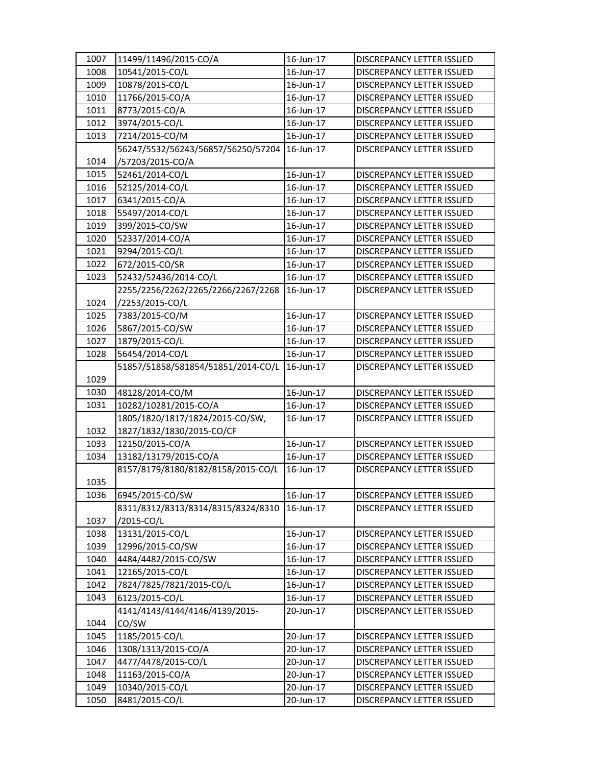| 1007 | 11499/11496/2015-CO/A              | 16-Jun-17 | DISCREPANCY LETTER ISSUED        |
|------|------------------------------------|-----------|----------------------------------|
| 1008 | 10541/2015-CO/L                    | 16-Jun-17 | <b>DISCREPANCY LETTER ISSUED</b> |
| 1009 | 10878/2015-CO/L                    | 16-Jun-17 | DISCREPANCY LETTER ISSUED        |
| 1010 | 11766/2015-CO/A                    | 16-Jun-17 | DISCREPANCY LETTER ISSUED        |
| 1011 | 8773/2015-CO/A                     | 16-Jun-17 | DISCREPANCY LETTER ISSUED        |
| 1012 | 3974/2015-CO/L                     | 16-Jun-17 | DISCREPANCY LETTER ISSUED        |
| 1013 | 7214/2015-CO/M                     | 16-Jun-17 | DISCREPANCY LETTER ISSUED        |
|      | 56247/5532/56243/56857/56250/57204 | 16-Jun-17 | DISCREPANCY LETTER ISSUED        |
| 1014 | /57203/2015-CO/A                   |           |                                  |
| 1015 | 52461/2014-CO/L                    | 16-Jun-17 | DISCREPANCY LETTER ISSUED        |
| 1016 | 52125/2014-CO/L                    | 16-Jun-17 | DISCREPANCY LETTER ISSUED        |
| 1017 | 6341/2015-CO/A                     | 16-Jun-17 | <b>DISCREPANCY LETTER ISSUED</b> |
| 1018 | 55497/2014-CO/L                    | 16-Jun-17 | DISCREPANCY LETTER ISSUED        |
| 1019 | 399/2015-CO/SW                     | 16-Jun-17 | DISCREPANCY LETTER ISSUED        |
| 1020 | 52337/2014-CO/A                    | 16-Jun-17 | DISCREPANCY LETTER ISSUED        |
| 1021 | 9294/2015-CO/L                     | 16-Jun-17 | DISCREPANCY LETTER ISSUED        |
| 1022 | 672/2015-CO/SR                     | 16-Jun-17 | DISCREPANCY LETTER ISSUED        |
| 1023 | 52432/52436/2014-CO/L              | 16-Jun-17 | DISCREPANCY LETTER ISSUED        |
|      | 2255/2256/2262/2265/2266/2267/2268 | 16-Jun-17 | DISCREPANCY LETTER ISSUED        |
| 1024 | /2253/2015-CO/L                    |           |                                  |
| 1025 | 7383/2015-CO/M                     | 16-Jun-17 | <b>DISCREPANCY LETTER ISSUED</b> |
| 1026 | 5867/2015-CO/SW                    | 16-Jun-17 | <b>DISCREPANCY LETTER ISSUED</b> |
| 1027 | 1879/2015-CO/L                     | 16-Jun-17 | DISCREPANCY LETTER ISSUED        |
| 1028 | 56454/2014-CO/L                    | 16-Jun-17 | DISCREPANCY LETTER ISSUED        |
|      | 51857/51858/581854/51851/2014-CO/L | 16-Jun-17 | DISCREPANCY LETTER ISSUED        |
| 1029 |                                    |           |                                  |
| 1030 | 48128/2014-CO/M                    | 16-Jun-17 | DISCREPANCY LETTER ISSUED        |
| 1031 | 10282/10281/2015-CO/A              | 16-Jun-17 | DISCREPANCY LETTER ISSUED        |
|      | 1805/1820/1817/1824/2015-CO/SW,    | 16-Jun-17 | <b>DISCREPANCY LETTER ISSUED</b> |
| 1032 | 1827/1832/1830/2015-CO/CF          |           |                                  |
| 1033 | 12150/2015-CO/A                    | 16-Jun-17 | <b>DISCREPANCY LETTER ISSUED</b> |
| 1034 | 13182/13179/2015-CO/A              | 16-Jun-17 | DISCREPANCY LETTER ISSUED        |
|      | 8157/8179/8180/8182/8158/2015-CO/L | 16-Jun-17 | DISCREPANCY LETTER ISSUED        |
| 1035 |                                    |           |                                  |
| 1036 | 6945/2015-CO/SW                    | 16-Jun-17 | DISCREPANCY LETTER ISSUED        |
|      | 8311/8312/8313/8314/8315/8324/8310 | 16-Jun-17 | DISCREPANCY LETTER ISSUED        |
| 1037 | /2015-CO/L                         |           |                                  |
| 1038 | 13131/2015-CO/L                    | 16-Jun-17 | DISCREPANCY LETTER ISSUED        |
| 1039 | 12996/2015-CO/SW                   | 16-Jun-17 | DISCREPANCY LETTER ISSUED        |
| 1040 | 4484/4482/2015-CO/SW               | 16-Jun-17 | DISCREPANCY LETTER ISSUED        |
| 1041 | 12165/2015-CO/L                    | 16-Jun-17 | DISCREPANCY LETTER ISSUED        |
| 1042 | 7824/7825/7821/2015-CO/L           | 16-Jun-17 | DISCREPANCY LETTER ISSUED        |
| 1043 | 6123/2015-CO/L                     | 16-Jun-17 | DISCREPANCY LETTER ISSUED        |
|      | 4141/4143/4144/4146/4139/2015-     | 20-Jun-17 | DISCREPANCY LETTER ISSUED        |
| 1044 | CO/SW                              |           |                                  |
| 1045 | 1185/2015-CO/L                     | 20-Jun-17 | DISCREPANCY LETTER ISSUED        |
| 1046 | 1308/1313/2015-CO/A                | 20-Jun-17 | DISCREPANCY LETTER ISSUED        |
| 1047 | 4477/4478/2015-CO/L                | 20-Jun-17 | DISCREPANCY LETTER ISSUED        |
| 1048 | 11163/2015-CO/A                    | 20-Jun-17 | DISCREPANCY LETTER ISSUED        |
| 1049 | 10340/2015-CO/L                    | 20-Jun-17 | DISCREPANCY LETTER ISSUED        |
| 1050 | 8481/2015-CO/L                     | 20-Jun-17 | DISCREPANCY LETTER ISSUED        |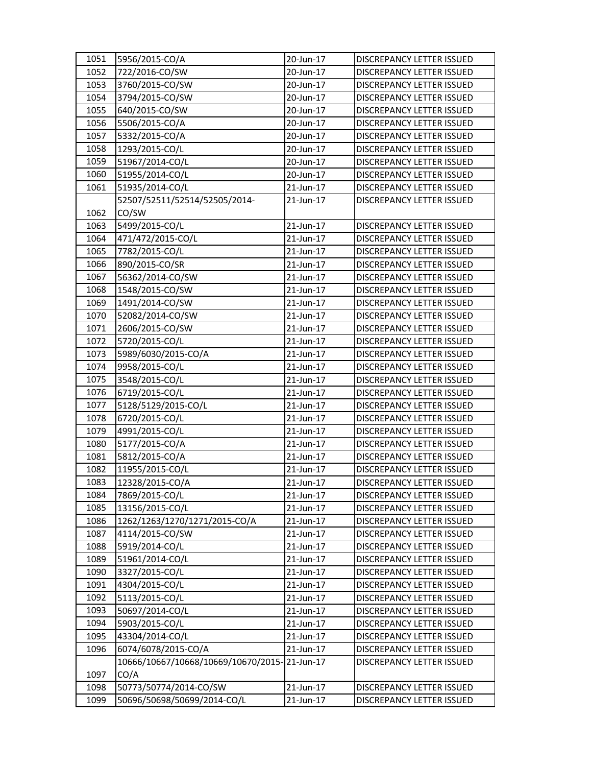| 1051 | 5956/2015-CO/A                               | 20-Jun-17 | DISCREPANCY LETTER ISSUED        |
|------|----------------------------------------------|-----------|----------------------------------|
| 1052 | 722/2016-CO/SW                               | 20-Jun-17 | DISCREPANCY LETTER ISSUED        |
| 1053 | 3760/2015-CO/SW                              | 20-Jun-17 | DISCREPANCY LETTER ISSUED        |
| 1054 | 3794/2015-CO/SW                              | 20-Jun-17 | DISCREPANCY LETTER ISSUED        |
| 1055 | 640/2015-CO/SW                               | 20-Jun-17 | DISCREPANCY LETTER ISSUED        |
| 1056 | 5506/2015-CO/A                               | 20-Jun-17 | DISCREPANCY LETTER ISSUED        |
| 1057 | 5332/2015-CO/A                               | 20-Jun-17 | DISCREPANCY LETTER ISSUED        |
| 1058 | 1293/2015-CO/L                               | 20-Jun-17 | DISCREPANCY LETTER ISSUED        |
| 1059 | 51967/2014-CO/L                              | 20-Jun-17 | <b>DISCREPANCY LETTER ISSUED</b> |
| 1060 | 51955/2014-CO/L                              | 20-Jun-17 | DISCREPANCY LETTER ISSUED        |
| 1061 | 51935/2014-CO/L                              | 21-Jun-17 | <b>DISCREPANCY LETTER ISSUED</b> |
|      | 52507/52511/52514/52505/2014-                | 21-Jun-17 | DISCREPANCY LETTER ISSUED        |
| 1062 | CO/SW                                        |           |                                  |
| 1063 | 5499/2015-CO/L                               | 21-Jun-17 | DISCREPANCY LETTER ISSUED        |
| 1064 | 471/472/2015-CO/L                            | 21-Jun-17 | DISCREPANCY LETTER ISSUED        |
| 1065 | 7782/2015-CO/L                               | 21-Jun-17 | DISCREPANCY LETTER ISSUED        |
| 1066 | 890/2015-CO/SR                               | 21-Jun-17 | DISCREPANCY LETTER ISSUED        |
| 1067 | 56362/2014-CO/SW                             | 21-Jun-17 | DISCREPANCY LETTER ISSUED        |
| 1068 | 1548/2015-CO/SW                              | 21-Jun-17 | DISCREPANCY LETTER ISSUED        |
| 1069 | 1491/2014-CO/SW                              | 21-Jun-17 | DISCREPANCY LETTER ISSUED        |
| 1070 | 52082/2014-CO/SW                             | 21-Jun-17 | DISCREPANCY LETTER ISSUED        |
| 1071 | 2606/2015-CO/SW                              | 21-Jun-17 | <b>DISCREPANCY LETTER ISSUED</b> |
| 1072 | 5720/2015-CO/L                               | 21-Jun-17 | DISCREPANCY LETTER ISSUED        |
| 1073 | 5989/6030/2015-CO/A                          | 21-Jun-17 | DISCREPANCY LETTER ISSUED        |
| 1074 | 9958/2015-CO/L                               | 21-Jun-17 | DISCREPANCY LETTER ISSUED        |
| 1075 | 3548/2015-CO/L                               | 21-Jun-17 | DISCREPANCY LETTER ISSUED        |
| 1076 | 6719/2015-CO/L                               | 21-Jun-17 | DISCREPANCY LETTER ISSUED        |
| 1077 | 5128/5129/2015-CO/L                          | 21-Jun-17 | DISCREPANCY LETTER ISSUED        |
| 1078 | 6720/2015-CO/L                               | 21-Jun-17 | DISCREPANCY LETTER ISSUED        |
| 1079 | 4991/2015-CO/L                               | 21-Jun-17 | DISCREPANCY LETTER ISSUED        |
| 1080 | 5177/2015-CO/A                               | 21-Jun-17 | DISCREPANCY LETTER ISSUED        |
| 1081 | 5812/2015-CO/A                               | 21-Jun-17 | DISCREPANCY LETTER ISSUED        |
| 1082 | 11955/2015-CO/L                              | 21-Jun-17 | DISCREPANCY LETTER ISSUED        |
| 1083 | 12328/2015-CO/A                              | 21-Jun-17 | DISCREPANCY LETTER ISSUED        |
| 1084 | 7869/2015-CO/L                               | 21-Jun-17 | DISCREPANCY LETTER ISSUED        |
| 1085 | 13156/2015-CO/L                              | 21-Jun-17 | DISCREPANCY LETTER ISSUED        |
| 1086 | 1262/1263/1270/1271/2015-CO/A                | 21-Jun-17 | DISCREPANCY LETTER ISSUED        |
| 1087 | 4114/2015-CO/SW                              | 21-Jun-17 | DISCREPANCY LETTER ISSUED        |
| 1088 | 5919/2014-CO/L                               | 21-Jun-17 | DISCREPANCY LETTER ISSUED        |
| 1089 | 51961/2014-CO/L                              | 21-Jun-17 | DISCREPANCY LETTER ISSUED        |
| 1090 | 3327/2015-CO/L                               | 21-Jun-17 | DISCREPANCY LETTER ISSUED        |
| 1091 | 4304/2015-CO/L                               | 21-Jun-17 | DISCREPANCY LETTER ISSUED        |
| 1092 | 5113/2015-CO/L                               | 21-Jun-17 | DISCREPANCY LETTER ISSUED        |
| 1093 | 50697/2014-CO/L                              | 21-Jun-17 | DISCREPANCY LETTER ISSUED        |
| 1094 | 5903/2015-CO/L                               | 21-Jun-17 | DISCREPANCY LETTER ISSUED        |
| 1095 | 43304/2014-CO/L                              | 21-Jun-17 | DISCREPANCY LETTER ISSUED        |
| 1096 | 6074/6078/2015-CO/A                          | 21-Jun-17 | DISCREPANCY LETTER ISSUED        |
|      | 10666/10667/10668/10669/10670/2015-21-Jun-17 |           | DISCREPANCY LETTER ISSUED        |
| 1097 | CO/A                                         |           |                                  |
| 1098 | 50773/50774/2014-CO/SW                       | 21-Jun-17 | DISCREPANCY LETTER ISSUED        |
| 1099 | 50696/50698/50699/2014-CO/L                  | 21-Jun-17 | DISCREPANCY LETTER ISSUED        |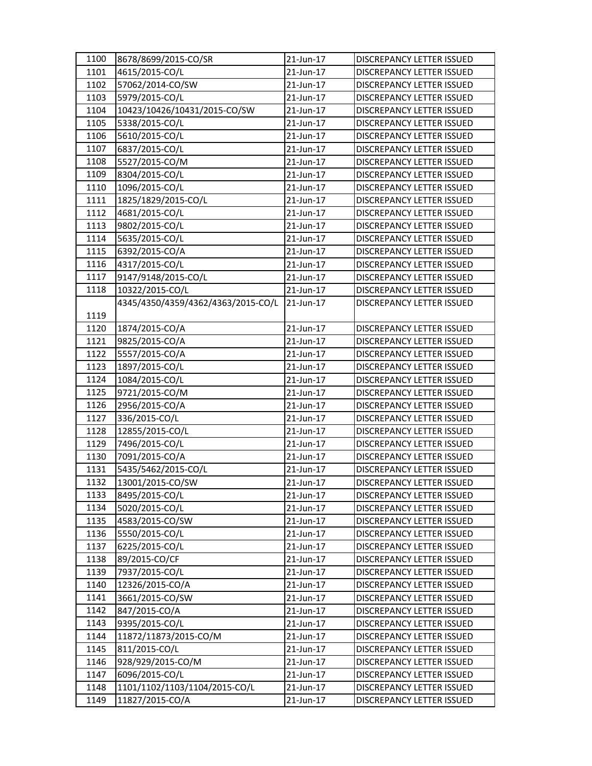| 1100 | 8678/8699/2015-CO/SR               | 21-Jun-17 | DISCREPANCY LETTER ISSUED        |
|------|------------------------------------|-----------|----------------------------------|
| 1101 | 4615/2015-CO/L                     | 21-Jun-17 | <b>DISCREPANCY LETTER ISSUED</b> |
| 1102 | 57062/2014-CO/SW                   | 21-Jun-17 | DISCREPANCY LETTER ISSUED        |
| 1103 | 5979/2015-CO/L                     | 21-Jun-17 | DISCREPANCY LETTER ISSUED        |
| 1104 | 10423/10426/10431/2015-CO/SW       | 21-Jun-17 | DISCREPANCY LETTER ISSUED        |
| 1105 | 5338/2015-CO/L                     | 21-Jun-17 | DISCREPANCY LETTER ISSUED        |
| 1106 | 5610/2015-CO/L                     | 21-Jun-17 | DISCREPANCY LETTER ISSUED        |
| 1107 | 6837/2015-CO/L                     | 21-Jun-17 | DISCREPANCY LETTER ISSUED        |
| 1108 | 5527/2015-CO/M                     | 21-Jun-17 | DISCREPANCY LETTER ISSUED        |
| 1109 | 8304/2015-CO/L                     | 21-Jun-17 | DISCREPANCY LETTER ISSUED        |
| 1110 | 1096/2015-CO/L                     | 21-Jun-17 | DISCREPANCY LETTER ISSUED        |
| 1111 | 1825/1829/2015-CO/L                | 21-Jun-17 | DISCREPANCY LETTER ISSUED        |
| 1112 | 4681/2015-CO/L                     | 21-Jun-17 | DISCREPANCY LETTER ISSUED        |
| 1113 | 9802/2015-CO/L                     | 21-Jun-17 | DISCREPANCY LETTER ISSUED        |
| 1114 | 5635/2015-CO/L                     | 21-Jun-17 | DISCREPANCY LETTER ISSUED        |
| 1115 | 6392/2015-CO/A                     | 21-Jun-17 | <b>DISCREPANCY LETTER ISSUED</b> |
| 1116 | 4317/2015-CO/L                     | 21-Jun-17 | DISCREPANCY LETTER ISSUED        |
| 1117 | 9147/9148/2015-CO/L                | 21-Jun-17 | DISCREPANCY LETTER ISSUED        |
| 1118 | 10322/2015-CO/L                    | 21-Jun-17 | DISCREPANCY LETTER ISSUED        |
|      | 4345/4350/4359/4362/4363/2015-CO/L | 21-Jun-17 | <b>DISCREPANCY LETTER ISSUED</b> |
| 1119 |                                    |           |                                  |
| 1120 | 1874/2015-CO/A                     | 21-Jun-17 | DISCREPANCY LETTER ISSUED        |
| 1121 | 9825/2015-CO/A                     | 21-Jun-17 | DISCREPANCY LETTER ISSUED        |
| 1122 | 5557/2015-CO/A                     | 21-Jun-17 | DISCREPANCY LETTER ISSUED        |
| 1123 | 1897/2015-CO/L                     | 21-Jun-17 | DISCREPANCY LETTER ISSUED        |
| 1124 | 1084/2015-CO/L                     | 21-Jun-17 | DISCREPANCY LETTER ISSUED        |
| 1125 | 9721/2015-CO/M                     | 21-Jun-17 | DISCREPANCY LETTER ISSUED        |
| 1126 | 2956/2015-CO/A                     | 21-Jun-17 | DISCREPANCY LETTER ISSUED        |
| 1127 | 336/2015-CO/L                      | 21-Jun-17 | DISCREPANCY LETTER ISSUED        |
| 1128 | 12855/2015-CO/L                    | 21-Jun-17 | DISCREPANCY LETTER ISSUED        |
| 1129 | 7496/2015-CO/L                     | 21-Jun-17 | <b>DISCREPANCY LETTER ISSUED</b> |
| 1130 | 7091/2015-CO/A                     | 21-Jun-17 | DISCREPANCY LETTER ISSUED        |
| 1131 | 5435/5462/2015-CO/L                | 21-Jun-17 | DISCREPANCY LETTER ISSUED        |
| 1132 | 13001/2015-CO/SW                   | 21-Jun-17 | <b>DISCREPANCY LETTER ISSUED</b> |
| 1133 | 8495/2015-CO/L                     | 21-Jun-17 | DISCREPANCY LETTER ISSUED        |
| 1134 | 5020/2015-CO/L                     | 21-Jun-17 | DISCREPANCY LETTER ISSUED        |
| 1135 | 4583/2015-CO/SW                    | 21-Jun-17 | DISCREPANCY LETTER ISSUED        |
| 1136 | 5550/2015-CO/L                     | 21-Jun-17 | DISCREPANCY LETTER ISSUED        |
| 1137 | 6225/2015-CO/L                     | 21-Jun-17 | DISCREPANCY LETTER ISSUED        |
| 1138 | 89/2015-CO/CF                      | 21-Jun-17 | DISCREPANCY LETTER ISSUED        |
| 1139 | 7937/2015-CO/L                     | 21-Jun-17 | DISCREPANCY LETTER ISSUED        |
| 1140 | 12326/2015-CO/A                    | 21-Jun-17 | DISCREPANCY LETTER ISSUED        |
| 1141 | 3661/2015-CO/SW                    | 21-Jun-17 | DISCREPANCY LETTER ISSUED        |
| 1142 | 847/2015-CO/A                      | 21-Jun-17 | DISCREPANCY LETTER ISSUED        |
| 1143 | 9395/2015-CO/L                     | 21-Jun-17 | DISCREPANCY LETTER ISSUED        |
| 1144 | 11872/11873/2015-CO/M              | 21-Jun-17 | DISCREPANCY LETTER ISSUED        |
| 1145 | 811/2015-CO/L                      | 21-Jun-17 | DISCREPANCY LETTER ISSUED        |
| 1146 | 928/929/2015-CO/M                  | 21-Jun-17 | DISCREPANCY LETTER ISSUED        |
| 1147 | 6096/2015-CO/L                     | 21-Jun-17 | DISCREPANCY LETTER ISSUED        |
| 1148 | 1101/1102/1103/1104/2015-CO/L      | 21-Jun-17 | DISCREPANCY LETTER ISSUED        |
| 1149 | 11827/2015-CO/A                    | 21-Jun-17 | DISCREPANCY LETTER ISSUED        |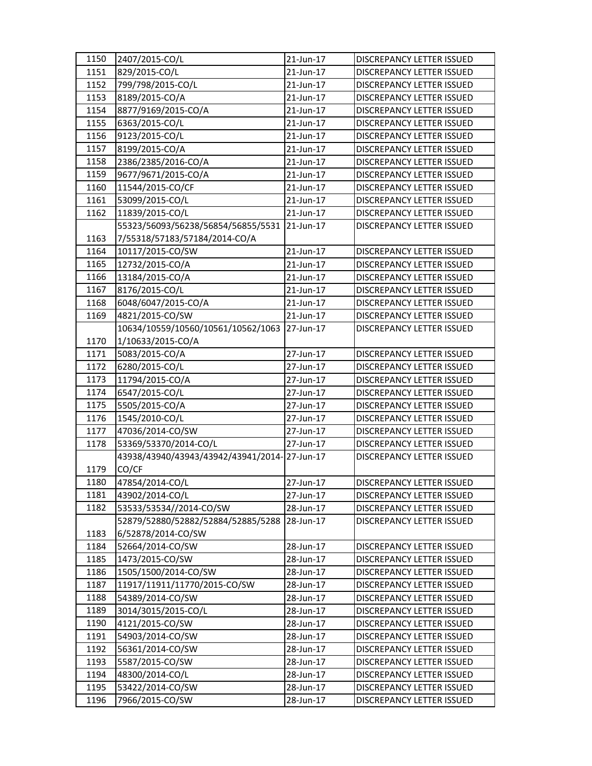| 1150 | 2407/2015-CO/L                               | 21-Jun-17 | <b>DISCREPANCY LETTER ISSUED</b> |
|------|----------------------------------------------|-----------|----------------------------------|
| 1151 | 829/2015-CO/L                                | 21-Jun-17 | DISCREPANCY LETTER ISSUED        |
| 1152 | 799/798/2015-CO/L                            | 21-Jun-17 | DISCREPANCY LETTER ISSUED        |
| 1153 | 8189/2015-CO/A                               | 21-Jun-17 | DISCREPANCY LETTER ISSUED        |
| 1154 | 8877/9169/2015-CO/A                          | 21-Jun-17 | DISCREPANCY LETTER ISSUED        |
| 1155 | 6363/2015-CO/L                               | 21-Jun-17 | DISCREPANCY LETTER ISSUED        |
| 1156 | 9123/2015-CO/L                               | 21-Jun-17 | DISCREPANCY LETTER ISSUED        |
| 1157 | 8199/2015-CO/A                               | 21-Jun-17 | DISCREPANCY LETTER ISSUED        |
| 1158 | 2386/2385/2016-CO/A                          | 21-Jun-17 | DISCREPANCY LETTER ISSUED        |
| 1159 | 9677/9671/2015-CO/A                          | 21-Jun-17 | DISCREPANCY LETTER ISSUED        |
| 1160 | 11544/2015-CO/CF                             | 21-Jun-17 | DISCREPANCY LETTER ISSUED        |
| 1161 | 53099/2015-CO/L                              | 21-Jun-17 | DISCREPANCY LETTER ISSUED        |
| 1162 | 11839/2015-CO/L                              | 21-Jun-17 | DISCREPANCY LETTER ISSUED        |
|      | 55323/56093/56238/56854/56855/5531           | 21-Jun-17 | DISCREPANCY LETTER ISSUED        |
| 1163 | 7/55318/57183/57184/2014-CO/A                |           |                                  |
| 1164 | 10117/2015-CO/SW                             | 21-Jun-17 | DISCREPANCY LETTER ISSUED        |
| 1165 | 12732/2015-CO/A                              | 21-Jun-17 | DISCREPANCY LETTER ISSUED        |
| 1166 | 13184/2015-CO/A                              | 21-Jun-17 | DISCREPANCY LETTER ISSUED        |
| 1167 | 8176/2015-CO/L                               | 21-Jun-17 | DISCREPANCY LETTER ISSUED        |
| 1168 | 6048/6047/2015-CO/A                          | 21-Jun-17 | DISCREPANCY LETTER ISSUED        |
| 1169 | 4821/2015-CO/SW                              | 21-Jun-17 | DISCREPANCY LETTER ISSUED        |
|      | 10634/10559/10560/10561/10562/1063           | 27-Jun-17 | <b>DISCREPANCY LETTER ISSUED</b> |
| 1170 | 1/10633/2015-CO/A                            |           |                                  |
| 1171 | 5083/2015-CO/A                               | 27-Jun-17 | DISCREPANCY LETTER ISSUED        |
| 1172 | 6280/2015-CO/L                               | 27-Jun-17 | DISCREPANCY LETTER ISSUED        |
| 1173 | 11794/2015-CO/A                              | 27-Jun-17 | DISCREPANCY LETTER ISSUED        |
| 1174 | 6547/2015-CO/L                               | 27-Jun-17 | DISCREPANCY LETTER ISSUED        |
| 1175 | 5505/2015-CO/A                               | 27-Jun-17 | DISCREPANCY LETTER ISSUED        |
| 1176 | 1545/2010-CO/L                               | 27-Jun-17 | DISCREPANCY LETTER ISSUED        |
| 1177 | 47036/2014-CO/SW                             | 27-Jun-17 | DISCREPANCY LETTER ISSUED        |
| 1178 | 53369/53370/2014-CO/L                        | 27-Jun-17 | DISCREPANCY LETTER ISSUED        |
|      | 43938/43940/43943/43942/43941/2014-27-Jun-17 |           | DISCREPANCY LETTER ISSUED        |
| 1179 | CO/CF                                        |           |                                  |
| 1180 | 47854/2014-CO/L                              | 27-Jun-17 | <b>DISCREPANCY LETTER ISSUED</b> |
| 1181 | 43902/2014-CO/L                              | 27-Jun-17 | DISCREPANCY LETTER ISSUED        |
| 1182 | 53533/53534//2014-CO/SW                      | 28-Jun-17 | DISCREPANCY LETTER ISSUED        |
|      | 52879/52880/52882/52884/52885/5288           | 28-Jun-17 | DISCREPANCY LETTER ISSUED        |
| 1183 | 6/52878/2014-CO/SW                           |           |                                  |
| 1184 | 52664/2014-CO/SW                             | 28-Jun-17 | DISCREPANCY LETTER ISSUED        |
| 1185 | 1473/2015-CO/SW                              | 28-Jun-17 | DISCREPANCY LETTER ISSUED        |
| 1186 | 1505/1500/2014-CO/SW                         | 28-Jun-17 | DISCREPANCY LETTER ISSUED        |
| 1187 | 11917/11911/11770/2015-CO/SW                 | 28-Jun-17 | DISCREPANCY LETTER ISSUED        |
| 1188 | 54389/2014-CO/SW                             | 28-Jun-17 | DISCREPANCY LETTER ISSUED        |
| 1189 | 3014/3015/2015-CO/L                          | 28-Jun-17 | DISCREPANCY LETTER ISSUED        |
| 1190 | 4121/2015-CO/SW                              | 28-Jun-17 | DISCREPANCY LETTER ISSUED        |
| 1191 | 54903/2014-CO/SW                             | 28-Jun-17 | DISCREPANCY LETTER ISSUED        |
| 1192 | 56361/2014-CO/SW                             | 28-Jun-17 | DISCREPANCY LETTER ISSUED        |
| 1193 | 5587/2015-CO/SW                              | 28-Jun-17 | DISCREPANCY LETTER ISSUED        |
| 1194 | 48300/2014-CO/L                              | 28-Jun-17 | DISCREPANCY LETTER ISSUED        |
| 1195 | 53422/2014-CO/SW                             | 28-Jun-17 | DISCREPANCY LETTER ISSUED        |
| 1196 | 7966/2015-CO/SW                              | 28-Jun-17 | DISCREPANCY LETTER ISSUED        |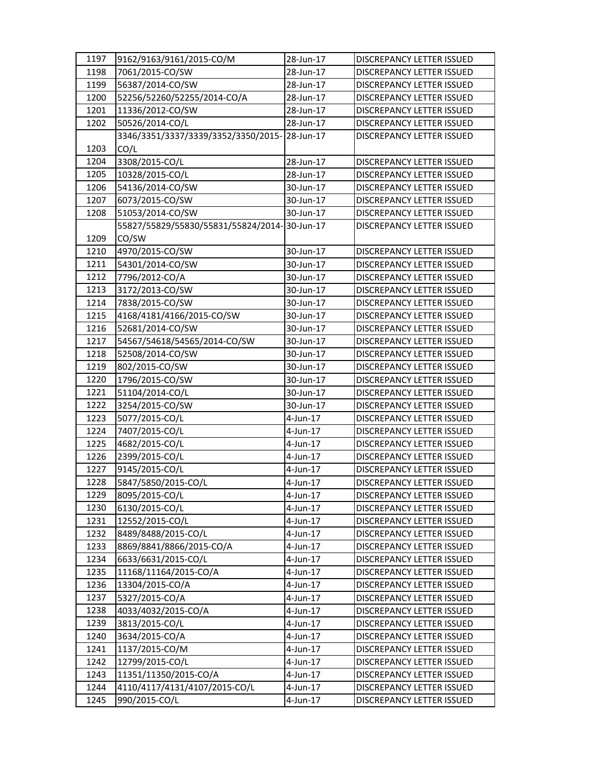| 1197 | 9162/9163/9161/2015-CO/M                     | 28-Jun-17 | DISCREPANCY LETTER ISSUED                              |
|------|----------------------------------------------|-----------|--------------------------------------------------------|
| 1198 | 7061/2015-CO/SW                              | 28-Jun-17 | DISCREPANCY LETTER ISSUED                              |
| 1199 | 56387/2014-CO/SW                             | 28-Jun-17 | DISCREPANCY LETTER ISSUED                              |
| 1200 | 52256/52260/52255/2014-CO/A                  | 28-Jun-17 | DISCREPANCY LETTER ISSUED                              |
| 1201 | 11336/2012-CO/SW                             | 28-Jun-17 | DISCREPANCY LETTER ISSUED                              |
| 1202 | 50526/2014-CO/L                              | 28-Jun-17 | DISCREPANCY LETTER ISSUED                              |
|      | 3346/3351/3337/3339/3352/3350/2015-28-Jun-17 |           | DISCREPANCY LETTER ISSUED                              |
| 1203 | CO/L                                         |           |                                                        |
| 1204 | 3308/2015-CO/L                               | 28-Jun-17 | DISCREPANCY LETTER ISSUED                              |
| 1205 | 10328/2015-CO/L                              | 28-Jun-17 | DISCREPANCY LETTER ISSUED                              |
| 1206 | 54136/2014-CO/SW                             | 30-Jun-17 | DISCREPANCY LETTER ISSUED                              |
| 1207 | 6073/2015-CO/SW                              | 30-Jun-17 | DISCREPANCY LETTER ISSUED                              |
| 1208 | 51053/2014-CO/SW                             | 30-Jun-17 | DISCREPANCY LETTER ISSUED                              |
|      | 55827/55829/55830/55831/55824/2014-30-Jun-17 |           | DISCREPANCY LETTER ISSUED                              |
| 1209 | CO/SW                                        |           |                                                        |
| 1210 | 4970/2015-CO/SW                              | 30-Jun-17 | DISCREPANCY LETTER ISSUED                              |
| 1211 | 54301/2014-CO/SW                             | 30-Jun-17 | DISCREPANCY LETTER ISSUED                              |
| 1212 | 7796/2012-CO/A                               | 30-Jun-17 | <b>DISCREPANCY LETTER ISSUED</b>                       |
| 1213 | 3172/2013-CO/SW                              | 30-Jun-17 | DISCREPANCY LETTER ISSUED                              |
| 1214 | 7838/2015-CO/SW                              | 30-Jun-17 | DISCREPANCY LETTER ISSUED                              |
| 1215 | 4168/4181/4166/2015-CO/SW                    | 30-Jun-17 | DISCREPANCY LETTER ISSUED                              |
| 1216 | 52681/2014-CO/SW                             | 30-Jun-17 | DISCREPANCY LETTER ISSUED                              |
| 1217 | 54567/54618/54565/2014-CO/SW                 | 30-Jun-17 | DISCREPANCY LETTER ISSUED                              |
| 1218 | 52508/2014-CO/SW                             | 30-Jun-17 | DISCREPANCY LETTER ISSUED                              |
| 1219 | 802/2015-CO/SW                               | 30-Jun-17 | DISCREPANCY LETTER ISSUED                              |
| 1220 | 1796/2015-CO/SW                              | 30-Jun-17 | DISCREPANCY LETTER ISSUED                              |
| 1221 | 51104/2014-CO/L                              | 30-Jun-17 | DISCREPANCY LETTER ISSUED                              |
| 1222 | 3254/2015-CO/SW                              | 30-Jun-17 | DISCREPANCY LETTER ISSUED                              |
| 1223 | 5077/2015-CO/L                               | 4-Jun-17  | DISCREPANCY LETTER ISSUED                              |
| 1224 | 7407/2015-CO/L                               | 4-Jun-17  | DISCREPANCY LETTER ISSUED                              |
| 1225 | 4682/2015-CO/L                               | 4-Jun-17  | <b>DISCREPANCY LETTER ISSUED</b>                       |
| 1226 | 2399/2015-CO/L                               | 4-Jun-17  | DISCREPANCY LETTER ISSUED                              |
| 1227 | 9145/2015-CO/L                               | 4-Jun-17  | DISCREPANCY LETTER ISSUED                              |
| 1228 | 5847/5850/2015-CO/L                          | 4-Jun-17  | <b>DISCREPANCY LETTER ISSUED</b>                       |
| 1229 | 8095/2015-CO/L                               | 4-Jun-17  | DISCREPANCY LETTER ISSUED                              |
| 1230 | 6130/2015-CO/L                               | 4-Jun-17  | DISCREPANCY LETTER ISSUED                              |
| 1231 | 12552/2015-CO/L                              | 4-Jun-17  | DISCREPANCY LETTER ISSUED                              |
| 1232 | 8489/8488/2015-CO/L                          | 4-Jun-17  | DISCREPANCY LETTER ISSUED                              |
| 1233 | 8869/8841/8866/2015-CO/A                     | 4-Jun-17  | DISCREPANCY LETTER ISSUED                              |
| 1234 | 6633/6631/2015-CO/L                          | 4-Jun-17  | DISCREPANCY LETTER ISSUED                              |
| 1235 | 11168/11164/2015-CO/A                        | 4-Jun-17  | DISCREPANCY LETTER ISSUED                              |
| 1236 | 13304/2015-CO/A                              | 4-Jun-17  | DISCREPANCY LETTER ISSUED                              |
| 1237 | 5327/2015-CO/A                               | 4-Jun-17  | DISCREPANCY LETTER ISSUED                              |
| 1238 | 4033/4032/2015-CO/A                          | 4-Jun-17  |                                                        |
| 1239 | 3813/2015-CO/L                               | 4-Jun-17  | DISCREPANCY LETTER ISSUED<br>DISCREPANCY LETTER ISSUED |
| 1240 | 3634/2015-CO/A                               | 4-Jun-17  | DISCREPANCY LETTER ISSUED                              |
| 1241 | 1137/2015-CO/M                               | 4-Jun-17  | DISCREPANCY LETTER ISSUED                              |
| 1242 | 12799/2015-CO/L                              | 4-Jun-17  | DISCREPANCY LETTER ISSUED                              |
| 1243 | 11351/11350/2015-CO/A                        | 4-Jun-17  | DISCREPANCY LETTER ISSUED                              |
| 1244 | 4110/4117/4131/4107/2015-CO/L                | 4-Jun-17  | DISCREPANCY LETTER ISSUED                              |
| 1245 | 990/2015-CO/L                                | 4-Jun-17  | DISCREPANCY LETTER ISSUED                              |
|      |                                              |           |                                                        |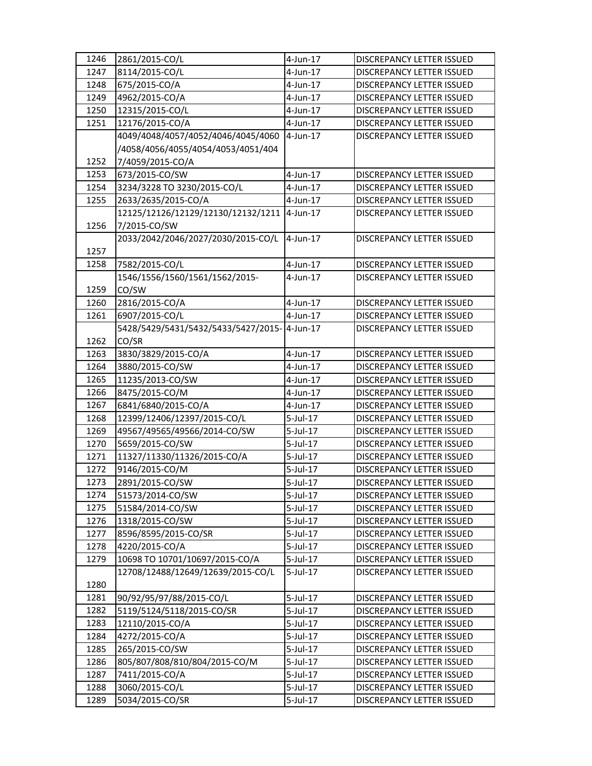| 1246 | 2861/2015-CO/L                               | $4$ -Jun-17 | <b>DISCREPANCY LETTER ISSUED</b> |
|------|----------------------------------------------|-------------|----------------------------------|
| 1247 | 8114/2015-CO/L                               | 4-Jun-17    | DISCREPANCY LETTER ISSUED        |
| 1248 | 675/2015-CO/A                                | 4-Jun-17    | <b>DISCREPANCY LETTER ISSUED</b> |
| 1249 | 4962/2015-CO/A                               | 4-Jun-17    | DISCREPANCY LETTER ISSUED        |
| 1250 | 12315/2015-CO/L                              | 4-Jun-17    | DISCREPANCY LETTER ISSUED        |
| 1251 | 12176/2015-CO/A                              | 4-Jun-17    | DISCREPANCY LETTER ISSUED        |
|      | 4049/4048/4057/4052/4046/4045/4060           | 4-Jun-17    | DISCREPANCY LETTER ISSUED        |
|      | /4058/4056/4055/4054/4053/4051/404           |             |                                  |
| 1252 | 7/4059/2015-CO/A                             |             |                                  |
| 1253 | 673/2015-CO/SW                               | 4-Jun-17    | DISCREPANCY LETTER ISSUED        |
| 1254 | 3234/3228 TO 3230/2015-CO/L                  | $4$ -Jun-17 | DISCREPANCY LETTER ISSUED        |
| 1255 | 2633/2635/2015-CO/A                          | 4-Jun-17    | DISCREPANCY LETTER ISSUED        |
|      | 12125/12126/12129/12130/12132/1211           | 4-Jun-17    | DISCREPANCY LETTER ISSUED        |
| 1256 | 7/2015-CO/SW                                 |             |                                  |
|      | 2033/2042/2046/2027/2030/2015-CO/L           | 4-Jun-17    | DISCREPANCY LETTER ISSUED        |
| 1257 |                                              |             |                                  |
| 1258 | 7582/2015-CO/L                               | 4-Jun-17    | <b>DISCREPANCY LETTER ISSUED</b> |
|      | 1546/1556/1560/1561/1562/2015-               | $4$ -Jun-17 | DISCREPANCY LETTER ISSUED        |
| 1259 | CO/SW                                        |             |                                  |
| 1260 | 2816/2015-CO/A                               | $4$ -Jun-17 | DISCREPANCY LETTER ISSUED        |
| 1261 | 6907/2015-CO/L                               | 4-Jun-17    | <b>DISCREPANCY LETTER ISSUED</b> |
|      | 5428/5429/5431/5432/5433/5427/2015-14-Jun-17 |             | DISCREPANCY LETTER ISSUED        |
|      | CO/SR                                        |             |                                  |
| 1262 |                                              | 4-Jun-17    |                                  |
| 1263 | 3830/3829/2015-CO/A                          |             | DISCREPANCY LETTER ISSUED        |
| 1264 | 3880/2015-CO/SW                              | 4-Jun-17    | DISCREPANCY LETTER ISSUED        |
| 1265 | 11235/2013-CO/SW                             | 4-Jun-17    | DISCREPANCY LETTER ISSUED        |
| 1266 | 8475/2015-CO/M                               | 4-Jun-17    | DISCREPANCY LETTER ISSUED        |
| 1267 | 6841/6840/2015-CO/A                          | 4-Jun-17    | DISCREPANCY LETTER ISSUED        |
| 1268 | 12399/12406/12397/2015-CO/L                  | $5$ -Jul-17 | DISCREPANCY LETTER ISSUED        |
| 1269 | 49567/49565/49566/2014-CO/SW                 | $5$ -Jul-17 | DISCREPANCY LETTER ISSUED        |
| 1270 | 5659/2015-CO/SW                              | 5-Jul-17    | DISCREPANCY LETTER ISSUED        |
| 1271 | 11327/11330/11326/2015-CO/A                  | 5-Jul-17    | DISCREPANCY LETTER ISSUED        |
| 1272 | 9146/2015-CO/M                               | $5$ -Jul-17 | DISCREPANCY LETTER ISSUED        |
| 1273 | 2891/2015-CO/SW                              | 5-Jul-17    | DISCREPANCY LETTER ISSUED        |
| 1274 | 51573/2014-CO/SW                             | 5-Jul-17    | DISCREPANCY LETTER ISSUED        |
| 1275 | 51584/2014-CO/SW                             | 5-Jul-17    | DISCREPANCY LETTER ISSUED        |
| 1276 | 1318/2015-CO/SW                              | 5-Jul-17    | DISCREPANCY LETTER ISSUED        |
| 1277 | 8596/8595/2015-CO/SR                         | 5-Jul-17    | DISCREPANCY LETTER ISSUED        |
| 1278 | 4220/2015-CO/A                               | 5-Jul-17    | DISCREPANCY LETTER ISSUED        |
| 1279 | 10698 TO 10701/10697/2015-CO/A               | 5-Jul-17    | DISCREPANCY LETTER ISSUED        |
|      | 12708/12488/12649/12639/2015-CO/L            | $5$ -Jul-17 | <b>DISCREPANCY LETTER ISSUED</b> |
| 1280 |                                              |             |                                  |
| 1281 | 90/92/95/97/88/2015-CO/L                     | 5-Jul-17    | DISCREPANCY LETTER ISSUED        |
| 1282 | 5119/5124/5118/2015-CO/SR                    | 5-Jul-17    | DISCREPANCY LETTER ISSUED        |
| 1283 | 12110/2015-CO/A                              | 5-Jul-17    | DISCREPANCY LETTER ISSUED        |
| 1284 | 4272/2015-CO/A                               | 5-Jul-17    | DISCREPANCY LETTER ISSUED        |
| 1285 | 265/2015-CO/SW                               | 5-Jul-17    | DISCREPANCY LETTER ISSUED        |
| 1286 | 805/807/808/810/804/2015-CO/M                | 5-Jul-17    | DISCREPANCY LETTER ISSUED        |
| 1287 | 7411/2015-CO/A                               | 5-Jul-17    | DISCREPANCY LETTER ISSUED        |
| 1288 | 3060/2015-CO/L                               | 5-Jul-17    | DISCREPANCY LETTER ISSUED        |
| 1289 | 5034/2015-CO/SR                              | 5-Jul-17    | DISCREPANCY LETTER ISSUED        |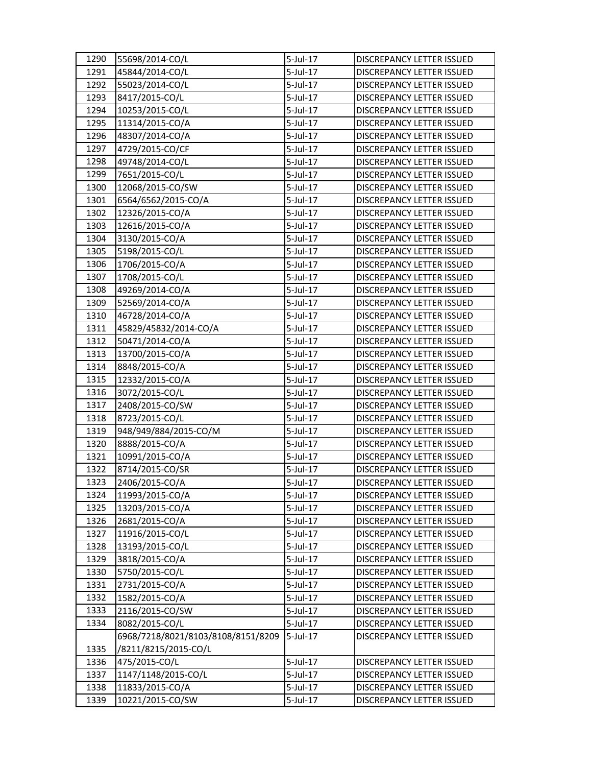| 1290 | 55698/2014-CO/L                    | $5$ -Jul-17 | DISCREPANCY LETTER ISSUED        |
|------|------------------------------------|-------------|----------------------------------|
| 1291 | 45844/2014-CO/L                    | 5-Jul-17    | DISCREPANCY LETTER ISSUED        |
| 1292 | 55023/2014-CO/L                    | 5-Jul-17    | <b>DISCREPANCY LETTER ISSUED</b> |
| 1293 | 8417/2015-CO/L                     | 5-Jul-17    | DISCREPANCY LETTER ISSUED        |
| 1294 | 10253/2015-CO/L                    | 5-Jul-17    | DISCREPANCY LETTER ISSUED        |
| 1295 | 11314/2015-CO/A                    | 5-Jul-17    | DISCREPANCY LETTER ISSUED        |
| 1296 | 48307/2014-CO/A                    | 5-Jul-17    | DISCREPANCY LETTER ISSUED        |
| 1297 | 4729/2015-CO/CF                    | 5-Jul-17    | DISCREPANCY LETTER ISSUED        |
| 1298 | 49748/2014-CO/L                    | 5-Jul-17    | <b>DISCREPANCY LETTER ISSUED</b> |
| 1299 | 7651/2015-CO/L                     | 5-Jul-17    | DISCREPANCY LETTER ISSUED        |
| 1300 | 12068/2015-CO/SW                   | 5-Jul-17    | DISCREPANCY LETTER ISSUED        |
| 1301 | 6564/6562/2015-CO/A                | 5-Jul-17    | DISCREPANCY LETTER ISSUED        |
| 1302 | 12326/2015-CO/A                    | 5-Jul-17    | DISCREPANCY LETTER ISSUED        |
| 1303 | 12616/2015-CO/A                    | 5-Jul-17    | DISCREPANCY LETTER ISSUED        |
| 1304 | 3130/2015-CO/A                     | $5$ -Jul-17 | DISCREPANCY LETTER ISSUED        |
| 1305 | 5198/2015-CO/L                     | 5-Jul-17    | DISCREPANCY LETTER ISSUED        |
| 1306 | 1706/2015-CO/A                     | 5-Jul-17    | DISCREPANCY LETTER ISSUED        |
| 1307 | 1708/2015-CO/L                     | 5-Jul-17    | DISCREPANCY LETTER ISSUED        |
| 1308 | 49269/2014-CO/A                    | $5$ -Jul-17 | DISCREPANCY LETTER ISSUED        |
| 1309 | 52569/2014-CO/A                    | 5-Jul-17    | DISCREPANCY LETTER ISSUED        |
| 1310 | 46728/2014-CO/A                    | 5-Jul-17    | DISCREPANCY LETTER ISSUED        |
| 1311 | 45829/45832/2014-CO/A              | $5$ -Jul-17 | <b>DISCREPANCY LETTER ISSUED</b> |
| 1312 | 50471/2014-CO/A                    | 5-Jul-17    | DISCREPANCY LETTER ISSUED        |
| 1313 | 13700/2015-CO/A                    | 5-Jul-17    | DISCREPANCY LETTER ISSUED        |
| 1314 | 8848/2015-CO/A                     | 5-Jul-17    | DISCREPANCY LETTER ISSUED        |
| 1315 | 12332/2015-CO/A                    | 5-Jul-17    | DISCREPANCY LETTER ISSUED        |
| 1316 | 3072/2015-CO/L                     | $5$ -Jul-17 | DISCREPANCY LETTER ISSUED        |
| 1317 | 2408/2015-CO/SW                    | 5-Jul-17    | DISCREPANCY LETTER ISSUED        |
| 1318 | 8723/2015-CO/L                     | 5-Jul-17    | DISCREPANCY LETTER ISSUED        |
| 1319 | 948/949/884/2015-CO/M              | 5-Jul-17    | DISCREPANCY LETTER ISSUED        |
| 1320 | 8888/2015-CO/A                     | 5-Jul-17    | DISCREPANCY LETTER ISSUED        |
| 1321 | 10991/2015-CO/A                    | 5-Jul-17    | DISCREPANCY LETTER ISSUED        |
| 1322 | 8714/2015-CO/SR                    | 5-Jul-17    | DISCREPANCY LETTER ISSUED        |
| 1323 | 2406/2015-CO/A                     | $5$ -Jul-17 | <b>DISCREPANCY LETTER ISSUED</b> |
| 1324 | 11993/2015-CO/A                    | 5-Jul-17    | DISCREPANCY LETTER ISSUED        |
| 1325 | 13203/2015-CO/A                    | 5-Jul-17    | DISCREPANCY LETTER ISSUED        |
| 1326 | 2681/2015-CO/A                     | 5-Jul-17    | DISCREPANCY LETTER ISSUED        |
| 1327 | 11916/2015-CO/L                    | 5-Jul-17    | DISCREPANCY LETTER ISSUED        |
| 1328 | 13193/2015-CO/L                    | 5-Jul-17    | DISCREPANCY LETTER ISSUED        |
| 1329 | 3818/2015-CO/A                     | 5-Jul-17    | DISCREPANCY LETTER ISSUED        |
| 1330 | 5750/2015-CO/L                     | 5-Jul-17    | DISCREPANCY LETTER ISSUED        |
| 1331 | 2731/2015-CO/A                     | 5-Jul-17    | DISCREPANCY LETTER ISSUED        |
| 1332 | 1582/2015-CO/A                     | 5-Jul-17    | DISCREPANCY LETTER ISSUED        |
| 1333 | 2116/2015-CO/SW                    | 5-Jul-17    | DISCREPANCY LETTER ISSUED        |
| 1334 | 8082/2015-CO/L                     | 5-Jul-17    | DISCREPANCY LETTER ISSUED        |
|      | 6968/7218/8021/8103/8108/8151/8209 | $5$ -Jul-17 | DISCREPANCY LETTER ISSUED        |
| 1335 | /8211/8215/2015-CO/L               |             |                                  |
| 1336 | 475/2015-CO/L                      | 5-Jul-17    | DISCREPANCY LETTER ISSUED        |
| 1337 | 1147/1148/2015-CO/L                | 5-Jul-17    | DISCREPANCY LETTER ISSUED        |
| 1338 | 11833/2015-CO/A                    | 5-Jul-17    | DISCREPANCY LETTER ISSUED        |
| 1339 | 10221/2015-CO/SW                   | 5-Jul-17    | DISCREPANCY LETTER ISSUED        |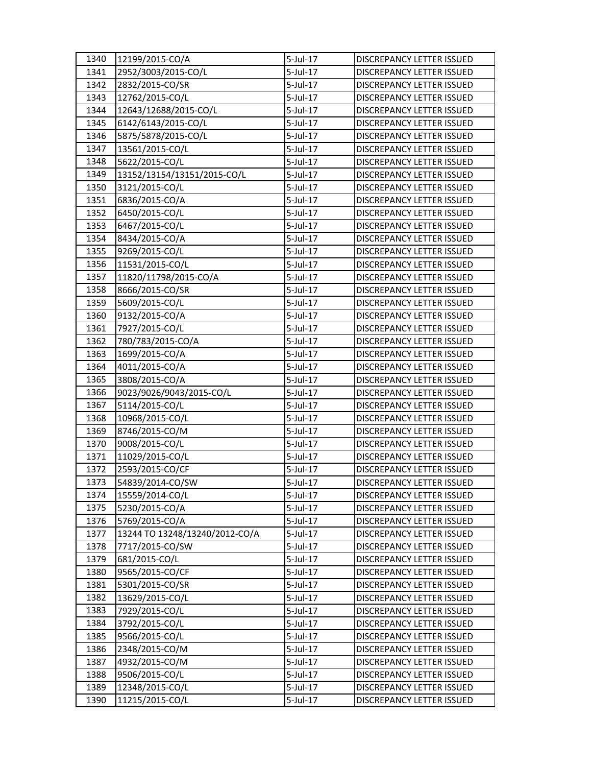| 1340 | 12199/2015-CO/A                | $5$ -Jul-17 | DISCREPANCY LETTER ISSUED        |
|------|--------------------------------|-------------|----------------------------------|
| 1341 | 2952/3003/2015-CO/L            | 5-Jul-17    | DISCREPANCY LETTER ISSUED        |
| 1342 | 2832/2015-CO/SR                | 5-Jul-17    | DISCREPANCY LETTER ISSUED        |
| 1343 | 12762/2015-CO/L                | 5-Jul-17    | DISCREPANCY LETTER ISSUED        |
| 1344 | 12643/12688/2015-CO/L          | 5-Jul-17    | DISCREPANCY LETTER ISSUED        |
| 1345 | 6142/6143/2015-CO/L            | 5-Jul-17    | DISCREPANCY LETTER ISSUED        |
| 1346 | 5875/5878/2015-CO/L            | 5-Jul-17    | DISCREPANCY LETTER ISSUED        |
| 1347 | 13561/2015-CO/L                | $5$ -Jul-17 | DISCREPANCY LETTER ISSUED        |
| 1348 | 5622/2015-CO/L                 | $5$ -Jul-17 | DISCREPANCY LETTER ISSUED        |
| 1349 | 13152/13154/13151/2015-CO/L    | 5-Jul-17    | DISCREPANCY LETTER ISSUED        |
| 1350 | 3121/2015-CO/L                 | 5-Jul-17    | DISCREPANCY LETTER ISSUED        |
| 1351 | 6836/2015-CO/A                 | 5-Jul-17    | DISCREPANCY LETTER ISSUED        |
| 1352 | 6450/2015-CO/L                 | 5-Jul-17    | DISCREPANCY LETTER ISSUED        |
| 1353 | 6467/2015-CO/L                 | 5-Jul-17    | DISCREPANCY LETTER ISSUED        |
| 1354 | 8434/2015-CO/A                 | 5-Jul-17    | DISCREPANCY LETTER ISSUED        |
| 1355 | 9269/2015-CO/L                 | 5-Jul-17    | <b>DISCREPANCY LETTER ISSUED</b> |
| 1356 | 11531/2015-CO/L                | $5$ -Jul-17 | DISCREPANCY LETTER ISSUED        |
| 1357 | 11820/11798/2015-CO/A          | 5-Jul-17    | DISCREPANCY LETTER ISSUED        |
| 1358 | 8666/2015-CO/SR                | $5$ -Jul-17 | DISCREPANCY LETTER ISSUED        |
| 1359 | 5609/2015-CO/L                 | 5-Jul-17    | DISCREPANCY LETTER ISSUED        |
| 1360 | 9132/2015-CO/A                 | 5-Jul-17    | DISCREPANCY LETTER ISSUED        |
| 1361 | 7927/2015-CO/L                 | 5-Jul-17    | DISCREPANCY LETTER ISSUED        |
| 1362 | 780/783/2015-CO/A              | 5-Jul-17    | DISCREPANCY LETTER ISSUED        |
| 1363 | 1699/2015-CO/A                 | 5-Jul-17    | DISCREPANCY LETTER ISSUED        |
| 1364 | 4011/2015-CO/A                 | 5-Jul-17    | DISCREPANCY LETTER ISSUED        |
| 1365 | 3808/2015-CO/A                 | 5-Jul-17    | DISCREPANCY LETTER ISSUED        |
| 1366 | 9023/9026/9043/2015-CO/L       | $5$ -Jul-17 | DISCREPANCY LETTER ISSUED        |
| 1367 | 5114/2015-CO/L                 | 5-Jul-17    | DISCREPANCY LETTER ISSUED        |
| 1368 | 10968/2015-CO/L                | 5-Jul-17    | DISCREPANCY LETTER ISSUED        |
| 1369 | 8746/2015-CO/M                 | 5-Jul-17    | DISCREPANCY LETTER ISSUED        |
| 1370 | 9008/2015-CO/L                 | 5-Jul-17    | <b>DISCREPANCY LETTER ISSUED</b> |
| 1371 | 11029/2015-CO/L                | 5-Jul-17    | DISCREPANCY LETTER ISSUED        |
| 1372 | 2593/2015-CO/CF                | 5-Jul-17    | DISCREPANCY LETTER ISSUED        |
| 1373 | 54839/2014-CO/SW               | 5-Jul-17    | DISCREPANCY LETTER ISSUED        |
| 1374 | 15559/2014-CO/L                | 5-Jul-17    | DISCREPANCY LETTER ISSUED        |
| 1375 | 5230/2015-CO/A                 | 5-Jul-17    | <b>DISCREPANCY LETTER ISSUED</b> |
| 1376 | 5769/2015-CO/A                 | 5-Jul-17    | DISCREPANCY LETTER ISSUED        |
| 1377 | 13244 TO 13248/13240/2012-CO/A | 5-Jul-17    | DISCREPANCY LETTER ISSUED        |
| 1378 | 7717/2015-CO/SW                | 5-Jul-17    | DISCREPANCY LETTER ISSUED        |
| 1379 | 681/2015-CO/L                  | 5-Jul-17    | DISCREPANCY LETTER ISSUED        |
| 1380 | 9565/2015-CO/CF                | 5-Jul-17    | DISCREPANCY LETTER ISSUED        |
| 1381 | 5301/2015-CO/SR                | 5-Jul-17    | DISCREPANCY LETTER ISSUED        |
| 1382 | 13629/2015-CO/L                | 5-Jul-17    | DISCREPANCY LETTER ISSUED        |
| 1383 | 7929/2015-CO/L                 | 5-Jul-17    | DISCREPANCY LETTER ISSUED        |
| 1384 | 3792/2015-CO/L                 | 5-Jul-17    | DISCREPANCY LETTER ISSUED        |
| 1385 | 9566/2015-CO/L                 | $5$ -Jul-17 | DISCREPANCY LETTER ISSUED        |
| 1386 | 2348/2015-CO/M                 | 5-Jul-17    | DISCREPANCY LETTER ISSUED        |
| 1387 | 4932/2015-CO/M                 | 5-Jul-17    | DISCREPANCY LETTER ISSUED        |
| 1388 | 9506/2015-CO/L                 | 5-Jul-17    | DISCREPANCY LETTER ISSUED        |
| 1389 | 12348/2015-CO/L                | 5-Jul-17    | DISCREPANCY LETTER ISSUED        |
| 1390 | 11215/2015-CO/L                | 5-Jul-17    | DISCREPANCY LETTER ISSUED        |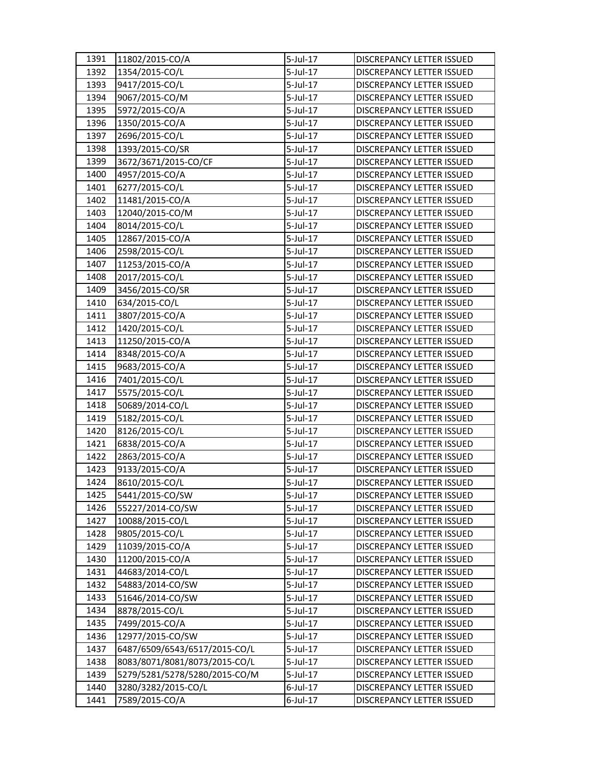| 1391 | 11802/2015-CO/A               | 5-Jul-17    | DISCREPANCY LETTER ISSUED        |
|------|-------------------------------|-------------|----------------------------------|
| 1392 | 1354/2015-CO/L                | 5-Jul-17    | <b>DISCREPANCY LETTER ISSUED</b> |
| 1393 | 9417/2015-CO/L                | 5-Jul-17    | DISCREPANCY LETTER ISSUED        |
| 1394 | 9067/2015-CO/M                | 5-Jul-17    | DISCREPANCY LETTER ISSUED        |
| 1395 | 5972/2015-CO/A                | 5-Jul-17    | DISCREPANCY LETTER ISSUED        |
| 1396 | 1350/2015-CO/A                | 5-Jul-17    | DISCREPANCY LETTER ISSUED        |
| 1397 | 2696/2015-CO/L                | 5-Jul-17    | DISCREPANCY LETTER ISSUED        |
| 1398 | 1393/2015-CO/SR               | $5$ -Jul-17 | DISCREPANCY LETTER ISSUED        |
| 1399 | 3672/3671/2015-CO/CF          | 5-Jul-17    | DISCREPANCY LETTER ISSUED        |
| 1400 | 4957/2015-CO/A                | $5$ -Jul-17 | DISCREPANCY LETTER ISSUED        |
| 1401 | 6277/2015-CO/L                | 5-Jul-17    | DISCREPANCY LETTER ISSUED        |
| 1402 | 11481/2015-CO/A               | 5-Jul-17    | DISCREPANCY LETTER ISSUED        |
| 1403 | 12040/2015-CO/M               | 5-Jul-17    | DISCREPANCY LETTER ISSUED        |
| 1404 | 8014/2015-CO/L                | 5-Jul-17    | DISCREPANCY LETTER ISSUED        |
| 1405 | 12867/2015-CO/A               | 5-Jul-17    | DISCREPANCY LETTER ISSUED        |
| 1406 | 2598/2015-CO/L                | 5-Jul-17    | <b>DISCREPANCY LETTER ISSUED</b> |
| 1407 | 11253/2015-CO/A               | 5-Jul-17    | DISCREPANCY LETTER ISSUED        |
| 1408 | 2017/2015-CO/L                | $5$ -Jul-17 | DISCREPANCY LETTER ISSUED        |
| 1409 | 3456/2015-CO/SR               | $5$ -Jul-17 | DISCREPANCY LETTER ISSUED        |
| 1410 | 634/2015-CO/L                 | 5-Jul-17    | DISCREPANCY LETTER ISSUED        |
| 1411 | 3807/2015-CO/A                | 5-Jul-17    | DISCREPANCY LETTER ISSUED        |
| 1412 | 1420/2015-CO/L                | 5-Jul-17    | DISCREPANCY LETTER ISSUED        |
| 1413 | 11250/2015-CO/A               | 5-Jul-17    | DISCREPANCY LETTER ISSUED        |
| 1414 | 8348/2015-CO/A                | 5-Jul-17    | DISCREPANCY LETTER ISSUED        |
| 1415 | 9683/2015-CO/A                | 5-Jul-17    | DISCREPANCY LETTER ISSUED        |
| 1416 | 7401/2015-CO/L                | 5-Jul-17    | DISCREPANCY LETTER ISSUED        |
| 1417 | 5575/2015-CO/L                | $5$ -Jul-17 | DISCREPANCY LETTER ISSUED        |
| 1418 | 50689/2014-CO/L               | 5-Jul-17    | DISCREPANCY LETTER ISSUED        |
| 1419 | 5182/2015-CO/L                | 5-Jul-17    | DISCREPANCY LETTER ISSUED        |
| 1420 | 8126/2015-CO/L                | 5-Jul-17    | DISCREPANCY LETTER ISSUED        |
| 1421 | 6838/2015-CO/A                | 5-Jul-17    | DISCREPANCY LETTER ISSUED        |
| 1422 | 2863/2015-CO/A                | 5-Jul-17    | DISCREPANCY LETTER ISSUED        |
| 1423 | 9133/2015-CO/A                | 5-Jul-17    | DISCREPANCY LETTER ISSUED        |
| 1424 | 8610/2015-CO/L                | 5-Jul-17    | DISCREPANCY LETTER ISSUED        |
| 1425 | 5441/2015-CO/SW               | 5-Jul-17    | DISCREPANCY LETTER ISSUED        |
| 1426 | 55227/2014-CO/SW              | $5$ -Jul-17 | <b>DISCREPANCY LETTER ISSUED</b> |
| 1427 | 10088/2015-CO/L               | 5-Jul-17    | DISCREPANCY LETTER ISSUED        |
| 1428 | 9805/2015-CO/L                | 5-Jul-17    | DISCREPANCY LETTER ISSUED        |
| 1429 | 11039/2015-CO/A               | 5-Jul-17    | DISCREPANCY LETTER ISSUED        |
| 1430 | 11200/2015-CO/A               | 5-Jul-17    | DISCREPANCY LETTER ISSUED        |
| 1431 | 44683/2014-CO/L               | 5-Jul-17    | DISCREPANCY LETTER ISSUED        |
| 1432 | 54883/2014-CO/SW              | 5-Jul-17    | DISCREPANCY LETTER ISSUED        |
| 1433 | 51646/2014-CO/SW              | 5-Jul-17    | DISCREPANCY LETTER ISSUED        |
| 1434 | 8878/2015-CO/L                | 5-Jul-17    | DISCREPANCY LETTER ISSUED        |
| 1435 | 7499/2015-CO/A                | 5-Jul-17    | DISCREPANCY LETTER ISSUED        |
| 1436 | 12977/2015-CO/SW              | $5$ -Jul-17 | DISCREPANCY LETTER ISSUED        |
| 1437 | 6487/6509/6543/6517/2015-CO/L | 5-Jul-17    | DISCREPANCY LETTER ISSUED        |
| 1438 | 8083/8071/8081/8073/2015-CO/L | 5-Jul-17    | DISCREPANCY LETTER ISSUED        |
| 1439 | 5279/5281/5278/5280/2015-CO/M | 5-Jul-17    | DISCREPANCY LETTER ISSUED        |
| 1440 | 3280/3282/2015-CO/L           | 6-Jul-17    | DISCREPANCY LETTER ISSUED        |
| 1441 | 7589/2015-CO/A                | 6-Jul-17    | DISCREPANCY LETTER ISSUED        |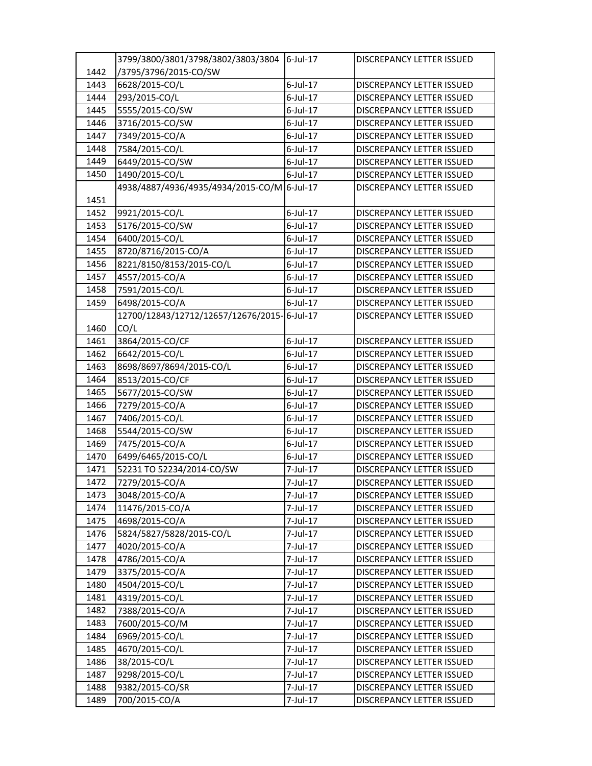|      | 3799/3800/3801/3798/3802/3803/3804 6-Jul-17 |             | <b>DISCREPANCY LETTER ISSUED</b> |
|------|---------------------------------------------|-------------|----------------------------------|
| 1442 | /3795/3796/2015-CO/SW                       |             |                                  |
| 1443 | 6628/2015-CO/L                              | 6-Jul-17    | <b>DISCREPANCY LETTER ISSUED</b> |
| 1444 | 293/2015-CO/L                               | $6$ -Jul-17 | DISCREPANCY LETTER ISSUED        |
| 1445 | 5555/2015-CO/SW                             | $6$ -Jul-17 | DISCREPANCY LETTER ISSUED        |
| 1446 | 3716/2015-CO/SW                             | 6-Jul-17    | DISCREPANCY LETTER ISSUED        |
| 1447 | 7349/2015-CO/A                              | 6-Jul-17    | DISCREPANCY LETTER ISSUED        |
| 1448 | 7584/2015-CO/L                              | $6$ -Jul-17 | DISCREPANCY LETTER ISSUED        |
| 1449 | 6449/2015-CO/SW                             | $6$ -Jul-17 | DISCREPANCY LETTER ISSUED        |
| 1450 | 1490/2015-CO/L                              | $6$ -Jul-17 | DISCREPANCY LETTER ISSUED        |
|      | 4938/4887/4936/4935/4934/2015-CO/M 6-Jul-17 |             | <b>DISCREPANCY LETTER ISSUED</b> |
| 1451 |                                             |             |                                  |
| 1452 | 9921/2015-CO/L                              | $6$ -Jul-17 | DISCREPANCY LETTER ISSUED        |
| 1453 | 5176/2015-CO/SW                             | 6-Jul-17    | DISCREPANCY LETTER ISSUED        |
| 1454 | 6400/2015-CO/L                              | $6$ -Jul-17 | DISCREPANCY LETTER ISSUED        |
| 1455 | 8720/8716/2015-CO/A                         | 6-Jul-17    | <b>DISCREPANCY LETTER ISSUED</b> |
| 1456 | 8221/8150/8153/2015-CO/L                    | 6-Jul-17    | DISCREPANCY LETTER ISSUED        |
| 1457 | 4557/2015-CO/A                              | 6-Jul-17    | DISCREPANCY LETTER ISSUED        |
| 1458 | 7591/2015-CO/L                              | 6-Jul-17    | DISCREPANCY LETTER ISSUED        |
| 1459 | 6498/2015-CO/A                              | $6$ -Jul-17 | DISCREPANCY LETTER ISSUED        |
|      | 12700/12843/12712/12657/12676/2015-6-Jul-17 |             | <b>DISCREPANCY LETTER ISSUED</b> |
| 1460 | CO/L                                        |             |                                  |
| 1461 | 3864/2015-CO/CF                             | $6$ -Jul-17 | <b>DISCREPANCY LETTER ISSUED</b> |
| 1462 | 6642/2015-CO/L                              | 6-Jul-17    | DISCREPANCY LETTER ISSUED        |
| 1463 | 8698/8697/8694/2015-CO/L                    | 6-Jul-17    | DISCREPANCY LETTER ISSUED        |
| 1464 | 8513/2015-CO/CF                             | 6-Jul-17    | DISCREPANCY LETTER ISSUED        |
| 1465 | 5677/2015-CO/SW                             | $6$ -Jul-17 | DISCREPANCY LETTER ISSUED        |
| 1466 | 7279/2015-CO/A                              | 6-Jul-17    | DISCREPANCY LETTER ISSUED        |
| 1467 | 7406/2015-CO/L                              | $6$ -Jul-17 | DISCREPANCY LETTER ISSUED        |
| 1468 | 5544/2015-CO/SW                             | 6-Jul-17    | DISCREPANCY LETTER ISSUED        |
| 1469 | 7475/2015-CO/A                              | 6-Jul-17    | <b>DISCREPANCY LETTER ISSUED</b> |
| 1470 | 6499/6465/2015-CO/L                         | $6$ -Jul-17 | DISCREPANCY LETTER ISSUED        |
| 1471 | 52231 TO 52234/2014-CO/SW                   | 7-Jul-17    | DISCREPANCY LETTER ISSUED        |
| 1472 | 7279/2015-CO/A                              | 7-Jul-17    | <b>DISCREPANCY LETTER ISSUED</b> |
| 1473 | 3048/2015-CO/A                              | 7-Jul-17    | DISCREPANCY LETTER ISSUED        |
| 1474 | 11476/2015-CO/A                             | 7-Jul-17    | DISCREPANCY LETTER ISSUED        |
| 1475 | 4698/2015-CO/A                              | 7-Jul-17    | DISCREPANCY LETTER ISSUED        |
| 1476 | 5824/5827/5828/2015-CO/L                    | 7-Jul-17    | DISCREPANCY LETTER ISSUED        |
| 1477 | 4020/2015-CO/A                              | 7-Jul-17    | DISCREPANCY LETTER ISSUED        |
| 1478 | 4786/2015-CO/A                              | 7-Jul-17    | DISCREPANCY LETTER ISSUED        |
| 1479 | 3375/2015-CO/A                              | 7-Jul-17    | DISCREPANCY LETTER ISSUED        |
| 1480 | 4504/2015-CO/L                              | 7-Jul-17    | DISCREPANCY LETTER ISSUED        |
| 1481 | 4319/2015-CO/L                              | 7-Jul-17    | <b>DISCREPANCY LETTER ISSUED</b> |
| 1482 | 7388/2015-CO/A                              | 7-Jul-17    | <b>DISCREPANCY LETTER ISSUED</b> |
| 1483 | 7600/2015-CO/M                              | 7-Jul-17    | DISCREPANCY LETTER ISSUED        |
| 1484 | 6969/2015-CO/L                              | 7-Jul-17    | DISCREPANCY LETTER ISSUED        |
| 1485 | 4670/2015-CO/L                              | 7-Jul-17    | DISCREPANCY LETTER ISSUED        |
| 1486 | 38/2015-CO/L                                | 7-Jul-17    | <b>DISCREPANCY LETTER ISSUED</b> |
| 1487 | 9298/2015-CO/L                              | 7-Jul-17    | DISCREPANCY LETTER ISSUED        |
| 1488 | 9382/2015-CO/SR                             | 7-Jul-17    | DISCREPANCY LETTER ISSUED        |
| 1489 | 700/2015-CO/A                               | 7-Jul-17    | DISCREPANCY LETTER ISSUED        |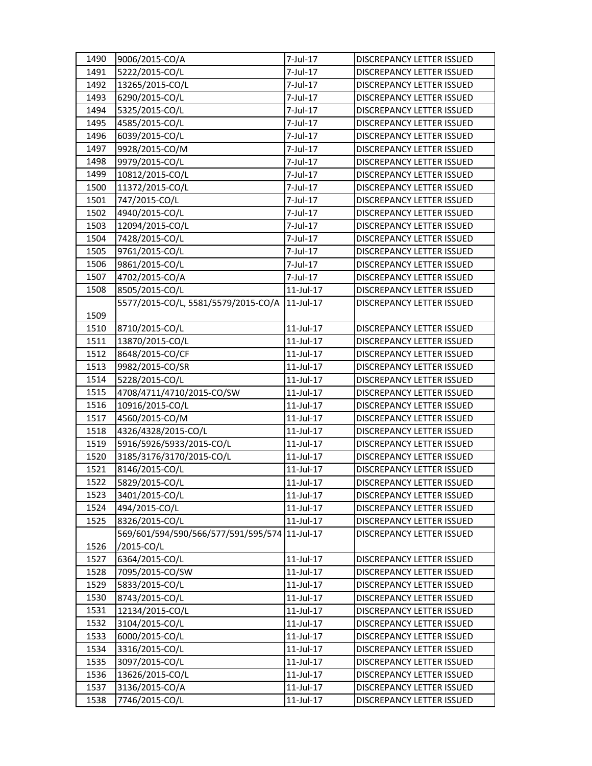| 1490 | 9006/2015-CO/A                      | 7-Jul-17        | DISCREPANCY LETTER ISSUED        |
|------|-------------------------------------|-----------------|----------------------------------|
| 1491 | 5222/2015-CO/L                      | 7-Jul-17        | <b>DISCREPANCY LETTER ISSUED</b> |
| 1492 | 13265/2015-CO/L                     | 7-Jul-17        | DISCREPANCY LETTER ISSUED        |
| 1493 | 6290/2015-CO/L                      | 7-Jul-17        | DISCREPANCY LETTER ISSUED        |
| 1494 | 5325/2015-CO/L                      | 7-Jul-17        | DISCREPANCY LETTER ISSUED        |
| 1495 | 4585/2015-CO/L                      | 7-Jul-17        | DISCREPANCY LETTER ISSUED        |
| 1496 | 6039/2015-CO/L                      | 7-Jul-17        | DISCREPANCY LETTER ISSUED        |
| 1497 | 9928/2015-CO/M                      | 7-Jul-17        | DISCREPANCY LETTER ISSUED        |
| 1498 | 9979/2015-CO/L                      | 7-Jul-17        | DISCREPANCY LETTER ISSUED        |
| 1499 | 10812/2015-CO/L                     | 7-Jul-17        | DISCREPANCY LETTER ISSUED        |
| 1500 | 11372/2015-CO/L                     | 7-Jul-17        | DISCREPANCY LETTER ISSUED        |
| 1501 | 747/2015-CO/L                       | 7-Jul-17        | DISCREPANCY LETTER ISSUED        |
| 1502 | 4940/2015-CO/L                      | 7-Jul-17        | DISCREPANCY LETTER ISSUED        |
| 1503 | 12094/2015-CO/L                     | 7-Jul-17        | DISCREPANCY LETTER ISSUED        |
| 1504 | 7428/2015-CO/L                      | 7-Jul-17        | DISCREPANCY LETTER ISSUED        |
| 1505 | 9761/2015-CO/L                      | 7-Jul-17        | DISCREPANCY LETTER ISSUED        |
| 1506 | 9861/2015-CO/L                      | 7-Jul-17        | DISCREPANCY LETTER ISSUED        |
| 1507 | 4702/2015-CO/A                      | 7-Jul-17        | <b>DISCREPANCY LETTER ISSUED</b> |
| 1508 | 8505/2015-CO/L                      | $11$ -Jul-17    | DISCREPANCY LETTER ISSUED        |
|      | 5577/2015-CO/L, 5581/5579/2015-CO/A | 11-Jul-17       | <b>DISCREPANCY LETTER ISSUED</b> |
| 1509 |                                     |                 |                                  |
| 1510 | 8710/2015-CO/L                      | 11-Jul-17       | DISCREPANCY LETTER ISSUED        |
| 1511 | 13870/2015-CO/L                     | 11-Jul-17       | DISCREPANCY LETTER ISSUED        |
| 1512 | 8648/2015-CO/CF                     | 11-Jul-17       | DISCREPANCY LETTER ISSUED        |
| 1513 | 9982/2015-CO/SR                     | 11-Jul-17       | DISCREPANCY LETTER ISSUED        |
| 1514 | 5228/2015-CO/L                      | 11-Jul-17       | DISCREPANCY LETTER ISSUED        |
| 1515 | 4708/4711/4710/2015-CO/SW           | 11-Jul-17       | DISCREPANCY LETTER ISSUED        |
| 1516 | 10916/2015-CO/L                     | 11-Jul-17       | DISCREPANCY LETTER ISSUED        |
| 1517 | 4560/2015-CO/M                      | $11$ -Jul- $17$ | DISCREPANCY LETTER ISSUED        |
| 1518 | 4326/4328/2015-CO/L                 | $11$ -Jul- $17$ | DISCREPANCY LETTER ISSUED        |
| 1519 | 5916/5926/5933/2015-CO/L            | 11-Jul-17       | <b>DISCREPANCY LETTER ISSUED</b> |
| 1520 | 3185/3176/3170/2015-CO/L            | $11$ -Jul- $17$ | DISCREPANCY LETTER ISSUED        |
| 1521 | 8146/2015-CO/L                      | 11-Jul-17       | DISCREPANCY LETTER ISSUED        |
| 1522 | 5829/2015-CO/L                      | 11-Jul-17       | DISCREPANCY LETTER ISSUED        |
| 1523 | 3401/2015-CO/L                      | 11-Jul-17       | DISCREPANCY LETTER ISSUED        |
| 1524 | 494/2015-CO/L                       | 11-Jul-17       | <b>DISCREPANCY LETTER ISSUED</b> |
| 1525 | 8326/2015-CO/L                      | $11$ -Jul- $17$ | <b>DISCREPANCY LETTER ISSUED</b> |
|      | 569/601/594/590/566/577/591/595/574 | 11-Jul-17       | DISCREPANCY LETTER ISSUED        |
| 1526 | /2015-CO/L                          |                 |                                  |
| 1527 | 6364/2015-CO/L                      | 11-Jul-17       | DISCREPANCY LETTER ISSUED        |
| 1528 | 7095/2015-CO/SW                     | 11-Jul-17       | DISCREPANCY LETTER ISSUED        |
| 1529 | 5833/2015-CO/L                      | 11-Jul-17       | DISCREPANCY LETTER ISSUED        |
| 1530 | 8743/2015-CO/L                      | 11-Jul-17       | DISCREPANCY LETTER ISSUED        |
| 1531 | 12134/2015-CO/L                     | 11-Jul-17       | DISCREPANCY LETTER ISSUED        |
| 1532 | 3104/2015-CO/L                      | 11-Jul-17       | DISCREPANCY LETTER ISSUED        |
| 1533 | 6000/2015-CO/L                      | 11-Jul-17       | DISCREPANCY LETTER ISSUED        |
| 1534 | 3316/2015-CO/L                      | 11-Jul-17       | DISCREPANCY LETTER ISSUED        |
| 1535 | 3097/2015-CO/L                      | 11-Jul-17       | DISCREPANCY LETTER ISSUED        |
| 1536 | 13626/2015-CO/L                     | 11-Jul-17       | DISCREPANCY LETTER ISSUED        |
| 1537 | 3136/2015-CO/A                      | 11-Jul-17       | DISCREPANCY LETTER ISSUED        |
| 1538 | 7746/2015-CO/L                      | 11-Jul-17       | DISCREPANCY LETTER ISSUED        |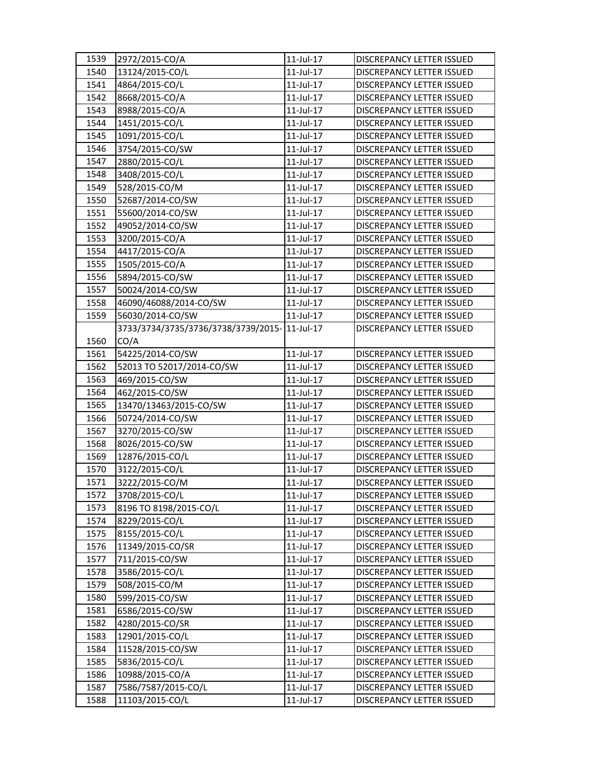| 1539 | 2972/2015-CO/A                               | 11-Jul-17       | DISCREPANCY LETTER ISSUED        |
|------|----------------------------------------------|-----------------|----------------------------------|
| 1540 | 13124/2015-CO/L                              | $11$ -Jul- $17$ | <b>DISCREPANCY LETTER ISSUED</b> |
| 1541 | 4864/2015-CO/L                               | 11-Jul-17       | DISCREPANCY LETTER ISSUED        |
| 1542 | 8668/2015-CO/A                               | 11-Jul-17       | DISCREPANCY LETTER ISSUED        |
| 1543 | 8988/2015-CO/A                               | 11-Jul-17       | DISCREPANCY LETTER ISSUED        |
| 1544 | 1451/2015-CO/L                               | 11-Jul-17       | DISCREPANCY LETTER ISSUED        |
| 1545 | 1091/2015-CO/L                               | 11-Jul-17       | DISCREPANCY LETTER ISSUED        |
| 1546 | 3754/2015-CO/SW                              | 11-Jul-17       | DISCREPANCY LETTER ISSUED        |
| 1547 | 2880/2015-CO/L                               | $11$ -Jul- $17$ | <b>DISCREPANCY LETTER ISSUED</b> |
| 1548 | 3408/2015-CO/L                               | 11-Jul-17       | DISCREPANCY LETTER ISSUED        |
| 1549 | 528/2015-CO/M                                | 11-Jul-17       | DISCREPANCY LETTER ISSUED        |
| 1550 | 52687/2014-CO/SW                             | 11-Jul-17       | DISCREPANCY LETTER ISSUED        |
| 1551 | 55600/2014-CO/SW                             | 11-Jul-17       | DISCREPANCY LETTER ISSUED        |
| 1552 | 49052/2014-CO/SW                             | 11-Jul-17       | DISCREPANCY LETTER ISSUED        |
| 1553 | 3200/2015-CO/A                               | 11-Jul-17       | DISCREPANCY LETTER ISSUED        |
| 1554 | 4417/2015-CO/A                               | 11-Jul-17       | DISCREPANCY LETTER ISSUED        |
| 1555 | 1505/2015-CO/A                               | 11-Jul-17       | DISCREPANCY LETTER ISSUED        |
| 1556 | 5894/2015-CO/SW                              | $11$ -Jul-17    | DISCREPANCY LETTER ISSUED        |
| 1557 | 50024/2014-CO/SW                             | 11-Jul-17       | DISCREPANCY LETTER ISSUED        |
| 1558 | 46090/46088/2014-CO/SW                       | 11-Jul-17       | DISCREPANCY LETTER ISSUED        |
| 1559 | 56030/2014-CO/SW                             | 11-Jul-17       | DISCREPANCY LETTER ISSUED        |
|      | 3733/3734/3735/3736/3738/3739/2015-11-Jul-17 |                 | <b>DISCREPANCY LETTER ISSUED</b> |
| 1560 | CO/A                                         |                 |                                  |
| 1561 | 54225/2014-CO/SW                             | 11-Jul-17       | DISCREPANCY LETTER ISSUED        |
| 1562 | 52013 TO 52017/2014-CO/SW                    | 11-Jul-17       | DISCREPANCY LETTER ISSUED        |
| 1563 | 469/2015-CO/SW                               | 11-Jul-17       | DISCREPANCY LETTER ISSUED        |
| 1564 | 462/2015-CO/SW                               | 11-Jul-17       | DISCREPANCY LETTER ISSUED        |
| 1565 | 13470/13463/2015-CO/SW                       | 11-Jul-17       | DISCREPANCY LETTER ISSUED        |
| 1566 | 50724/2014-CO/SW                             | 11-Jul-17       | DISCREPANCY LETTER ISSUED        |
| 1567 | 3270/2015-CO/SW                              | $11$ -Jul- $17$ | DISCREPANCY LETTER ISSUED        |
| 1568 | 8026/2015-CO/SW                              | $11$ -Jul- $17$ | DISCREPANCY LETTER ISSUED        |
| 1569 | 12876/2015-CO/L                              | 11-Jul-17       | DISCREPANCY LETTER ISSUED        |
| 1570 | 3122/2015-CO/L                               | 11-Jul-17       | DISCREPANCY LETTER ISSUED        |
| 1571 | 3222/2015-CO/M                               | 11-Jul-17       | <b>DISCREPANCY LETTER ISSUED</b> |
| 1572 | 3708/2015-CO/L                               | 11-Jul-17       | DISCREPANCY LETTER ISSUED        |
| 1573 | 8196 TO 8198/2015-CO/L                       | 11-Jul-17       | DISCREPANCY LETTER ISSUED        |
| 1574 | 8229/2015-CO/L                               | 11-Jul-17       | DISCREPANCY LETTER ISSUED        |
| 1575 | 8155/2015-CO/L                               | 11-Jul-17       | DISCREPANCY LETTER ISSUED        |
| 1576 | 11349/2015-CO/SR                             | 11-Jul-17       | DISCREPANCY LETTER ISSUED        |
| 1577 | 711/2015-CO/SW                               | 11-Jul-17       | DISCREPANCY LETTER ISSUED        |
| 1578 | 3586/2015-CO/L                               | 11-Jul-17       | DISCREPANCY LETTER ISSUED        |
| 1579 | 508/2015-CO/M                                | 11-Jul-17       | DISCREPANCY LETTER ISSUED        |
| 1580 | 599/2015-CO/SW                               | 11-Jul-17       | DISCREPANCY LETTER ISSUED        |
| 1581 | 6586/2015-CO/SW                              | 11-Jul-17       | DISCREPANCY LETTER ISSUED        |
| 1582 | 4280/2015-CO/SR                              | 11-Jul-17       | DISCREPANCY LETTER ISSUED        |
| 1583 | 12901/2015-CO/L                              | 11-Jul-17       | DISCREPANCY LETTER ISSUED        |
| 1584 | 11528/2015-CO/SW                             | 11-Jul-17       | DISCREPANCY LETTER ISSUED        |
| 1585 | 5836/2015-CO/L                               | 11-Jul-17       | DISCREPANCY LETTER ISSUED        |
| 1586 | 10988/2015-CO/A                              | 11-Jul-17       | DISCREPANCY LETTER ISSUED        |
| 1587 | 7586/7587/2015-CO/L                          | 11-Jul-17       | DISCREPANCY LETTER ISSUED        |
| 1588 | 11103/2015-CO/L                              | 11-Jul-17       | DISCREPANCY LETTER ISSUED        |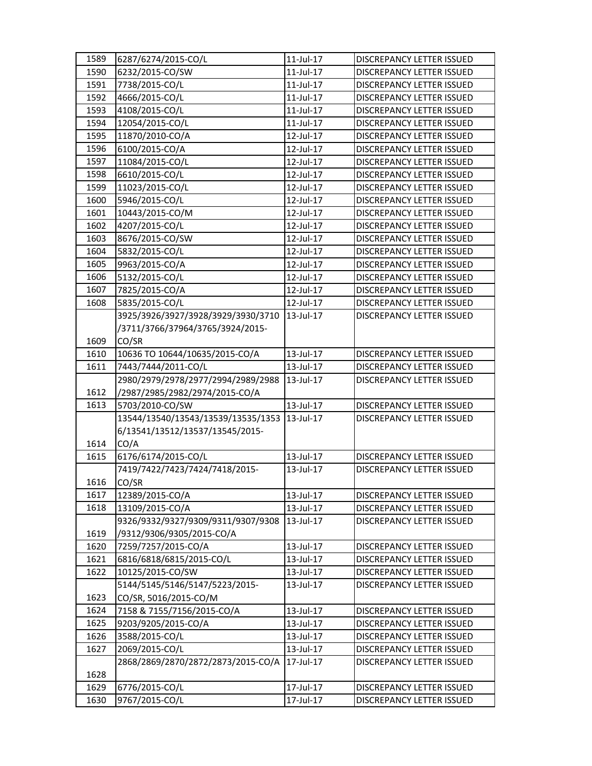| 1589 | 6287/6274/2015-CO/L                | $11$ -Jul- $17$ | <b>DISCREPANCY LETTER ISSUED</b> |
|------|------------------------------------|-----------------|----------------------------------|
| 1590 | 6232/2015-CO/SW                    | $11$ -Jul-17    | <b>DISCREPANCY LETTER ISSUED</b> |
| 1591 | 7738/2015-CO/L                     | 11-Jul-17       | DISCREPANCY LETTER ISSUED        |
| 1592 | 4666/2015-CO/L                     | $11$ -Jul-17    | DISCREPANCY LETTER ISSUED        |
| 1593 | 4108/2015-CO/L                     | 11-Jul-17       | DISCREPANCY LETTER ISSUED        |
| 1594 | 12054/2015-CO/L                    | $11$ -Jul- $17$ | DISCREPANCY LETTER ISSUED        |
| 1595 | 11870/2010-CO/A                    | 12-Jul-17       | DISCREPANCY LETTER ISSUED        |
| 1596 | 6100/2015-CO/A                     | 12-Jul-17       | DISCREPANCY LETTER ISSUED        |
| 1597 | 11084/2015-CO/L                    | 12-Jul-17       | DISCREPANCY LETTER ISSUED        |
| 1598 | 6610/2015-CO/L                     | 12-Jul-17       | DISCREPANCY LETTER ISSUED        |
| 1599 | 11023/2015-CO/L                    | 12-Jul-17       | DISCREPANCY LETTER ISSUED        |
| 1600 | 5946/2015-CO/L                     | 12-Jul-17       | DISCREPANCY LETTER ISSUED        |
| 1601 | 10443/2015-CO/M                    | 12-Jul-17       | DISCREPANCY LETTER ISSUED        |
| 1602 | 4207/2015-CO/L                     | 12-Jul-17       | DISCREPANCY LETTER ISSUED        |
| 1603 | 8676/2015-CO/SW                    | 12-Jul-17       | DISCREPANCY LETTER ISSUED        |
| 1604 | 5832/2015-CO/L                     | 12-Jul-17       | DISCREPANCY LETTER ISSUED        |
| 1605 | 9963/2015-CO/A                     | 12-Jul-17       | DISCREPANCY LETTER ISSUED        |
| 1606 | 5132/2015-CO/L                     | 12-Jul-17       | DISCREPANCY LETTER ISSUED        |
| 1607 | 7825/2015-CO/A                     | 12-Jul-17       | <b>DISCREPANCY LETTER ISSUED</b> |
| 1608 | 5835/2015-CO/L                     | 12-Jul-17       | <b>DISCREPANCY LETTER ISSUED</b> |
|      | 3925/3926/3927/3928/3929/3930/3710 | 13-Jul-17       | DISCREPANCY LETTER ISSUED        |
|      | /3711/3766/37964/3765/3924/2015-   |                 |                                  |
| 1609 | CO/SR                              |                 |                                  |
| 1610 | 10636 TO 10644/10635/2015-CO/A     | 13-Jul-17       | DISCREPANCY LETTER ISSUED        |
| 1611 | 7443/7444/2011-CO/L                | 13-Jul-17       | DISCREPANCY LETTER ISSUED        |
|      | 2980/2979/2978/2977/2994/2989/2988 | 13-Jul-17       | DISCREPANCY LETTER ISSUED        |
| 1612 | /2987/2985/2982/2974/2015-CO/A     |                 |                                  |
| 1613 | 5703/2010-CO/SW                    | 13-Jul-17       | DISCREPANCY LETTER ISSUED        |
|      | 13544/13540/13543/13539/13535/1353 | 13-Jul-17       | DISCREPANCY LETTER ISSUED        |
|      | 6/13541/13512/13537/13545/2015-    |                 |                                  |
| 1614 | CO/A                               |                 |                                  |
| 1615 | 6176/6174/2015-CO/L                | 13-Jul-17       | DISCREPANCY LETTER ISSUED        |
|      | 7419/7422/7423/7424/7418/2015-     | $13$ -Jul-17    | DISCREPANCY LETTER ISSUED        |
| 1616 | CO/SR                              |                 |                                  |
| 1617 | 12389/2015-CO/A                    | 13-Jul-17       | DISCREPANCY LETTER ISSUED        |
| 1618 | 13109/2015-CO/A                    | 13-Jul-17       | DISCREPANCY LETTER ISSUED        |
|      | 9326/9332/9327/9309/9311/9307/9308 | 13-Jul-17       | <b>DISCREPANCY LETTER ISSUED</b> |
| 1619 | /9312/9306/9305/2015-CO/A          |                 |                                  |
| 1620 | 7259/7257/2015-CO/A                | 13-Jul-17       | DISCREPANCY LETTER ISSUED        |
| 1621 | 6816/6818/6815/2015-CO/L           | 13-Jul-17       | DISCREPANCY LETTER ISSUED        |
| 1622 | 10125/2015-CO/SW                   | 13-Jul-17       | DISCREPANCY LETTER ISSUED        |
|      | 5144/5145/5146/5147/5223/2015-     | 13-Jul-17       | DISCREPANCY LETTER ISSUED        |
| 1623 | CO/SR, 5016/2015-CO/M              |                 |                                  |
| 1624 | 7158 & 7155/7156/2015-CO/A         | 13-Jul-17       | DISCREPANCY LETTER ISSUED        |
| 1625 | 9203/9205/2015-CO/A                | 13-Jul-17       | DISCREPANCY LETTER ISSUED        |
| 1626 | 3588/2015-CO/L                     | 13-Jul-17       | DISCREPANCY LETTER ISSUED        |
| 1627 | 2069/2015-CO/L                     | 13-Jul-17       | DISCREPANCY LETTER ISSUED        |
|      | 2868/2869/2870/2872/2873/2015-CO/A | 17-Jul-17       | DISCREPANCY LETTER ISSUED        |
| 1628 |                                    |                 |                                  |
| 1629 | 6776/2015-CO/L                     | 17-Jul-17       | DISCREPANCY LETTER ISSUED        |
| 1630 | 9767/2015-CO/L                     | 17-Jul-17       | DISCREPANCY LETTER ISSUED        |